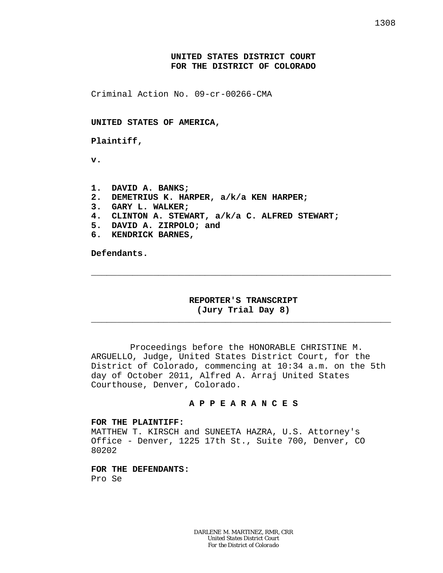# **UNITED STATES DISTRICT COURT FOR THE DISTRICT OF COLORADO**

Criminal Action No. 09-cr-00266-CMA

**UNITED STATES OF AMERICA,**

**Plaintiff,**

**v.**

**1. DAVID A. BANKS; 2. DEMETRIUS K. HARPER, a/k/a KEN HARPER; 3. GARY L. WALKER; 4. CLINTON A. STEWART, a/k/a C. ALFRED STEWART; 5. DAVID A. ZIRPOLO; and 6. KENDRICK BARNES,**

**Defendants.**

## **REPORTER'S TRANSCRIPT (Jury Trial Day 8)**

\_\_\_\_\_\_\_\_\_\_\_\_\_\_\_\_\_\_\_\_\_\_\_\_\_\_\_\_\_\_\_\_\_\_\_\_\_\_\_\_\_\_\_\_\_\_\_\_\_\_\_\_\_\_\_\_\_\_

\_\_\_\_\_\_\_\_\_\_\_\_\_\_\_\_\_\_\_\_\_\_\_\_\_\_\_\_\_\_\_\_\_\_\_\_\_\_\_\_\_\_\_\_\_\_\_\_\_\_\_\_\_\_\_\_\_\_

Proceedings before the HONORABLE CHRISTINE M. ARGUELLO, Judge, United States District Court, for the District of Colorado, commencing at 10:34 a.m. on the 5th day of October 2011, Alfred A. Arraj United States Courthouse, Denver, Colorado.

## **A P P E A R A N C E S**

### **FOR THE PLAINTIFF:**

MATTHEW T. KIRSCH and SUNEETA HAZRA, U.S. Attorney's Office - Denver, 1225 17th St., Suite 700, Denver, CO 80202

**FOR THE DEFENDANTS:** Pro Se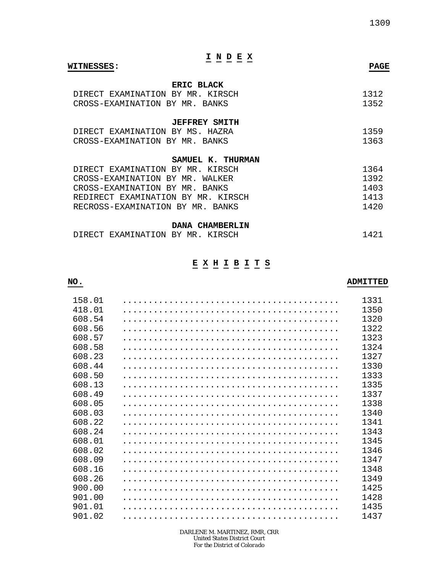| A ב ע א<br><b>WITNESSES:</b>             | <b>PAGE</b> |
|------------------------------------------|-------------|
| <b>ERIC BLACK</b>                        |             |
| DIRECT EXAMINATION BY MR. KIRSCH         | 1312        |
| CROSS-EXAMINATION BY MR. BANKS           | 1352        |
| <b>JEFFREY SMITH</b>                     |             |
| DIRECT EXAMINATION BY MS. HAZRA          | 1359        |
| CROSS-EXAMINATION BY MR. BANKS           | 1363        |
| SAMUEL K. THURMAN                        |             |
| DIRECT EXAMINATION BY MR. KIRSCH         | 1364        |
| CROSS-EXAMINATION BY MR.<br>WALKER       | 1392        |
| CROSS-EXAMINATION BY MR.<br><b>BANKS</b> | 1403        |
| REDIRECT EXAMINATION BY MR. KIRSCH       | 1413        |
| RECROSS-EXAMINATION BY MR. BANKS         | 1420        |
| DANA CHAMBERLIN                          |             |

**I N D E X**

| DIRECT EXAMINATION BY MR. I |  | KIRSCH |  |
|-----------------------------|--|--------|--|

# **E X H I B I T S**

# **NO. ADMITTED**

| 158.01 | 1331 |
|--------|------|
| 418.01 | 1350 |
| 608.54 | 1320 |
| 608.56 | 1322 |
| 608.57 | 1323 |
| 608.58 | 1324 |
| 608.23 | 1327 |
| 608.44 | 1330 |
| 608.50 | 1333 |
| 608.13 | 1335 |
| 608.49 | 1337 |
| 608.05 | 1338 |
| 608.03 | 1340 |
| 608.22 | 1341 |
| 608.24 | 1343 |
| 608.01 | 1345 |
| 608.02 | 1346 |
| 608.09 | 1347 |
| 608.16 | 1348 |
| 608.26 | 1349 |
| 900.00 | 1425 |
| 901.00 | 1428 |
| 901.01 | 1435 |
| 901.02 | 1437 |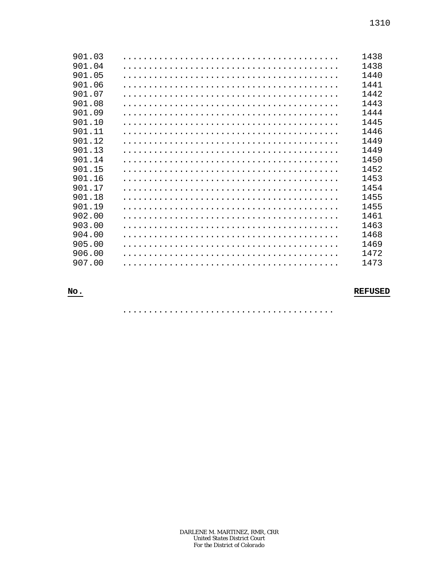| 901.03 | 1438 |
|--------|------|
| 901.04 | 1438 |
| 901.05 | 1440 |
| 901.06 | 1441 |
| 901.07 | 1442 |
| 901.08 | 1443 |
| 901.09 | 1444 |
| 901.10 | 1445 |
| 901.11 | 1446 |
| 901.12 | 1449 |
| 901.13 | 1449 |
| 901.14 | 1450 |
| 901.15 | 1452 |
| 901.16 | 1453 |
| 901.17 | 1454 |
| 901.18 | 1455 |
| 901.19 | 1455 |
| 902.00 | 1461 |
| 903.00 | 1463 |
| 904.00 | 1468 |
| 905.00 | 1469 |
| 906.00 | 1472 |
| 907.00 | 1473 |

No.

## **REFUSED**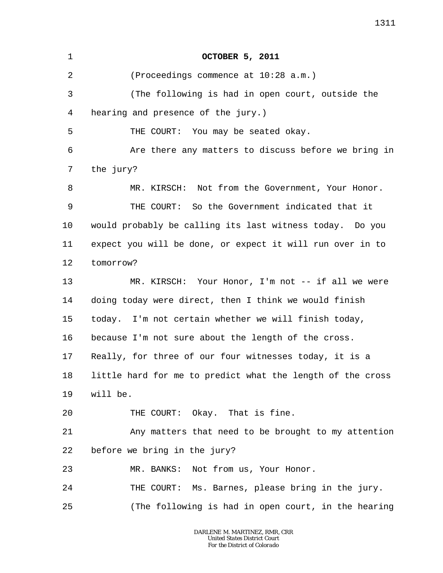| 1  | <b>OCTOBER 5, 2011</b>                                     |
|----|------------------------------------------------------------|
| 2  | (Proceedings commence at 10:28 a.m.)                       |
| 3  | (The following is had in open court, outside the           |
| 4  | hearing and presence of the jury.)                         |
| 5  | THE COURT: You may be seated okay.                         |
| 6  | Are there any matters to discuss before we bring in        |
| 7  | the jury?                                                  |
| 8  | MR. KIRSCH: Not from the Government, Your Honor.           |
| 9  | THE COURT: So the Government indicated that it             |
| 10 | would probably be calling its last witness today. Do you   |
| 11 | expect you will be done, or expect it will run over in to  |
| 12 | tomorrow?                                                  |
| 13 | MR. KIRSCH: Your Honor, I'm not -- if all we were          |
| 14 | doing today were direct, then I think we would finish      |
| 15 | today. I'm not certain whether we will finish today,       |
| 16 | because I'm not sure about the length of the cross.        |
| 17 | Really, for three of our four witnesses today, it is a     |
| 18 | little hard for me to predict what the length of the cross |
| 19 | will be.                                                   |
| 20 | THE COURT: Okay. That is fine.                             |
| 21 | Any matters that need to be brought to my attention        |
| 22 | before we bring in the jury?                               |
| 23 | Not from us, Your Honor.<br>MR. BANKS:                     |
| 24 | THE COURT: Ms. Barnes, please bring in the jury.           |
| 25 | (The following is had in open court, in the hearing        |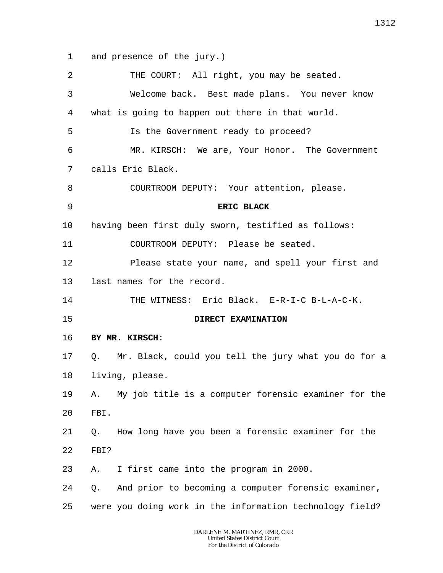1 and presence of the jury.)

| 2       | THE COURT: All right, you may be seated.                   |
|---------|------------------------------------------------------------|
| 3       | Welcome back. Best made plans. You never know              |
| 4       | what is going to happen out there in that world.           |
| 5       | Is the Government ready to proceed?                        |
| 6       | MR. KIRSCH: We are, Your Honor. The Government             |
| 7       | calls Eric Black.                                          |
| 8       | COURTROOM DEPUTY: Your attention, please.                  |
| 9       | ERIC BLACK                                                 |
| $10 \,$ | having been first duly sworn, testified as follows:        |
| 11      | COURTROOM DEPUTY: Please be seated.                        |
| 12      | Please state your name, and spell your first and           |
| 13      | last names for the record.                                 |
| 14      | THE WITNESS: Eric Black. E-R-I-C B-L-A-C-K.                |
| 15      | DIRECT EXAMINATION                                         |
| 16      | BY MR. KIRSCH:                                             |
| 17      |                                                            |
|         | Q. Mr. Black, could you tell the jury what you do for a    |
| 18      | living, please.                                            |
| 19      | My job title is a computer forensic examiner for the<br>Α. |
| 20      | FBI.                                                       |
| 21      | How long have you been a forensic examiner for the<br>Q.   |
| 22      | FBI?                                                       |
| 23      | I first came into the program in 2000.<br>Α.               |
| 24      | And prior to becoming a computer forensic examiner,<br>Q.  |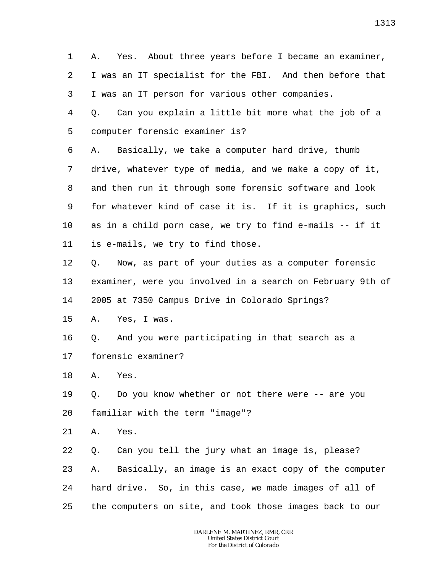1 2 3 4 5 6 7 8 9 10 11 12 13 14 15 16 17 18 19 20 21 22 23 24 25 A. Yes. About three years before I became an examiner, I was an IT specialist for the FBI. And then before that I was an IT person for various other companies. Q. Can you explain a little bit more what the job of a computer forensic examiner is? A. Basically, we take a computer hard drive, thumb drive, whatever type of media, and we make a copy of it, and then run it through some forensic software and look for whatever kind of case it is. If it is graphics, such as in a child porn case, we try to find e-mails -- if it is e-mails, we try to find those. Q. Now, as part of your duties as a computer forensic examiner, were you involved in a search on February 9th of 2005 at 7350 Campus Drive in Colorado Springs? A. Yes, I was. Q. And you were participating in that search as a forensic examiner? A. Yes. Q. Do you know whether or not there were -- are you familiar with the term "image"? A. Yes. Q. Can you tell the jury what an image is, please? A. Basically, an image is an exact copy of the computer hard drive. So, in this case, we made images of all of the computers on site, and took those images back to our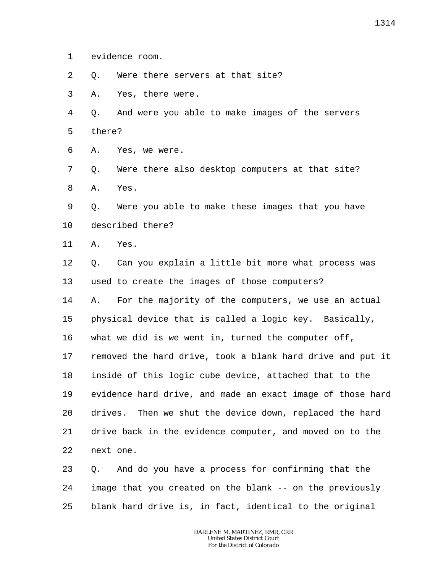1 evidence room.

- 2 Q. Were there servers at that site?
- 3 A. Yes, there were.

4 5 Q. And were you able to make images of the servers there?

6 A. Yes, we were.

7 8 Q. Were there also desktop computers at that site? A. Yes.

9 10 Q. Were you able to make these images that you have described there?

11 A. Yes.

12 13 Q. Can you explain a little bit more what process was used to create the images of those computers?

14 15 A. For the majority of the computers, we use an actual physical device that is called a logic key. Basically,

16 what we did is we went in, turned the computer off,

17 18 19 20 21 22 removed the hard drive, took a blank hard drive and put it inside of this logic cube device, attached that to the evidence hard drive, and made an exact image of those hard drives. Then we shut the device down, replaced the hard drive back in the evidence computer, and moved on to the next one.

23 24 25 Q. And do you have a process for confirming that the image that you created on the blank -- on the previously blank hard drive is, in fact, identical to the original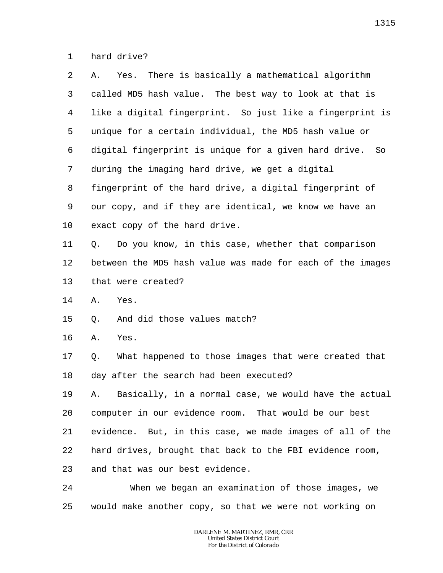1 hard drive?

25

| 2  | Yes. There is basically a mathematical algorithm<br>Α.      |
|----|-------------------------------------------------------------|
| 3  | called MD5 hash value. The best way to look at that is      |
| 4  | like a digital fingerprint. So just like a fingerprint is   |
| 5  | unique for a certain individual, the MD5 hash value or      |
| 6  | digital fingerprint is unique for a given hard drive.<br>So |
| 7  | during the imaging hard drive, we get a digital             |
| 8  | fingerprint of the hard drive, a digital fingerprint of     |
| 9  | our copy, and if they are identical, we know we have an     |
| 10 | exact copy of the hard drive.                               |
| 11 | Do you know, in this case, whether that comparison<br>Q.    |
| 12 | between the MD5 hash value was made for each of the images  |
| 13 | that were created?                                          |
| 14 | Yes.<br>Α.                                                  |
| 15 | And did those values match?<br>Q.                           |
| 16 | Yes.<br>Α.                                                  |
| 17 | What happened to those images that were created that<br>Q.  |
| 18 | day after the search had been executed?                     |
| 19 | A. Basically, in a normal case, we would have the actual    |
| 20 | computer in our evidence room. That would be our best       |
| 21 | evidence. But, in this case, we made images of all of the   |
| 22 | hard drives, brought that back to the FBI evidence room,    |
| 23 | and that was our best evidence.                             |
|    |                                                             |
| 24 | When we began an examination of those images, we            |

*DARLENE M. MARTINEZ, RMR, CRR United States District Court For the District of Colorado*

would make another copy, so that we were not working on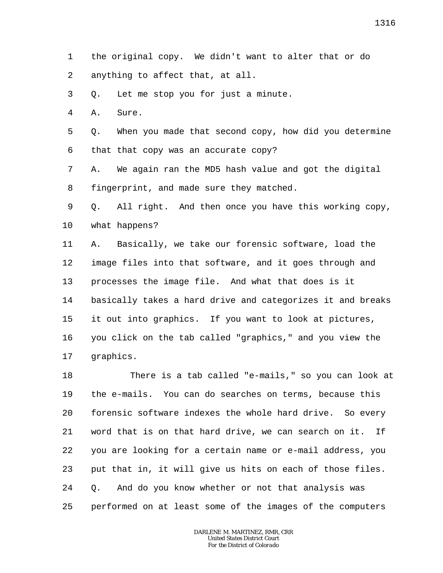- 1 the original copy. We didn't want to alter that or do
- 2 anything to affect that, at all.
- 3 Q. Let me stop you for just a minute.
- 4 A. Sure.

5 6 Q. When you made that second copy, how did you determine that that copy was an accurate copy?

7 8 A. We again ran the MD5 hash value and got the digital fingerprint, and made sure they matched.

9 10 Q. All right. And then once you have this working copy, what happens?

11 12 13 14 15 16 17 A. Basically, we take our forensic software, load the image files into that software, and it goes through and processes the image file. And what that does is it basically takes a hard drive and categorizes it and breaks it out into graphics. If you want to look at pictures, you click on the tab called "graphics," and you view the graphics.

18 19 20 21 22 23 24 25 There is a tab called "e-mails," so you can look at the e-mails. You can do searches on terms, because this forensic software indexes the whole hard drive. So every word that is on that hard drive, we can search on it. If you are looking for a certain name or e-mail address, you put that in, it will give us hits on each of those files. Q. And do you know whether or not that analysis was performed on at least some of the images of the computers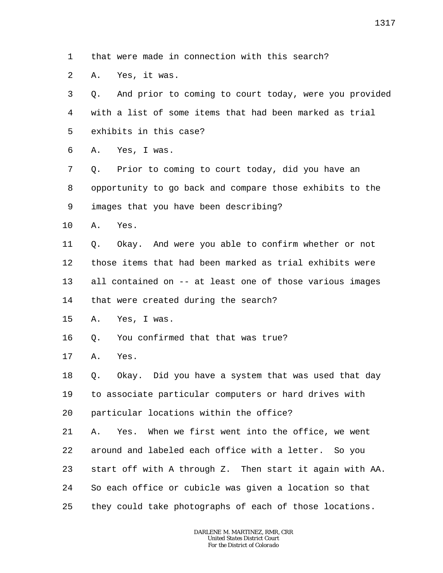1 that were made in connection with this search?

2 A. Yes, it was.

3 4 5 6 7 8 9 10 11 12 13 14 15 16 17 18 19 20 21 22 23 24 25 Q. And prior to coming to court today, were you provided with a list of some items that had been marked as trial exhibits in this case? A. Yes, I was. Q. Prior to coming to court today, did you have an opportunity to go back and compare those exhibits to the images that you have been describing? A. Yes. Q. Okay. And were you able to confirm whether or not those items that had been marked as trial exhibits were all contained on -- at least one of those various images that were created during the search? A. Yes, I was. Q. You confirmed that that was true? A. Yes. Q. Okay. Did you have a system that was used that day to associate particular computers or hard drives with particular locations within the office? A. Yes. When we first went into the office, we went around and labeled each office with a letter. So you start off with A through Z. Then start it again with AA. So each office or cubicle was given a location so that they could take photographs of each of those locations.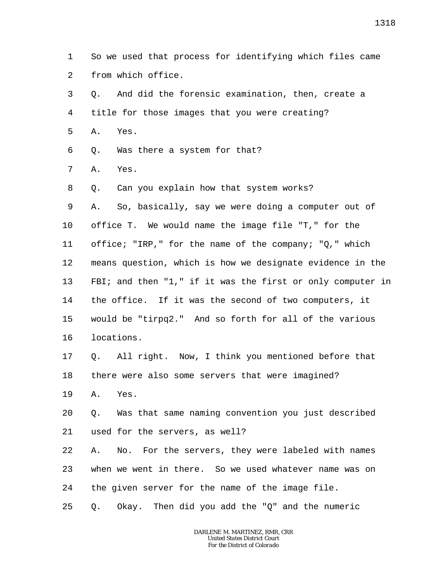1 2 So we used that process for identifying which files came from which office.

| 3              | Q. | And did the forensic examination, then, create a           |
|----------------|----|------------------------------------------------------------|
| $\overline{4}$ |    | title for those images that you were creating?             |
| 5              | Α. | Yes.                                                       |
| 6              | Q. | Was there a system for that?                               |
| 7              | Α. | Yes.                                                       |
| 8              | Q. | Can you explain how that system works?                     |
| 9              | Α. | So, basically, say we were doing a computer out of         |
| $10 \,$        |    | office T. We would name the image file "T," for the        |
| 11             |    | office; "IRP," for the name of the company; "Q," which     |
| 12             |    | means question, which is how we designate evidence in the  |
| 13             |    | FBI; and then "1," if it was the first or only computer in |
| 14             |    | the office. If it was the second of two computers, it      |
| 15             |    | would be "tirpq2." And so forth for all of the various     |
| 16             |    | locations.                                                 |
| 17             |    | Q. All right. Now, I think you mentioned before that       |
| 18             |    | there were also some servers that were imagined?           |
| 19             | Α. | Yes.                                                       |
| 20             |    | 0. Was that same naming convention you just described      |
| 21             |    | used for the servers, as well?                             |
| 22             | Α. | No. For the servers, they were labeled with names          |
| 23             |    | when we went in there. So we used whatever name was on     |
| 24             |    | the given server for the name of the image file.           |
| 25             | Q. | Okay. Then did you add the "Q" and the numeric             |
|                |    |                                                            |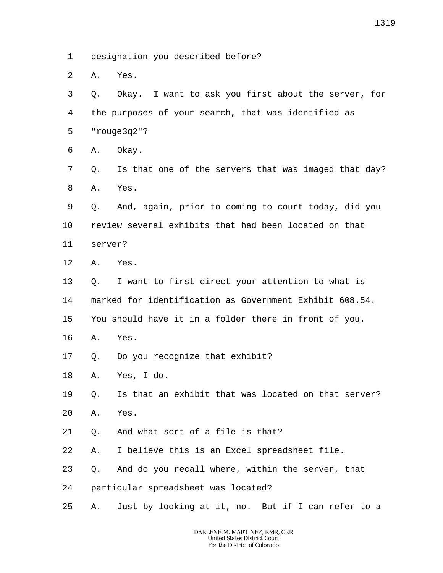1 designation you described before?

2 A. Yes.

3 4 5 Q. Okay. I want to ask you first about the server, for the purposes of your search, that was identified as "rouge3q2"?

- 6 A. Okay.
- 7 8 Q. Is that one of the servers that was imaged that day? A. Yes.
- 9 10 11 Q. And, again, prior to coming to court today, did you review several exhibits that had been located on that server?
- 12 A. Yes.

13 14 Q. I want to first direct your attention to what is marked for identification as Government Exhibit 608.54.

15 You should have it in a folder there in front of you.

- 16 A. Yes.
- 17 Q. Do you recognize that exhibit?
- 18 A. Yes, I do.

19 20 Q. Is that an exhibit that was located on that server? A. Yes.

21 Q. And what sort of a file is that?

22 A. I believe this is an Excel spreadsheet file.

23 Q. And do you recall where, within the server, that

24 particular spreadsheet was located?

25 A. Just by looking at it, no. But if I can refer to a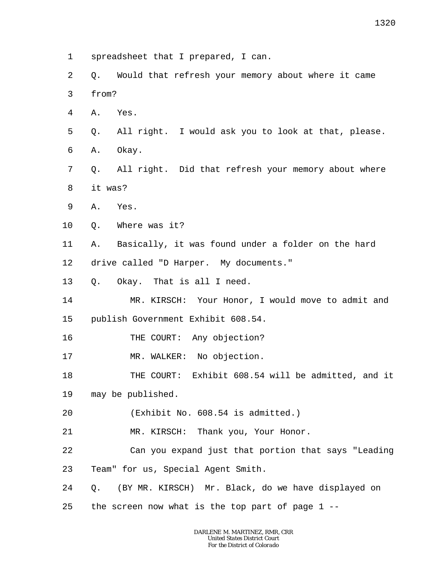- 1 spreadsheet that I prepared, I can.
- 2 3 Q. Would that refresh your memory about where it came from?
- 4 A. Yes.
- 5 Q. All right. I would ask you to look at that, please.
- 6 A. Okay.
- 7 8 Q. All right. Did that refresh your memory about where it was?
- 9 A. Yes.
- 10 Q. Where was it?
- 11 A. Basically, it was found under a folder on the hard

12 drive called "D Harper. My documents."

- 13 Q. Okay. That is all I need.
- 14 15 MR. KIRSCH: Your Honor, I would move to admit and publish Government Exhibit 608.54.
- 16 THE COURT: Any objection?

17 MR. WALKER: No objection.

- 18 19 THE COURT: Exhibit 608.54 will be admitted, and it may be published.
- 20 (Exhibit No. 608.54 is admitted.)

21 MR. KIRSCH: Thank you, Your Honor.

- 22 Can you expand just that portion that says "Leading
- 23 Team" for us, Special Agent Smith.
- 24 Q. (BY MR. KIRSCH) Mr. Black, do we have displayed on
- 25 the screen now what is the top part of page  $1 - -$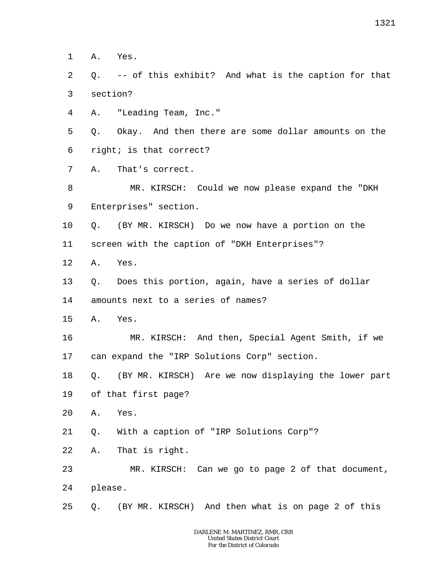1 A. Yes.

 $\overline{a}$ 3 Q. -- of this exhibit? And what is the caption for that section?

4 A. "Leading Team, Inc."

5 6 Q. Okay. And then there are some dollar amounts on the right; is that correct?

7 A. That's correct.

8 9 MR. KIRSCH: Could we now please expand the "DKH Enterprises" section.

10 Q. (BY MR. KIRSCH) Do we now have a portion on the

11 screen with the caption of "DKH Enterprises"?

12 A. Yes.

13 Q. Does this portion, again, have a series of dollar

14 amounts next to a series of names?

15 A. Yes.

16 17 MR. KIRSCH: And then, Special Agent Smith, if we can expand the "IRP Solutions Corp" section.

18 Q. (BY MR. KIRSCH) Are we now displaying the lower part

19 of that first page?

20 A. Yes.

21 Q. With a caption of "IRP Solutions Corp"?

22 A. That is right.

23 24 MR. KIRSCH: Can we go to page 2 of that document, please.

25 Q. (BY MR. KIRSCH) And then what is on page 2 of this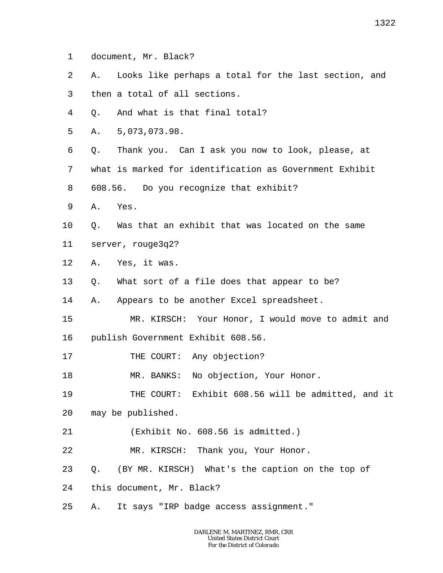- 1 document, Mr. Black?
- 2 3 A. Looks like perhaps a total for the last section, and then a total of all sections.
- 4 Q. And what is that final total?
- 5 A. 5,073,073.98.
- 6 Q. Thank you. Can I ask you now to look, please, at
- 7 what is marked for identification as Government Exhibit
- 8 608.56. Do you recognize that exhibit?
- 9 A. Yes.
- 10 Q. Was that an exhibit that was located on the same
- 11 server, rouge3q2?
- 12 A. Yes, it was.
- 13 Q. What sort of a file does that appear to be?

14 A. Appears to be another Excel spreadsheet.

- 15 16 MR. KIRSCH: Your Honor, I would move to admit and publish Government Exhibit 608.56.
- 
- 17 THE COURT: Any objection?
- 18 MR. BANKS: No objection, Your Honor.

19 20 THE COURT: Exhibit 608.56 will be admitted, and it may be published.

- 21 (Exhibit No. 608.56 is admitted.)
- 22 MR. KIRSCH: Thank you, Your Honor.
- 23 Q. (BY MR. KIRSCH) What's the caption on the top of
- 24 this document, Mr. Black?
- 25 A. It says "IRP badge access assignment."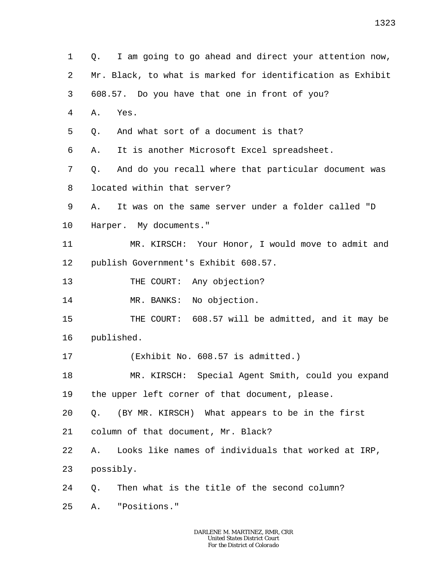1 2 3 4 5 6 7 8 9 10 11 12 13 14 15 16 17 18 19 20 21 22 23 24 25 Q. I am going to go ahead and direct your attention now, Mr. Black, to what is marked for identification as Exhibit 608.57. Do you have that one in front of you? A. Yes. Q. And what sort of a document is that? A. It is another Microsoft Excel spreadsheet. Q. And do you recall where that particular document was located within that server? A. It was on the same server under a folder called "D Harper. My documents." MR. KIRSCH: Your Honor, I would move to admit and publish Government's Exhibit 608.57. THE COURT: Any objection? MR. BANKS: No objection. THE COURT: 608.57 will be admitted, and it may be published. (Exhibit No. 608.57 is admitted.) MR. KIRSCH: Special Agent Smith, could you expand the upper left corner of that document, please. Q. (BY MR. KIRSCH) What appears to be in the first column of that document, Mr. Black? A. Looks like names of individuals that worked at IRP, possibly. Q. Then what is the title of the second column? A. "Positions."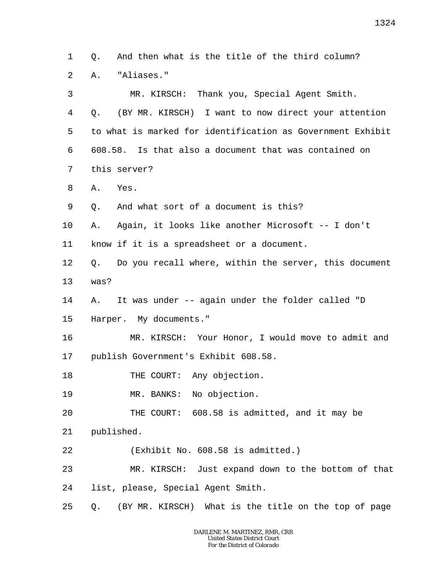1 2 Q. And then what is the title of the third column? A. "Aliases."

3 4 5 6 7 8 9 10 11 12 13 14 15 16 17 18 19 20 21 22 23 24 25 MR. KIRSCH: Thank you, Special Agent Smith. Q. (BY MR. KIRSCH) I want to now direct your attention to what is marked for identification as Government Exhibit 608.58. Is that also a document that was contained on this server? A. Yes. Q. And what sort of a document is this? A. Again, it looks like another Microsoft -- I don't know if it is a spreadsheet or a document. Q. Do you recall where, within the server, this document was? A. It was under -- again under the folder called "D Harper. My documents." MR. KIRSCH: Your Honor, I would move to admit and publish Government's Exhibit 608.58. THE COURT: Any objection. MR. BANKS: No objection. THE COURT: 608.58 is admitted, and it may be published. (Exhibit No. 608.58 is admitted.) MR. KIRSCH: Just expand down to the bottom of that list, please, Special Agent Smith. Q. (BY MR. KIRSCH) What is the title on the top of page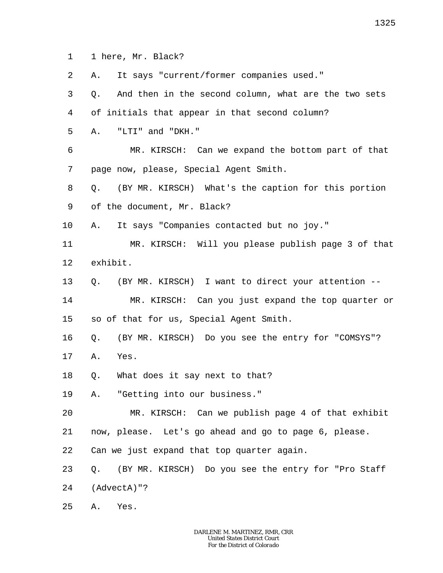1 1 here, Mr. Black?

2 3 4 5 6 7 8 9 10 11 12 13 14 15 16 17 18 19 20 21 22 23 24 25 A. It says "current/former companies used." Q. And then in the second column, what are the two sets of initials that appear in that second column? A. "LTI" and "DKH." MR. KIRSCH: Can we expand the bottom part of that page now, please, Special Agent Smith. Q. (BY MR. KIRSCH) What's the caption for this portion of the document, Mr. Black? A. It says "Companies contacted but no joy." MR. KIRSCH: Will you please publish page 3 of that exhibit. Q. (BY MR. KIRSCH) I want to direct your attention -- MR. KIRSCH: Can you just expand the top quarter or so of that for us, Special Agent Smith. Q. (BY MR. KIRSCH) Do you see the entry for "COMSYS"? A. Yes. Q. What does it say next to that? A. "Getting into our business." MR. KIRSCH: Can we publish page 4 of that exhibit now, please. Let's go ahead and go to page 6, please. Can we just expand that top quarter again. Q. (BY MR. KIRSCH) Do you see the entry for "Pro Staff (AdvectA)"? A. Yes.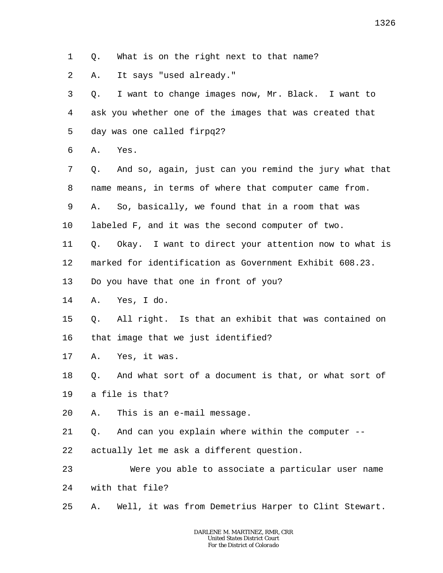1 Q. What is on the right next to that name?

2 A. It says "used already."

3 4 5 Q. I want to change images now, Mr. Black. I want to ask you whether one of the images that was created that day was one called firpq2?

- 6 A. Yes.
- 7 8 Q. And so, again, just can you remind the jury what that name means, in terms of where that computer came from.
- 9 A. So, basically, we found that in a room that was
- 10 labeled F, and it was the second computer of two.
- 11 Q. Okay. I want to direct your attention now to what is
- 12 marked for identification as Government Exhibit 608.23.

13 Do you have that one in front of you?

14 A. Yes, I do.

15 16 Q. All right. Is that an exhibit that was contained on that image that we just identified?

17 A. Yes, it was.

18 Q. And what sort of a document is that, or what sort of

19 a file is that?

- 20 A. This is an e-mail message.
- 21 Q. And can you explain where within the computer --

22 actually let me ask a different question.

- 23 24 Were you able to associate a particular user name with that file?
- 25 A. Well, it was from Demetrius Harper to Clint Stewart.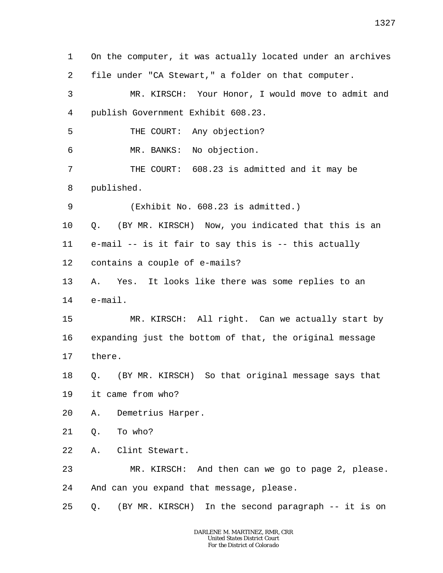| 1       | On the computer, it was actually located under an archives |
|---------|------------------------------------------------------------|
| 2       | file under "CA Stewart," a folder on that computer.        |
| 3       | MR. KIRSCH: Your Honor, I would move to admit and          |
| 4       | publish Government Exhibit 608.23.                         |
| 5       | THE COURT: Any objection?                                  |
| 6       | MR. BANKS: No objection.                                   |
| 7       | THE COURT: 608.23 is admitted and it may be                |
| 8       | published.                                                 |
| 9       | (Exhibit No. 608.23 is admitted.)                          |
| $10 \,$ | (BY MR. KIRSCH) Now, you indicated that this is an<br>О.   |
| 11      | e-mail -- is it fair to say this is -- this actually       |
| 12      | contains a couple of e-mails?                              |
| 13      | Yes. It looks like there was some replies to an<br>Α.      |
| 14      | $e$ -mail.                                                 |
| 15      | MR. KIRSCH: All right. Can we actually start by            |
| 16      | expanding just the bottom of that, the original message    |
| 17      | there.                                                     |
| 18      | (BY MR. KIRSCH) So that original message says that<br>Q.   |
| 19      | it came from who?                                          |
| 20      | Demetrius Harper.<br>Α.                                    |
| 21      | To who?<br>Q.                                              |
| 22      | Clint Stewart.<br>Α.                                       |
| 23      | MR. KIRSCH: And then can we go to page 2, please.          |
| 24      | And can you expand that message, please.                   |
| 25      | (BY MR. KIRSCH) In the second paragraph -- it is on<br>Q.  |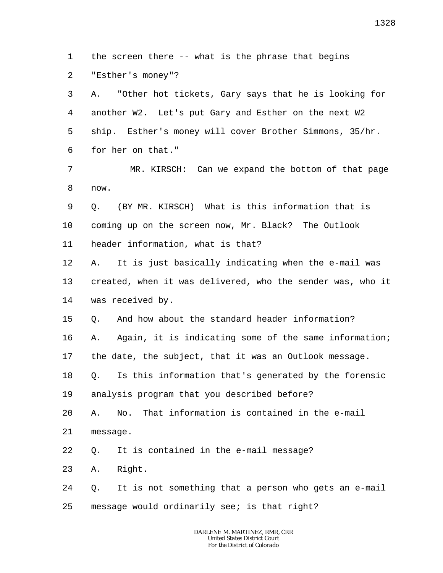1 2 the screen there -- what is the phrase that begins "Esther's money"?

3 4 5 6 7 8 9 10 11 12 13 14 15 16 17 18 19 20 21 22 23 24 25 A. "Other hot tickets, Gary says that he is looking for another W2. Let's put Gary and Esther on the next W2 ship. Esther's money will cover Brother Simmons, 35/hr. for her on that." MR. KIRSCH: Can we expand the bottom of that page now. Q. (BY MR. KIRSCH) What is this information that is coming up on the screen now, Mr. Black? The Outlook header information, what is that? A. It is just basically indicating when the e-mail was created, when it was delivered, who the sender was, who it was received by. Q. And how about the standard header information? A. Again, it is indicating some of the same information; the date, the subject, that it was an Outlook message. Q. Is this information that's generated by the forensic analysis program that you described before? A. No. That information is contained in the e-mail message. Q. It is contained in the e-mail message? A. Right. Q. It is not something that a person who gets an e-mail message would ordinarily see; is that right?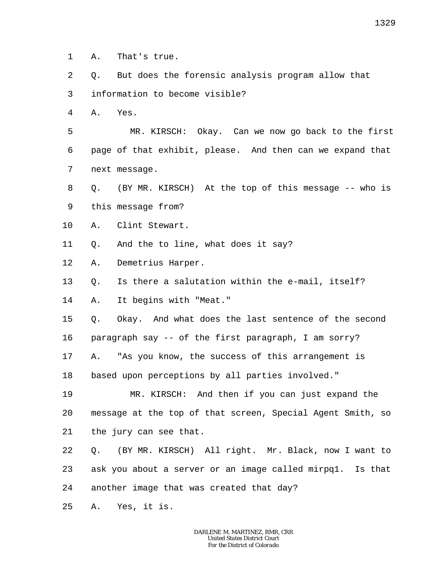1 A. That's true.

- 2 3 Q. But does the forensic analysis program allow that information to become visible?
- 4 A. Yes.

5 6 7 MR. KIRSCH: Okay. Can we now go back to the first page of that exhibit, please. And then can we expand that next message.

8 9 Q. (BY MR. KIRSCH) At the top of this message -- who is this message from?

- 10 A. Clint Stewart.
- 11 Q. And the to line, what does it say?
- 12 A. Demetrius Harper.
- 13 Q. Is there a salutation within the e-mail, itself?

14 A. It begins with "Meat."

15 Q. Okay. And what does the last sentence of the second

16 paragraph say -- of the first paragraph, I am sorry?

17 A. "As you know, the success of this arrangement is

18 based upon perceptions by all parties involved."

19 20 21 MR. KIRSCH: And then if you can just expand the message at the top of that screen, Special Agent Smith, so the jury can see that.

22 23 24 Q. (BY MR. KIRSCH) All right. Mr. Black, now I want to ask you about a server or an image called mirpq1. Is that another image that was created that day?

25 A. Yes, it is.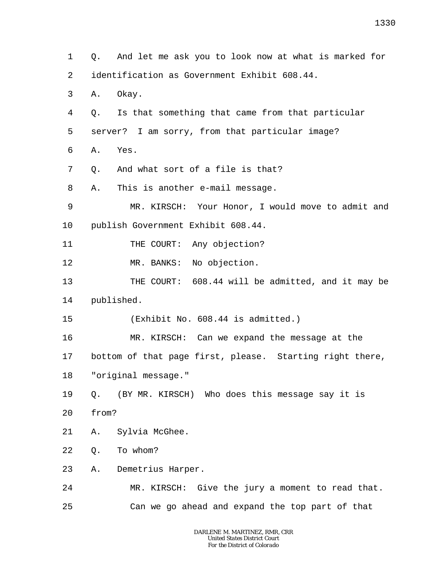1 2 3 4 5 6 7 8 9 10 11 12 13 14 15 16 17 18 19 20 21 22 23 24 25 Q. And let me ask you to look now at what is marked for identification as Government Exhibit 608.44. A. Okay. Q. Is that something that came from that particular server? I am sorry, from that particular image? A. Yes. Q. And what sort of a file is that? A. This is another e-mail message. MR. KIRSCH: Your Honor, I would move to admit and publish Government Exhibit 608.44. THE COURT: Any objection? MR. BANKS: No objection. THE COURT: 608.44 will be admitted, and it may be published. (Exhibit No. 608.44 is admitted.) MR. KIRSCH: Can we expand the message at the bottom of that page first, please. Starting right there, "original message." Q. (BY MR. KIRSCH) Who does this message say it is from? A. Sylvia McGhee. Q. To whom? A. Demetrius Harper. MR. KIRSCH: Give the jury a moment to read that. Can we go ahead and expand the top part of that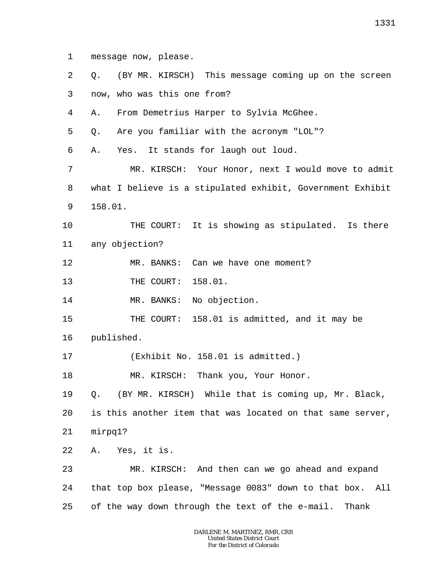1 message now, please.

2 3 Q. (BY MR. KIRSCH) This message coming up on the screen now, who was this one from?

4 A. From Demetrius Harper to Sylvia McGhee.

5 Q. Are you familiar with the acronym "LOL"?

6 A. Yes. It stands for laugh out loud.

7 8 9 MR. KIRSCH: Your Honor, next I would move to admit what I believe is a stipulated exhibit, Government Exhibit 158.01.

10 11 THE COURT: It is showing as stipulated. Is there any objection?

12 MR. BANKS: Can we have one moment?

13 THE COURT: 158.01.

14 MR. BANKS: No objection.

15 THE COURT: 158.01 is admitted, and it may be

16 published.

17 (Exhibit No. 158.01 is admitted.)

18 MR. KIRSCH: Thank you, Your Honor.

19 20 21 Q. (BY MR. KIRSCH) While that is coming up, Mr. Black, is this another item that was located on that same server, mirpq1?

22 A. Yes, it is.

23 24 25 MR. KIRSCH: And then can we go ahead and expand that top box please, "Message 0083" down to that box. All of the way down through the text of the e-mail. Thank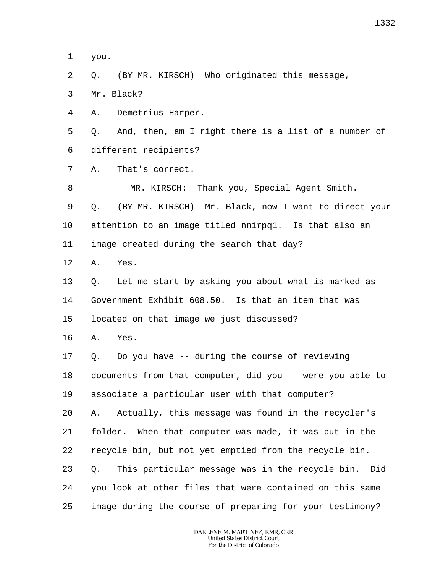1 you.

 $\overline{a}$ Q. (BY MR. KIRSCH) Who originated this message,

3 Mr. Black?

4 A. Demetrius Harper.

5 6 Q. And, then, am I right there is a list of a number of different recipients?

7 A. That's correct.

8 9 10 11 12 13 14 15 16 17 18 19 20 21 22 23 24 25 MR. KIRSCH: Thank you, Special Agent Smith. Q. (BY MR. KIRSCH) Mr. Black, now I want to direct your attention to an image titled nnirpq1. Is that also an image created during the search that day? A. Yes. Q. Let me start by asking you about what is marked as Government Exhibit 608.50. Is that an item that was located on that image we just discussed? A. Yes. Q. Do you have -- during the course of reviewing documents from that computer, did you -- were you able to associate a particular user with that computer? A. Actually, this message was found in the recycler's folder. When that computer was made, it was put in the recycle bin, but not yet emptied from the recycle bin. Q. This particular message was in the recycle bin. Did you look at other files that were contained on this same image during the course of preparing for your testimony?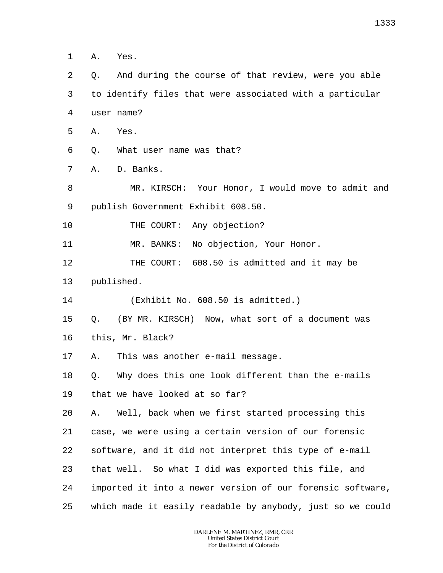1 A. Yes.

2

3 4 5 6 7 8 9 10 11 12 13 14 15 16 17 18 19 20 21 22 23 24 25 *DARLENE M. MARTINEZ, RMR, CRR United States District Court* to identify files that were associated with a particular user name? A. Yes. Q. What user name was that? A. D. Banks. MR. KIRSCH: Your Honor, I would move to admit and publish Government Exhibit 608.50. THE COURT: Any objection? MR. BANKS: No objection, Your Honor. THE COURT: 608.50 is admitted and it may be published. (Exhibit No. 608.50 is admitted.) Q. (BY MR. KIRSCH) Now, what sort of a document was this, Mr. Black? A. This was another e-mail message. Q. Why does this one look different than the e-mails that we have looked at so far? A. Well, back when we first started processing this case, we were using a certain version of our forensic software, and it did not interpret this type of e-mail that well. So what I did was exported this file, and imported it into a newer version of our forensic software, which made it easily readable by anybody, just so we could

Q. And during the course of that review, were you able

*For the District of Colorado*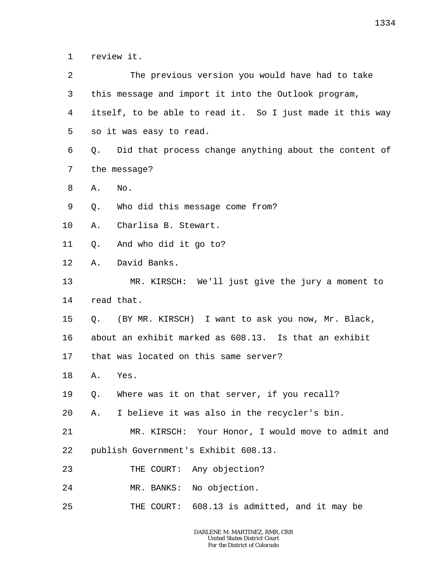1 review it.

| 2       | The previous version you would have had to take             |
|---------|-------------------------------------------------------------|
| 3       | this message and import it into the Outlook program,        |
| 4       | itself, to be able to read it. So I just made it this way   |
| 5       | so it was easy to read.                                     |
| 6       | Did that process change anything about the content of<br>Q. |
| 7       | the message?                                                |
| 8       | Α.<br>No.                                                   |
| 9       | Who did this message come from?<br>Q.                       |
| $10 \,$ | Charlisa B. Stewart.<br>Α.                                  |
| 11      | And who did it go to?<br>Q.                                 |
| 12      | David Banks.<br>Α.                                          |
| 13      | MR. KIRSCH: We'll just give the jury a moment to            |
| 14      | read that.                                                  |
| 15      | Q. (BY MR. KIRSCH) I want to ask you now, Mr. Black,        |
| 16      | about an exhibit marked as 608.13. Is that an exhibit       |
| 17      | that was located on this same server?                       |
| 18      | Yes.<br>Α.                                                  |
| 19      | Where was it on that server, if you recall?<br>Q.           |
| 20      | I believe it was also in the recycler's bin.<br>Α.          |
| 21      | Your Honor, I would move to admit and<br>MR. KIRSCH:        |
| 22      | publish Government's Exhibit 608.13.                        |
| 23      | THE COURT: Any objection?                                   |
| 24      | MR. BANKS: No objection.                                    |
| 25      | THE COURT: 608.13 is admitted, and it may be                |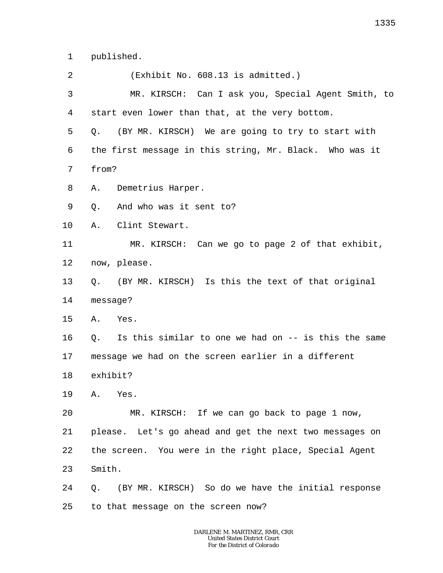1 published.

| 2       | (Exhibit No. 608.13 is admitted.)                       |
|---------|---------------------------------------------------------|
| 3       | MR. KIRSCH: Can I ask you, Special Agent Smith, to      |
| 4       | start even lower than that, at the very bottom.         |
| 5       | (BY MR. KIRSCH) We are going to try to start with<br>Q. |
| 6       | the first message in this string, Mr. Black. Who was it |
| 7       | from?                                                   |
| 8       | Demetrius Harper.<br>Α.                                 |
| 9       | And who was it sent to?<br>Q.                           |
| $10 \,$ | A. Clint Stewart.                                       |
| 11      | MR. KIRSCH: Can we go to page 2 of that exhibit,        |
| 12      | now, please.                                            |
| 13      | Q. (BY MR. KIRSCH) Is this the text of that original    |
| 14      | message?                                                |
| 15      | Α.<br>Yes.                                              |
| 16      | Q. Is this similar to one we had on -- is this the same |
| 17      | message we had on the screen earlier in a different     |
| 18      | exhibit?                                                |
| 19      | A. Yes.                                                 |
| 20      | MR. KIRSCH: If we can go back to page 1 now,            |
| 21      | please. Let's go ahead and get the next two messages on |
| 22      | the screen. You were in the right place, Special Agent  |
| 23      | Smith.                                                  |
| 24      | Q. (BY MR. KIRSCH) So do we have the initial response   |
| 25      | to that message on the screen now?                      |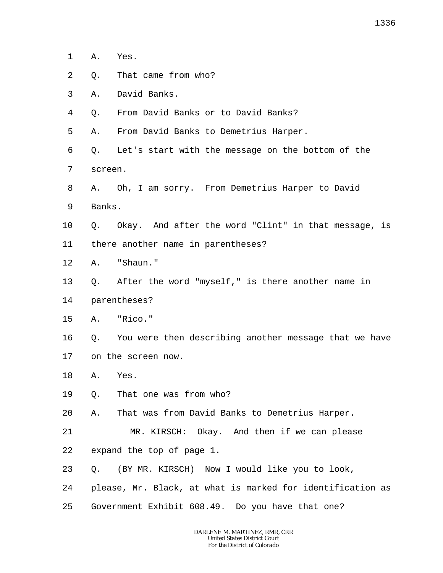- 1 A. Yes.
- 2 Q. That came from who?
- 3 A. David Banks.
- 4 Q. From David Banks or to David Banks?
- 5 A. From David Banks to Demetrius Harper.
- 6 7 Q. Let's start with the message on the bottom of the screen.
- 8 A. Oh, I am sorry. From Demetrius Harper to David
- 9 Banks.
- 10 11 Q. Okay. And after the word "Clint" in that message, is there another name in parentheses?
- 12 A. "Shaun."
- 13 Q. After the word "myself," is there another name in
- 14 parentheses?
- 15 A. "Rico."
- 16 17 Q. You were then describing another message that we have on the screen now.
- 18 A. Yes.
- 19 Q. That one was from who?
- 20 A. That was from David Banks to Demetrius Harper.
- 21 22 MR. KIRSCH: Okay. And then if we can please expand the top of page 1.
- 23 Q. (BY MR. KIRSCH) Now I would like you to look,
- 24 please, Mr. Black, at what is marked for identification as
- 25 Government Exhibit 608.49. Do you have that one?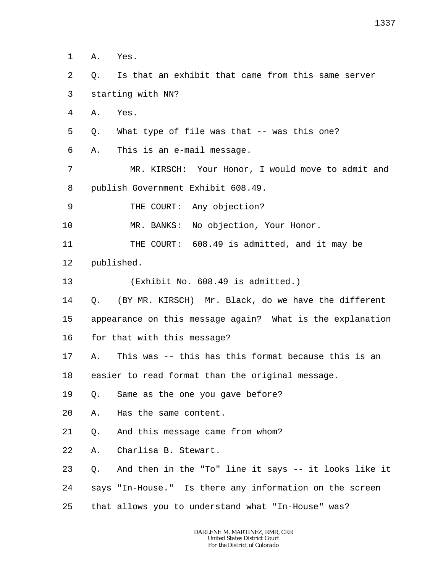1 A. Yes.

 $\overline{a}$ 3 Q. Is that an exhibit that came from this same server starting with NN?

4 A. Yes.

5 Q. What type of file was that -- was this one?

6 A. This is an e-mail message.

7 8 MR. KIRSCH: Your Honor, I would move to admit and publish Government Exhibit 608.49.

9 THE COURT: Any objection?

10 MR. BANKS: No objection, Your Honor.

11 THE COURT: 608.49 is admitted, and it may be

12 published.

13 (Exhibit No. 608.49 is admitted.)

14 Q. (BY MR. KIRSCH) Mr. Black, do we have the different

15 appearance on this message again? What is the explanation

16 for that with this message?

17 A. This was -- this has this format because this is an

18 easier to read format than the original message.

19 Q. Same as the one you gave before?

20 A. Has the same content.

21 Q. And this message came from whom?

22 A. Charlisa B. Stewart.

23 Q. And then in the "To" line it says -- it looks like it

24 says "In-House." Is there any information on the screen

25 that allows you to understand what "In-House" was?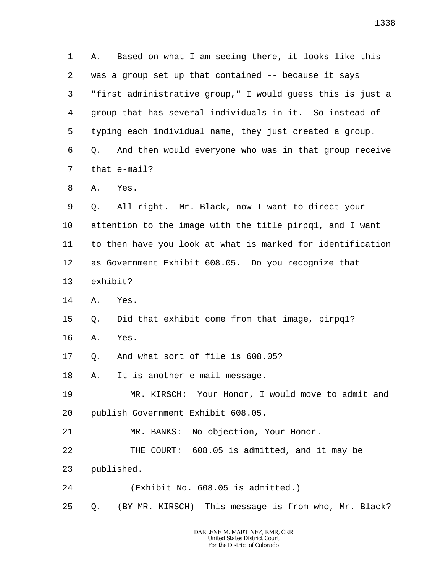1 2 3 4 5 6 7 8 9 10 11 12 13 14 15 16 17 18 19 20 21 22 23 24 25 A. Based on what I am seeing there, it looks like this was a group set up that contained -- because it says "first administrative group," I would guess this is just a group that has several individuals in it. So instead of typing each individual name, they just created a group. Q. And then would everyone who was in that group receive that e-mail? A. Yes. Q. All right. Mr. Black, now I want to direct your attention to the image with the title pirpq1, and I want to then have you look at what is marked for identification as Government Exhibit 608.05. Do you recognize that exhibit? A. Yes. Q. Did that exhibit come from that image, pirpq1? A. Yes. Q. And what sort of file is 608.05? A. It is another e-mail message. MR. KIRSCH: Your Honor, I would move to admit and publish Government Exhibit 608.05. MR. BANKS: No objection, Your Honor. THE COURT: 608.05 is admitted, and it may be published. (Exhibit No. 608.05 is admitted.) Q. (BY MR. KIRSCH) This message is from who, Mr. Black?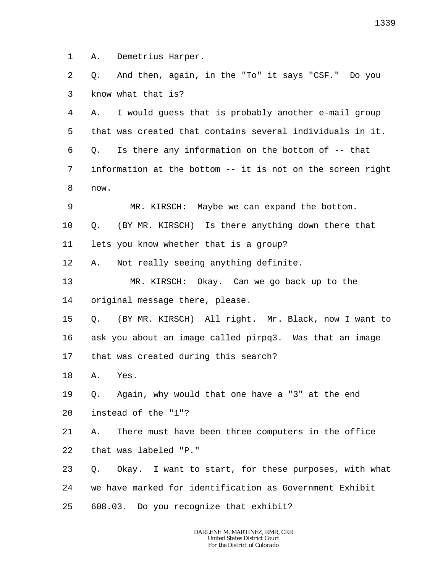1 A. Demetrius Harper.

2 3 Q. And then, again, in the "To" it says "CSF." Do you know what that is?

4 5 6 7 8 A. I would guess that is probably another e-mail group that was created that contains several individuals in it. Q. Is there any information on the bottom of -- that information at the bottom -- it is not on the screen right now.

9 10 11 MR. KIRSCH: Maybe we can expand the bottom. Q. (BY MR. KIRSCH) Is there anything down there that lets you know whether that is a group?

12 A. Not really seeing anything definite.

13 14 MR. KIRSCH: Okay. Can we go back up to the original message there, please.

15 16 17 Q. (BY MR. KIRSCH) All right. Mr. Black, now I want to ask you about an image called pirpq3. Was that an image that was created during this search?

18 A. Yes.

19 Q. Again, why would that one have a "3" at the end

20 instead of the "1"?

21 22 A. There must have been three computers in the office that was labeled "P."

23 24 Q. Okay. I want to start, for these purposes, with what we have marked for identification as Government Exhibit

25 608.03. Do you recognize that exhibit?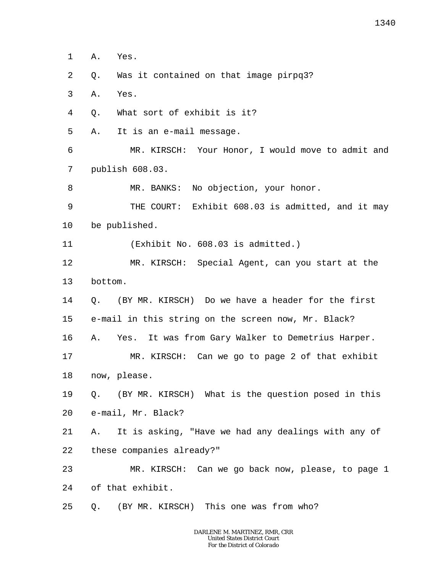1 A. Yes.

2 Q. Was it contained on that image pirpq3?

3 A. Yes.

4 Q. What sort of exhibit is it?

5 A. It is an e-mail message.

6 7 MR. KIRSCH: Your Honor, I would move to admit and publish 608.03.

8 MR. BANKS: No objection, your honor.

9 10 THE COURT: Exhibit 608.03 is admitted, and it may be published.

11 (Exhibit No. 608.03 is admitted.)

12 13 MR. KIRSCH: Special Agent, can you start at the bottom.

14 15 Q. (BY MR. KIRSCH) Do we have a header for the first e-mail in this string on the screen now, Mr. Black?

16 A. Yes. It was from Gary Walker to Demetrius Harper.

17 18 MR. KIRSCH: Can we go to page 2 of that exhibit now, please.

19 20 Q. (BY MR. KIRSCH) What is the question posed in this e-mail, Mr. Black?

21 22 A. It is asking, "Have we had any dealings with any of these companies already?"

23 24 MR. KIRSCH: Can we go back now, please, to page 1 of that exhibit.

25 Q. (BY MR. KIRSCH) This one was from who?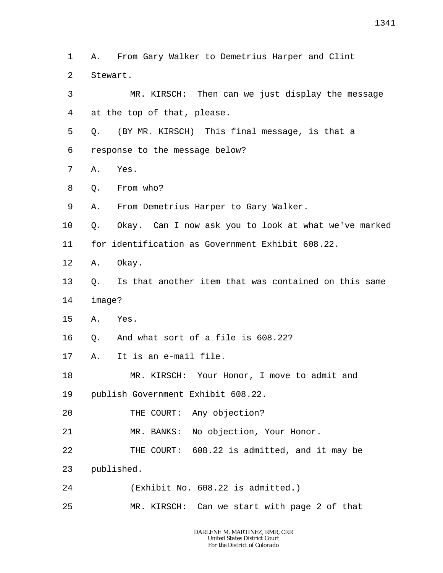1 2 3 4 5 6 7 8 9 10 11 12 13 14 15 16 17 18 19 20 21 22 23 24 25 A. From Gary Walker to Demetrius Harper and Clint Stewart. MR. KIRSCH: Then can we just display the message at the top of that, please. Q. (BY MR. KIRSCH) This final message, is that a response to the message below? A. Yes. Q. From who? A. From Demetrius Harper to Gary Walker. Q. Okay. Can I now ask you to look at what we've marked for identification as Government Exhibit 608.22. A. Okay. Q. Is that another item that was contained on this same image? A. Yes. Q. And what sort of a file is 608.22? A. It is an e-mail file. MR. KIRSCH: Your Honor, I move to admit and publish Government Exhibit 608.22. THE COURT: Any objection? MR. BANKS: No objection, Your Honor. THE COURT: 608.22 is admitted, and it may be published. (Exhibit No. 608.22 is admitted.) MR. KIRSCH: Can we start with page 2 of that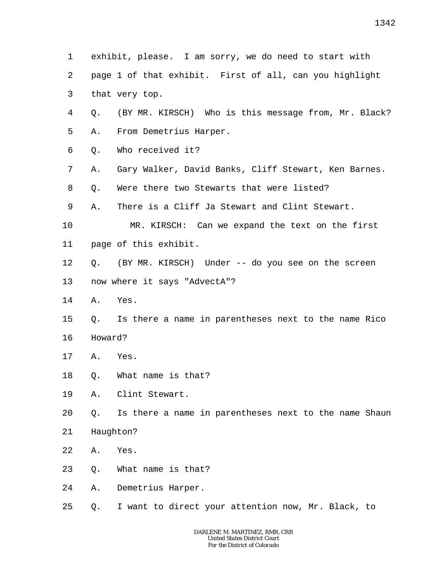| 1       |           | exhibit, please. I am sorry, we do need to start with   |
|---------|-----------|---------------------------------------------------------|
| 2       |           | page 1 of that exhibit. First of all, can you highlight |
| 3       |           | that very top.                                          |
| 4       | Q.        | (BY MR. KIRSCH) Who is this message from, Mr. Black?    |
| 5       | Α.        | From Demetrius Harper.                                  |
| 6       | Q.        | Who received it?                                        |
| 7       | Α.        | Gary Walker, David Banks, Cliff Stewart, Ken Barnes.    |
| 8       | Q.        | Were there two Stewarts that were listed?               |
| 9       | Α.        | There is a Cliff Ja Stewart and Clint Stewart.          |
| $10 \,$ |           | MR. KIRSCH: Can we expand the text on the first         |
| 11      |           | page of this exhibit.                                   |
| 12      | Q.        | (BY MR. KIRSCH) Under -- do you see on the screen       |
| 13      |           | now where it says "AdvectA"?                            |
| 14      | A. Yes.   |                                                         |
| 15      | Q.        | Is there a name in parentheses next to the name Rico    |
| 16      | Howard?   |                                                         |
| 17      | Α.        | Yes.                                                    |
| 18      |           | Q. What name is that?                                   |
| 19      | Α.        | Clint Stewart.                                          |
| 20      | Q.        | Is there a name in parentheses next to the name Shaun   |
| 21      | Haughton? |                                                         |
| 22      | Α.        | Yes.                                                    |
| 23      | Q.        | What name is that?                                      |
| 24      | Α.        | Demetrius Harper.                                       |
| 25      | Q.        | I want to direct your attention now, Mr. Black, to      |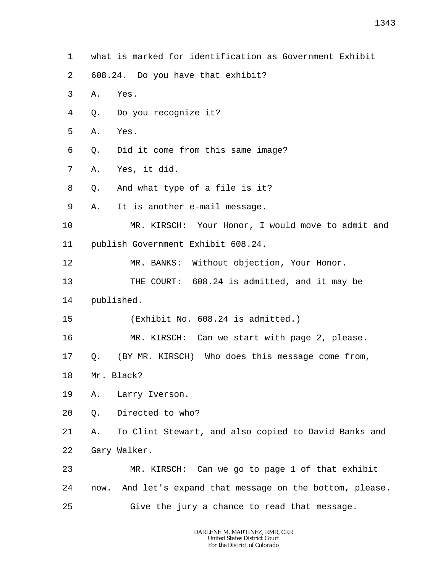- 1343
- 1 what is marked for identification as Government Exhibit
- 2 608.24. Do you have that exhibit?
- 3 A. Yes.
- 4 Q. Do you recognize it?
- 5 A. Yes.
- 6 Q. Did it come from this same image?
- 7 A. Yes, it did.
- 8 Q. And what type of a file is it?
- 9 A. It is another e-mail message.
- 10 11 MR. KIRSCH: Your Honor, I would move to admit and publish Government Exhibit 608.24.
- 12 MR. BANKS: Without objection, Your Honor.
- 13 THE COURT: 608.24 is admitted, and it may be
- 14 published.
- 15 (Exhibit No. 608.24 is admitted.)
- 16 MR. KIRSCH: Can we start with page 2, please.
- 17 Q. (BY MR. KIRSCH) Who does this message come from,
- 18 Mr. Black?
- 19 A. Larry Iverson.
- 20 Q. Directed to who?

21 22 A. To Clint Stewart, and also copied to David Banks and Gary Walker.

23 24 25 MR. KIRSCH: Can we go to page 1 of that exhibit now. And let's expand that message on the bottom, please. Give the jury a chance to read that message.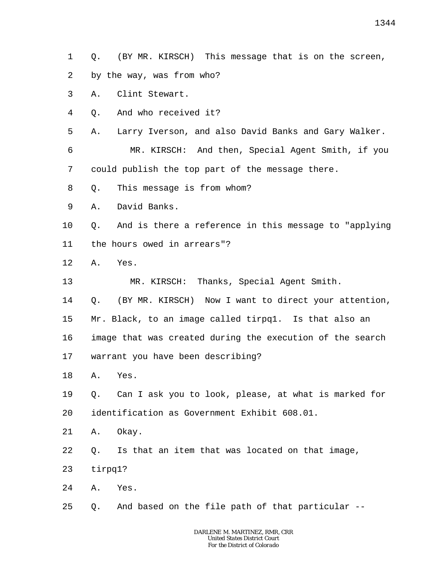- 2 by the way, was from who?
- 3 A. Clint Stewart.
- 4 Q. And who received it?

5 A. Larry Iverson, and also David Banks and Gary Walker.

6 7 MR. KIRSCH: And then, Special Agent Smith, if you could publish the top part of the message there.

8 Q. This message is from whom?

- 9 A. David Banks.
- 10 11 Q. And is there a reference in this message to "applying the hours owed in arrears"?
- 12 A. Yes.

13 MR. KIRSCH: Thanks, Special Agent Smith.

14 Q. (BY MR. KIRSCH) Now I want to direct your attention,

15 Mr. Black, to an image called tirpq1. Is that also an

16 17 image that was created during the execution of the search warrant you have been describing?

- 18 A. Yes.
- 19 20 Q. Can I ask you to look, please, at what is marked for identification as Government Exhibit 608.01.
- 21 A. Okay.
- 22 Q. Is that an item that was located on that image,
- 23 tirpq1?

24 A. Yes.

25 Q. And based on the file path of that particular --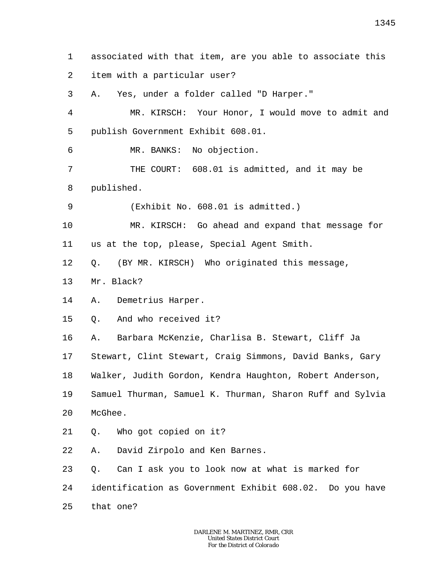1 2 3 4 5 6 7 8 9 10 11 12 13 14 15 16 17 18 19 20 21 22 23 24 25 associated with that item, are you able to associate this item with a particular user? A. Yes, under a folder called "D Harper." MR. KIRSCH: Your Honor, I would move to admit and publish Government Exhibit 608.01. MR. BANKS: No objection. THE COURT: 608.01 is admitted, and it may be published. (Exhibit No. 608.01 is admitted.) MR. KIRSCH: Go ahead and expand that message for us at the top, please, Special Agent Smith. Q. (BY MR. KIRSCH) Who originated this message, Mr. Black? A. Demetrius Harper. Q. And who received it? A. Barbara McKenzie, Charlisa B. Stewart, Cliff Ja Stewart, Clint Stewart, Craig Simmons, David Banks, Gary Walker, Judith Gordon, Kendra Haughton, Robert Anderson, Samuel Thurman, Samuel K. Thurman, Sharon Ruff and Sylvia McGhee. Q. Who got copied on it? A. David Zirpolo and Ken Barnes. Q. Can I ask you to look now at what is marked for identification as Government Exhibit 608.02. Do you have that one?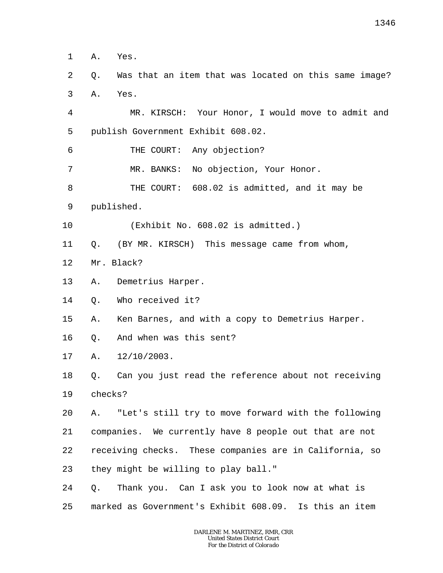- 1 A. Yes.
- 2 3 Q. Was that an item that was located on this same image? A. Yes.
- 4 5 MR. KIRSCH: Your Honor, I would move to admit and publish Government Exhibit 608.02.
- 6 THE COURT: Any objection?
- 7 MR. BANKS: No objection, Your Honor.
- 8 THE COURT: 608.02 is admitted, and it may be
- 9 published.
- 10 (Exhibit No. 608.02 is admitted.)
- 11 Q. (BY MR. KIRSCH) This message came from whom,
- 12 Mr. Black?
- 13 A. Demetrius Harper.
- 14 Q. Who received it?
- 15 A. Ken Barnes, and with a copy to Demetrius Harper.
- 16 Q. And when was this sent?
- 17 A. 12/10/2003.
- 18 19 Q. Can you just read the reference about not receiving checks?
- 20 21 22 23 A. "Let's still try to move forward with the following companies. We currently have 8 people out that are not receiving checks. These companies are in California, so they might be willing to play ball."
- 24 25 Q. Thank you. Can I ask you to look now at what is marked as Government's Exhibit 608.09. Is this an item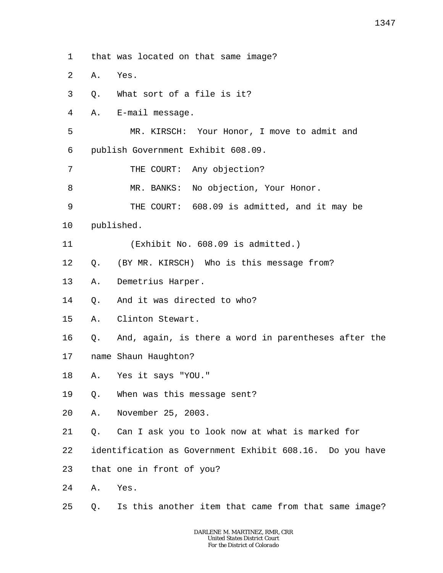- 1 that was located on that same image?
- 2 A. Yes.
- 3 Q. What sort of a file is it?
- 4 A. E-mail message.
- 5 6 MR. KIRSCH: Your Honor, I move to admit and publish Government Exhibit 608.09.
- 7 THE COURT: Any objection?
- 8 MR. BANKS: No objection, Your Honor.
- 9 THE COURT: 608.09 is admitted, and it may be
- 10 published.
- 11 (Exhibit No. 608.09 is admitted.)
- 12 Q. (BY MR. KIRSCH) Who is this message from?
- 13 A. Demetrius Harper.
- 14 Q. And it was directed to who?
- 15 A. Clinton Stewart.
- 16 Q. And, again, is there a word in parentheses after the
- 17 name Shaun Haughton?
- 18 A. Yes it says "YOU."
- 19 Q. When was this message sent?
- 20 A. November 25, 2003.
- 21 Q. Can I ask you to look now at what is marked for
- 22 identification as Government Exhibit 608.16. Do you have
- 23 that one in front of you?
- 24 A. Yes.
- 25 Q. Is this another item that came from that same image?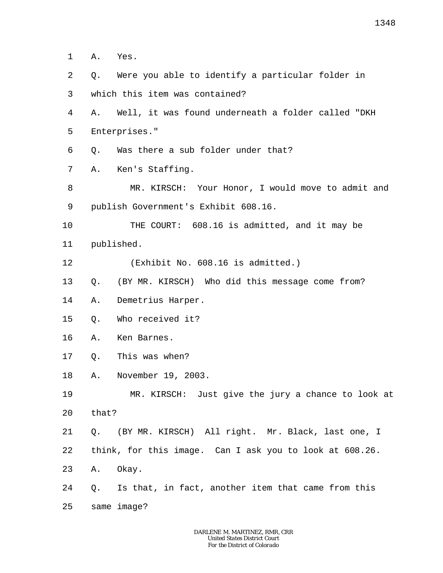1 A. Yes.

2 3 4 5 6 7 8 9 10 11 12 13 14 15 16 17 18 19 20 21 22 23 24 25 Q. Were you able to identify a particular folder in which this item was contained? A. Well, it was found underneath a folder called "DKH Enterprises." Q. Was there a sub folder under that? A. Ken's Staffing. MR. KIRSCH: Your Honor, I would move to admit and publish Government's Exhibit 608.16. THE COURT: 608.16 is admitted, and it may be published. (Exhibit No. 608.16 is admitted.) Q. (BY MR. KIRSCH) Who did this message come from? A. Demetrius Harper. Q. Who received it? A. Ken Barnes. Q. This was when? A. November 19, 2003. MR. KIRSCH: Just give the jury a chance to look at that? Q. (BY MR. KIRSCH) All right. Mr. Black, last one, I think, for this image. Can I ask you to look at 608.26. A. Okay. Q. Is that, in fact, another item that came from this same image?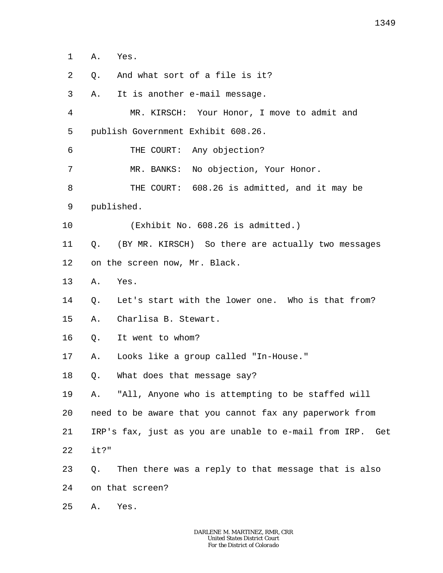1 A. Yes.

- 2 Q. And what sort of a file is it?
- 3 A. It is another e-mail message.
- 4 5 MR. KIRSCH: Your Honor, I move to admit and publish Government Exhibit 608.26.
- 6 THE COURT: Any objection?
- 7 MR. BANKS: No objection, Your Honor.
- 8 THE COURT: 608.26 is admitted, and it may be
- 9 published.
- 10 (Exhibit No. 608.26 is admitted.)
- 11 12 Q. (BY MR. KIRSCH) So there are actually two messages on the screen now, Mr. Black.
- 13 A. Yes.
- 14 15 Q. Let's start with the lower one. Who is that from? A. Charlisa B. Stewart.
- 16 Q. It went to whom?
- 17 A. Looks like a group called "In-House."
- 18 Q. What does that message say?

19 A. "All, Anyone who is attempting to be staffed will

- 20 need to be aware that you cannot fax any paperwork from
- 21 IRP's fax, just as you are unable to e-mail from IRP. Get
- 22 it?"
- 23 Q. Then there was a reply to that message that is also
- 24 on that screen?
- 25 A. Yes.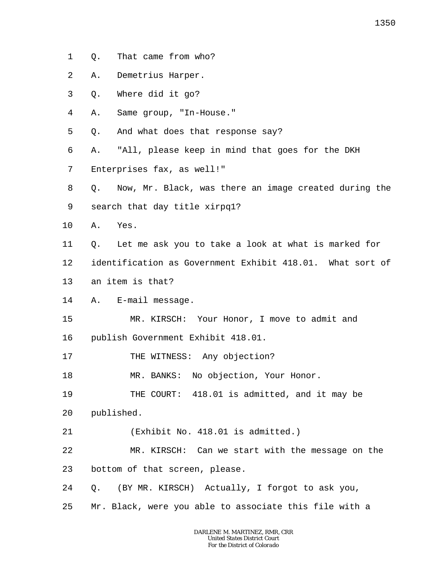- 1 Q. That came from who?
- 2 A. Demetrius Harper.
- 3 Q. Where did it go?
- 4 A. Same group, "In-House."
- 5 Q. And what does that response say?
- 6 A. "All, please keep in mind that goes for the DKH
- 7 Enterprises fax, as well!"
- 8 9 Q. Now, Mr. Black, was there an image created during the search that day title xirpq1?
- 10 A. Yes.
- 11 Q. Let me ask you to take a look at what is marked for
- 12 identification as Government Exhibit 418.01. What sort of
- 13 an item is that?
- 14 A. E-mail message.
- 15 16 MR. KIRSCH: Your Honor, I move to admit and publish Government Exhibit 418.01.
- 17 THE WITNESS: Any objection?
- 18 MR. BANKS: No objection, Your Honor.
- 19 THE COURT: 418.01 is admitted, and it may be
- 20 published.
- 21 (Exhibit No. 418.01 is admitted.)
- 22 23 MR. KIRSCH: Can we start with the message on the bottom of that screen, please.
- 24 Q. (BY MR. KIRSCH) Actually, I forgot to ask you,
- 25 Mr. Black, were you able to associate this file with a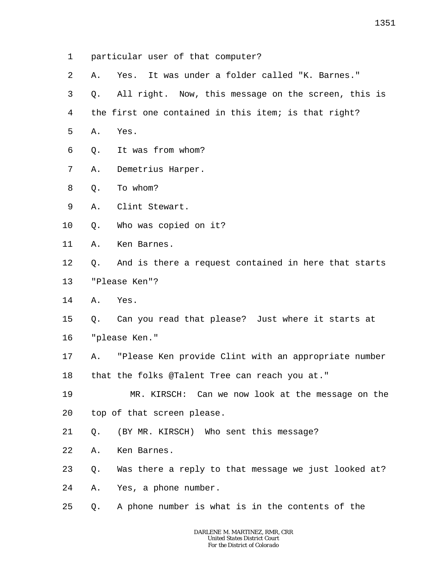- 1 particular user of that computer?
- 2 A. Yes. It was under a folder called "K. Barnes."
- 3 Q. All right. Now, this message on the screen, this is
- 4 the first one contained in this item; is that right?
- 5 A. Yes.
- 6 Q. It was from whom?
- 7 A. Demetrius Harper.
- 8 Q. To whom?
- 9 A. Clint Stewart.
- 10 Q. Who was copied on it?
- 11 A. Ken Barnes.
- 12 13 Q. And is there a request contained in here that starts "Please Ken"?
- 14 A. Yes.
- 15 Q. Can you read that please? Just where it starts at
- 16 "please Ken."
- 17 A. "Please Ken provide Clint with an appropriate number
- 18 that the folks @Talent Tree can reach you at."
- 19 20 MR. KIRSCH: Can we now look at the message on the top of that screen please.
- 21 Q. (BY MR. KIRSCH) Who sent this message?
- 22 A. Ken Barnes.
- 23 Q. Was there a reply to that message we just looked at?
- 24 A. Yes, a phone number.
- 25 Q. A phone number is what is in the contents of the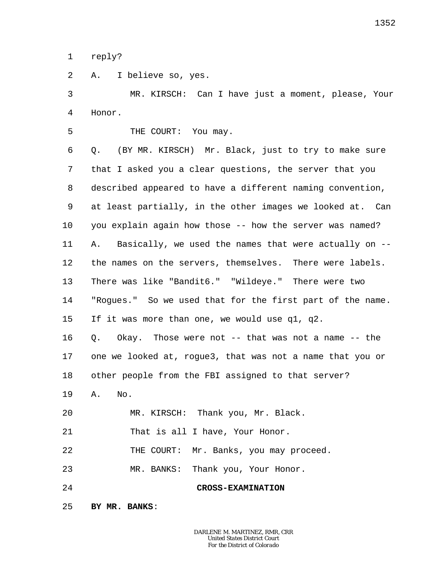1 reply?

5

2 A. I believe so, yes.

3 4 MR. KIRSCH: Can I have just a moment, please, Your Honor.

THE COURT: You may.

6 7 8 9 10 11 12 13 14 15 16 17 18 19 20 21 22 23 24 Q. (BY MR. KIRSCH) Mr. Black, just to try to make sure that I asked you a clear questions, the server that you described appeared to have a different naming convention, at least partially, in the other images we looked at. Can you explain again how those -- how the server was named? A. Basically, we used the names that were actually on - the names on the servers, themselves. There were labels. There was like "Bandit6." "Wildeye." There were two "Rogues." So we used that for the first part of the name. If it was more than one, we would use q1, q2. Q. Okay. Those were not -- that was not a name -- the one we looked at, rogue3, that was not a name that you or other people from the FBI assigned to that server? A. No. MR. KIRSCH: Thank you, Mr. Black. That is all I have, Your Honor. THE COURT: Mr. Banks, you may proceed. MR. BANKS: Thank you, Your Honor. **CROSS-EXAMINATION**

25 **BY MR. BANKS**: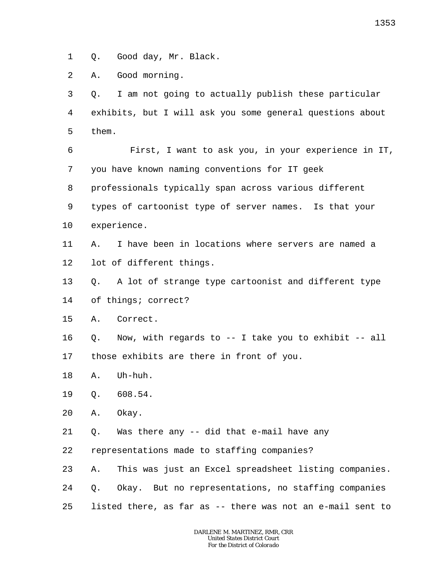1 Q. Good day, Mr. Black.

2 A. Good morning.

3 4 5 Q. I am not going to actually publish these particular exhibits, but I will ask you some general questions about them.

6 7 8 9 10 First, I want to ask you, in your experience in IT, you have known naming conventions for IT geek professionals typically span across various different types of cartoonist type of server names. Is that your experience.

11 12 A. I have been in locations where servers are named a lot of different things.

13 Q. A lot of strange type cartoonist and different type

14 of things; correct?

15 A. Correct.

16 17 Q. Now, with regards to -- I take you to exhibit -- all those exhibits are there in front of you.

18 A. Uh-huh.

19 Q. 608.54.

20 A. Okay.

21 Q. Was there any -- did that e-mail have any

22 representations made to staffing companies?

23 A. This was just an Excel spreadsheet listing companies.

24 Q. Okay. But no representations, no staffing companies

25 listed there, as far as -- there was not an e-mail sent to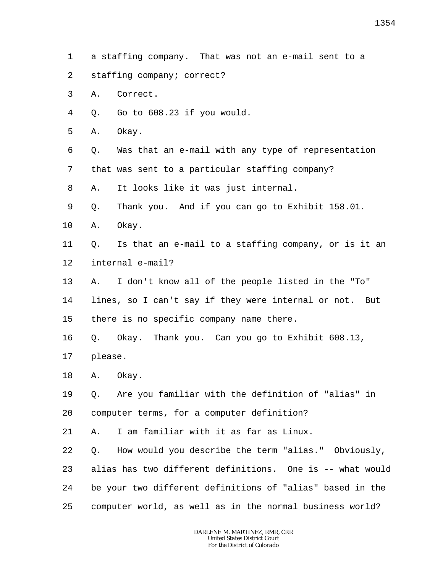- 1 a staffing company. That was not an e-mail sent to a
- 2 staffing company; correct?
- 3 A. Correct.
- 4 Q. Go to 608.23 if you would.
- 5 A. Okay.
- 6 Q. Was that an e-mail with any type of representation
- 7 that was sent to a particular staffing company?
- 8 A. It looks like it was just internal.
- 9 Q. Thank you. And if you can go to Exhibit 158.01.
- 10 A. Okay.
- 11 12 Q. Is that an e-mail to a staffing company, or is it an internal e-mail?
- 13 A. I don't know all of the people listed in the "To"
- 14 15 lines, so I can't say if they were internal or not. But there is no specific company name there.
- 16 Q. Okay. Thank you. Can you go to Exhibit 608.13,
- 17 please.
- 18 A. Okay.
- 19 20 Q. Are you familiar with the definition of "alias" in computer terms, for a computer definition?
- 21 A. I am familiar with it as far as Linux.
- 22 23 24 25 Q. How would you describe the term "alias." Obviously, alias has two different definitions. One is -- what would be your two different definitions of "alias" based in the computer world, as well as in the normal business world?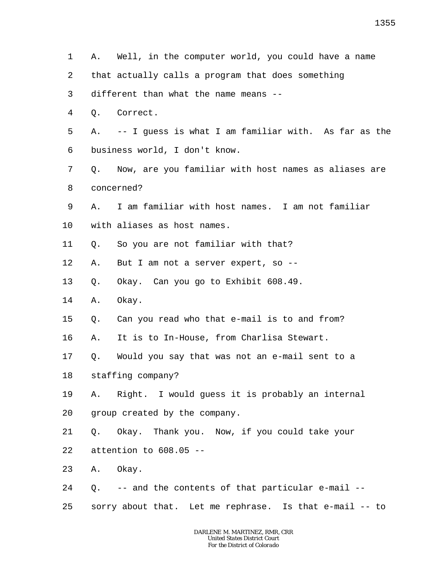| $\mathbf{1}$ | Α. | Well, in the computer world, you could have a name      |
|--------------|----|---------------------------------------------------------|
| 2            |    | that actually calls a program that does something       |
| 3            |    | different than what the name means --                   |
| 4            | Q. | Correct.                                                |
| 5            |    | A. -- I quess is what I am familiar with. As far as the |
| 6            |    | business world, I don't know.                           |
| 7            |    | Q. Now, are you familiar with host names as aliases are |
| 8            |    | concerned?                                              |
| 9            | Α. | I am familiar with host names. I am not familiar        |
| 10           |    | with aliases as host names.                             |
| 11           | Q. | So you are not familiar with that?                      |
| 12           | Α. | But I am not a server expert, so --                     |
| 13           | Q. | Okay. Can you go to Exhibit 608.49.                     |
| 14           | Α. | Okay.                                                   |
| 15           | Q. | Can you read who that e-mail is to and from?            |
| 16           | Α. | It is to In-House, from Charlisa Stewart.               |
| 17           | Q. | Would you say that was not an e-mail sent to a          |
| $18\,$       |    | staffing company?                                       |
| 19           |    | A. Right. I would guess it is probably an internal      |
| 20           |    | group created by the company.                           |
| 21           |    | Q. Okay. Thank you. Now, if you could take your         |
| 22           |    | attention to 608.05 --                                  |
| 23           |    | A. Okay.                                                |
| 24           |    | Q. -- and the contents of that particular e-mail --     |
| 25           |    | sorry about that. Let me rephrase. Is that e-mail -- to |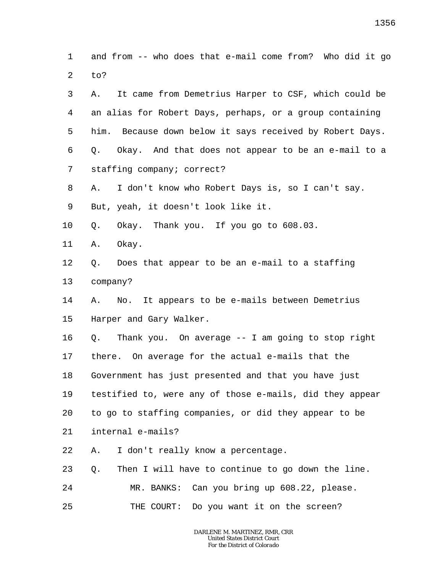1 2 3 4 5 6 7 8 and from -- who does that e-mail come from? Who did it go to? A. It came from Demetrius Harper to CSF, which could be an alias for Robert Days, perhaps, or a group containing him. Because down below it says received by Robert Days. Q. Okay. And that does not appear to be an e-mail to a staffing company; correct? A. I don't know who Robert Days is, so I can't say.

9 But, yeah, it doesn't look like it.

10 Q. Okay. Thank you. If you go to 608.03.

11 A. Okay.

12 13 Q. Does that appear to be an e-mail to a staffing company?

14 15 A. No. It appears to be e-mails between Demetrius Harper and Gary Walker.

16 17 18 19 20 21 Q. Thank you. On average -- I am going to stop right there. On average for the actual e-mails that the Government has just presented and that you have just testified to, were any of those e-mails, did they appear to go to staffing companies, or did they appear to be internal e-mails?

22 A. I don't really know a percentage.

23 24 Q. Then I will have to continue to go down the line. MR. BANKS: Can you bring up 608.22, please.

25 THE COURT: Do you want it on the screen?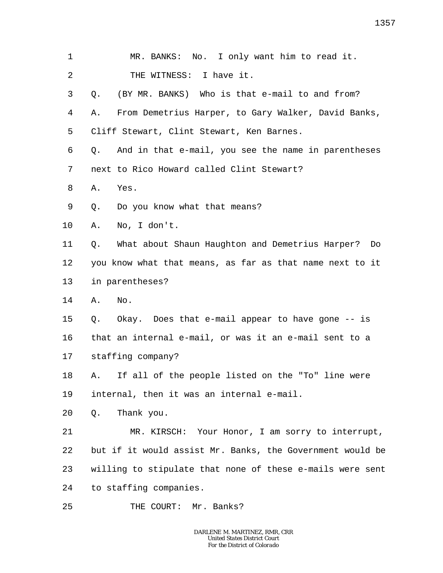| 1              | MR. BANKS: No. I only want him to read it.                |
|----------------|-----------------------------------------------------------|
| $\sqrt{2}$     | THE WITNESS: I have it.                                   |
| 3              | (BY MR. BANKS) Who is that e-mail to and from?<br>Q.      |
| $\overline{4}$ | From Demetrius Harper, to Gary Walker, David Banks,<br>Α. |
| 5              | Cliff Stewart, Clint Stewart, Ken Barnes.                 |
| 6              | And in that e-mail, you see the name in parentheses<br>Q. |
| 7              | next to Rico Howard called Clint Stewart?                 |
| 8              | Α.<br>Yes.                                                |
| 9              | Do you know what that means?<br>Q.                        |
| 10             | No, I don't.<br>Α.                                        |
| 11             | Q. What about Shaun Haughton and Demetrius Harper? Do     |
| 12             | you know what that means, as far as that name next to it  |
| 13             | in parentheses?                                           |
| 14             | No.<br>Α.                                                 |
| 15             | Q. Okay. Does that e-mail appear to have gone -- is       |
| 16             | that an internal e-mail, or was it an e-mail sent to a    |
| 17             | staffing company?                                         |
| 18             | If all of the people listed on the "To" line were<br>Α.   |
| 19             | internal, then it was an internal e-mail.                 |
| 20             | Thank you.<br>Q.                                          |
| 21             | MR. KIRSCH: Your Honor, I am sorry to interrupt,          |
| 22             | but if it would assist Mr. Banks, the Government would be |
| 23             | willing to stipulate that none of these e-mails were sent |
| 24             | to staffing companies.                                    |
| 25             | Mr. Banks?<br>THE COURT:                                  |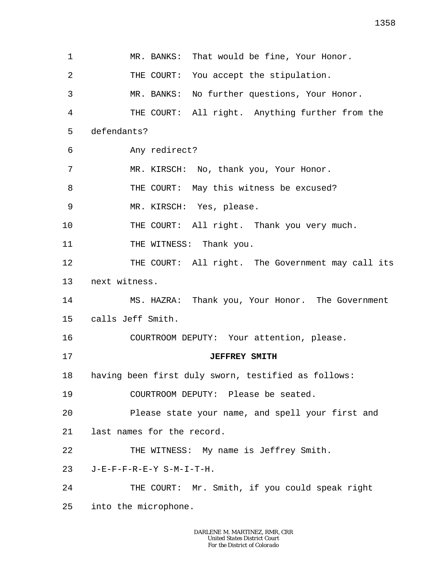1 2 3 4 5 6 7 8 9 10 11 12 13 14 15 16 17 18 19 20 21 22 23 24 25 MR. BANKS: That would be fine, Your Honor. THE COURT: You accept the stipulation. MR. BANKS: No further questions, Your Honor. THE COURT: All right. Anything further from the defendants? Any redirect? MR. KIRSCH: No, thank you, Your Honor. THE COURT: May this witness be excused? MR. KIRSCH: Yes, please. THE COURT: All right. Thank you very much. THE WITNESS: Thank you. THE COURT: All right. The Government may call its next witness. MS. HAZRA: Thank you, Your Honor. The Government calls Jeff Smith. COURTROOM DEPUTY: Your attention, please. **JEFFREY SMITH** having been first duly sworn, testified as follows: COURTROOM DEPUTY: Please be seated. Please state your name, and spell your first and last names for the record. THE WITNESS: My name is Jeffrey Smith. J-E-F-F-R-E-Y S-M-I-T-H. THE COURT: Mr. Smith, if you could speak right into the microphone.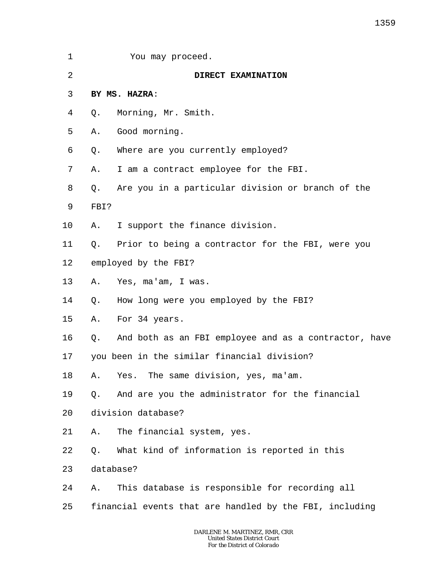| $\mathbf 1$ | You may proceed.                                            |
|-------------|-------------------------------------------------------------|
| 2           | DIRECT EXAMINATION                                          |
| 3           | BY MS. HAZRA:                                               |
| 4           | Morning, Mr. Smith.<br>Q.                                   |
| 5           | Good morning.<br>Α.                                         |
| 6           | Where are you currently employed?<br>Q.                     |
| 7           | I am a contract employee for the FBI.<br>Α.                 |
| 8           | Are you in a particular division or branch of the<br>Q.     |
| 9           | FBI?                                                        |
| $10 \,$     | I support the finance division.<br>Α.                       |
| 11          | Prior to being a contractor for the FBI, were you<br>Q.     |
| 12          | employed by the FBI?                                        |
| 13          | Yes, ma'am, I was.<br>Α.                                    |
| 14          | How long were you employed by the FBI?<br>Q.                |
| 15          | For 34 years.<br>Α.                                         |
| 16          | And both as an FBI employee and as a contractor, have<br>Q. |
| 17          | you been in the similar financial division?                 |
| 18          | Yes. The same division, yes, ma'am.<br>Α.                   |
| 19          | And are you the administrator for the financial<br>Q.       |
| 20          | division database?                                          |
| 21          | The financial system, yes.<br>Α.                            |
| 22          | What kind of information is reported in this<br>Q.          |
| 23          | database?                                                   |
| 24          | This database is responsible for recording all<br>Α.        |
| 25          | financial events that are handled by the FBI, including     |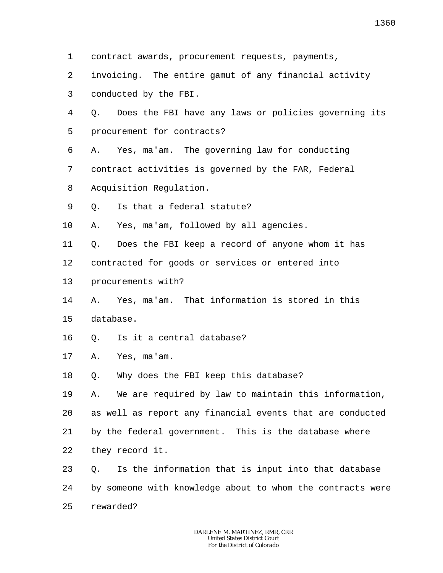- 1 contract awards, procurement requests, payments,
- 2 invoicing. The entire gamut of any financial activity
- 3 conducted by the FBI.

4 5 Q. Does the FBI have any laws or policies governing its procurement for contracts?

6 A. Yes, ma'am. The governing law for conducting

7 contract activities is governed by the FAR, Federal

- 8 Acquisition Regulation.
- 9 Q. Is that a federal statute?

10 A. Yes, ma'am, followed by all agencies.

11 Q. Does the FBI keep a record of anyone whom it has

12 contracted for goods or services or entered into

- 13 procurements with?
- 14 15 A. Yes, ma'am. That information is stored in this database.
- 16 Q. Is it a central database?

17 A. Yes, ma'am.

18 Q. Why does the FBI keep this database?

19 20 21 22 A. We are required by law to maintain this information, as well as report any financial events that are conducted by the federal government. This is the database where they record it.

23 24 25 Q. Is the information that is input into that database by someone with knowledge about to whom the contracts were rewarded?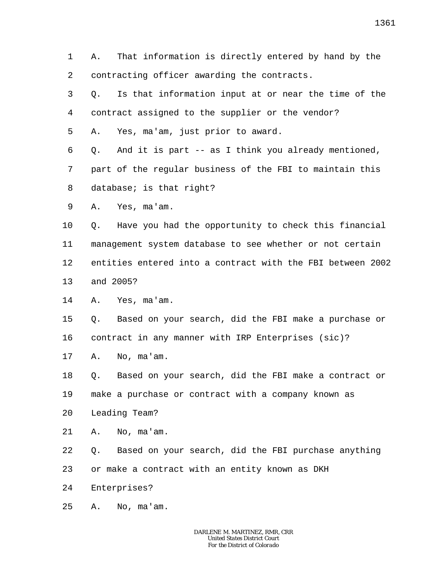1 2 A. That information is directly entered by hand by the contracting officer awarding the contracts.

3 4 Q. Is that information input at or near the time of the contract assigned to the supplier or the vendor?

5 A. Yes, ma'am, just prior to award.

6 7 8 Q. And it is part -- as I think you already mentioned, part of the regular business of the FBI to maintain this database; is that right?

9 A. Yes, ma'am.

10 11 12 13 Q. Have you had the opportunity to check this financial management system database to see whether or not certain entities entered into a contract with the FBI between 2002 and 2005?

14 A. Yes, ma'am.

15 16 Q. Based on your search, did the FBI make a purchase or contract in any manner with IRP Enterprises (sic)?

17 A. No, ma'am.

18 19 Q. Based on your search, did the FBI make a contract or make a purchase or contract with a company known as

- 20 Leading Team?
- 21 A. No, ma'am.
- 22 Q. Based on your search, did the FBI purchase anything
- 23 or make a contract with an entity known as DKH
- 24 Enterprises?

25 A. No, ma'am.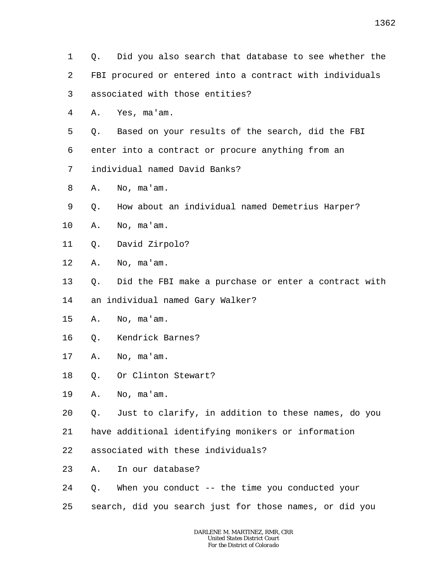- 1 2 3 4 5 6 7 8 9 10 11 12 13 14 15 16 17 18 19 20 21 22 23 24 Q. Did you also search that database to see whether the FBI procured or entered into a contract with individuals associated with those entities? A. Yes, ma'am. Q. Based on your results of the search, did the FBI enter into a contract or procure anything from an individual named David Banks? A. No, ma'am. Q. How about an individual named Demetrius Harper? A. No, ma'am. Q. David Zirpolo? A. No, ma'am. Q. Did the FBI make a purchase or enter a contract with an individual named Gary Walker? A. No, ma'am. Q. Kendrick Barnes? A. No, ma'am. Q. Or Clinton Stewart? A. No, ma'am. Q. Just to clarify, in addition to these names, do you have additional identifying monikers or information associated with these individuals? A. In our database? Q. When you conduct -- the time you conducted your
- 25 search, did you search just for those names, or did you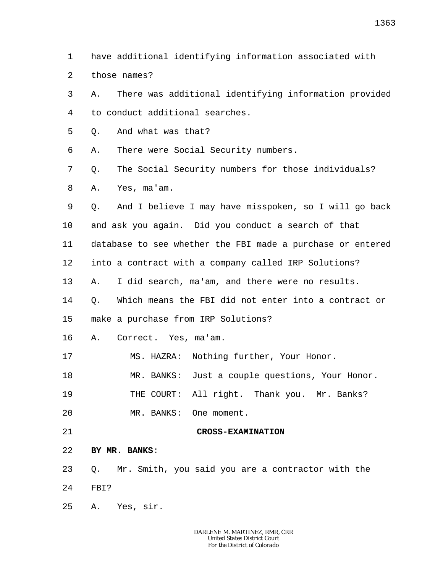1 2 have additional identifying information associated with those names?

3 4 A. There was additional identifying information provided to conduct additional searches.

5 Q. And what was that?

6 A. There were Social Security numbers.

7 8 Q. The Social Security numbers for those individuals? A. Yes, ma'am.

9 10 11 12 Q. And I believe I may have misspoken, so I will go back and ask you again. Did you conduct a search of that database to see whether the FBI made a purchase or entered into a contract with a company called IRP Solutions?

13 A. I did search, ma'am, and there were no results.

14 Q. Which means the FBI did not enter into a contract or

15 make a purchase from IRP Solutions?

16 A. Correct. Yes, ma'am.

17 MS. HAZRA: Nothing further, Your Honor.

18 MR. BANKS: Just a couple questions, Your Honor.

19 THE COURT: All right. Thank you. Mr. Banks?

20 MR. BANKS: One moment.

21

**CROSS-EXAMINATION**

22 **BY MR. BANKS**:

23 Q. Mr. Smith, you said you are a contractor with the

- 24 FBI?
- 25 A. Yes, sir.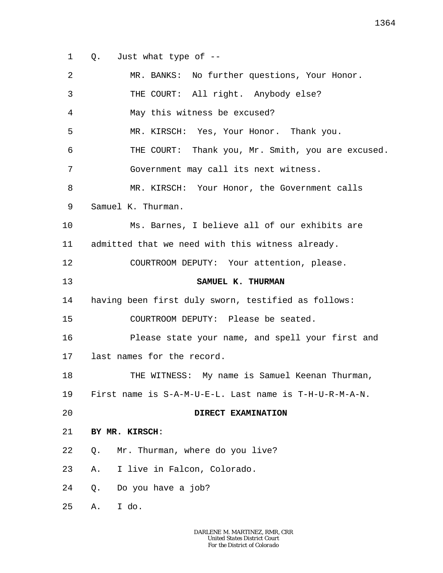1 Q. Just what type of --

| 2       | MR. BANKS: No further questions, Your Honor.           |
|---------|--------------------------------------------------------|
| 3       | THE COURT: All right. Anybody else?                    |
| 4       | May this witness be excused?                           |
| 5       | MR. KIRSCH: Yes, Your Honor. Thank you.                |
| 6       | THE COURT: Thank you, Mr. Smith, you are excused.      |
| 7       | Government may call its next witness.                  |
| 8       | MR. KIRSCH: Your Honor, the Government calls           |
| 9       | Samuel K. Thurman.                                     |
| $10 \,$ | Ms. Barnes, I believe all of our exhibits are          |
| 11      | admitted that we need with this witness already.       |
| 12      | COURTROOM DEPUTY: Your attention, please.              |
| 13      | SAMUEL K. THURMAN                                      |
| 14      | having been first duly sworn, testified as follows:    |
| 15      | COURTROOM DEPUTY: Please be seated.                    |
| 16      | Please state your name, and spell your first and       |
|         |                                                        |
| 17      | last names for the record.                             |
| 18      | THE WITNESS: My name is Samuel Keenan Thurman,         |
| 19      | First name is S-A-M-U-E-L. Last name is T-H-U-R-M-A-N. |
| 20      | DIRECT EXAMINATION                                     |
| 21      | BY MR. KIRSCH:                                         |
| 22      | Mr. Thurman, where do you live?<br>$Q$ .               |
| 23      | I live in Falcon, Colorado.<br>Α.                      |
| 24      | Q.<br>Do you have a job?                               |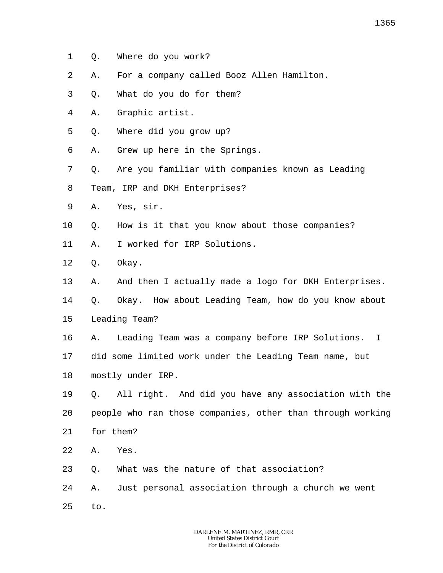- 1 Q. Where do you work?
- 2 A. For a company called Booz Allen Hamilton.
- 3 Q. What do you do for them?
- 4 A. Graphic artist.
- 5 Q. Where did you grow up?
- 6 A. Grew up here in the Springs.
- 7 Q. Are you familiar with companies known as Leading
- 8 Team, IRP and DKH Enterprises?
- 9 A. Yes, sir.
- 10 Q. How is it that you know about those companies?
- 11 A. I worked for IRP Solutions.
- 12 Q. Okay.
- 13 A. And then I actually made a logo for DKH Enterprises.
- 14 15 Q. Okay. How about Leading Team, how do you know about Leading Team?
- 16 17 18 A. Leading Team was a company before IRP Solutions. I did some limited work under the Leading Team name, but mostly under IRP.
- 19 20 21 Q. All right. And did you have any association with the people who ran those companies, other than through working for them?
- 
- 22 A. Yes.
- 23 Q. What was the nature of that association?
- 24 25 A. Just personal association through a church we went to.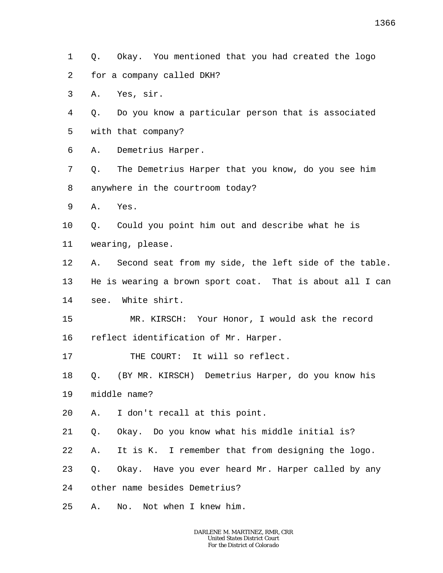- 2 for a company called DKH?
- 3 A. Yes, sir.

1

- 4 5 Q. Do you know a particular person that is associated with that company?
- 6 A. Demetrius Harper.
- 7 8 Q. The Demetrius Harper that you know, do you see him anywhere in the courtroom today?
- 9 A. Yes.
- 10 Q. Could you point him out and describe what he is
- 11 wearing, please.
- 12 A. Second seat from my side, the left side of the table.
- 13 He is wearing a brown sport coat. That is about all I can
- 14 see. White shirt.
- 15 16 MR. KIRSCH: Your Honor, I would ask the record reflect identification of Mr. Harper.
- 17 THE COURT: It will so reflect.
- 18 Q. (BY MR. KIRSCH) Demetrius Harper, do you know his
- 19 middle name?
- 20 A. I don't recall at this point.
- 21 Q. Okay. Do you know what his middle initial is?
- 22 A. It is K. I remember that from designing the logo.
- 23 Q. Okay. Have you ever heard Mr. Harper called by any
- 24 other name besides Demetrius?
- 25 A. No. Not when I knew him.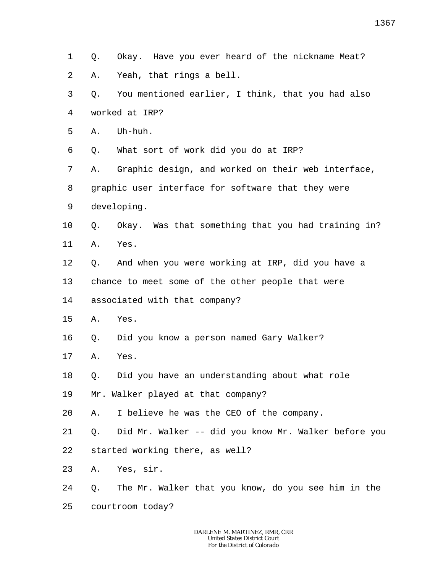1 2 3 4 5 6 7 8 9 10 11 12 13 14 15 16 17 18 19 20 21 22 23 24 25 Q. Okay. Have you ever heard of the nickname Meat? A. Yeah, that rings a bell. Q. You mentioned earlier, I think, that you had also worked at IRP? A. Uh-huh. Q. What sort of work did you do at IRP? A. Graphic design, and worked on their web interface, graphic user interface for software that they were developing. Q. Okay. Was that something that you had training in? A. Yes. Q. And when you were working at IRP, did you have a chance to meet some of the other people that were associated with that company? A. Yes. Q. Did you know a person named Gary Walker? A. Yes. Q. Did you have an understanding about what role Mr. Walker played at that company? A. I believe he was the CEO of the company. Q. Did Mr. Walker -- did you know Mr. Walker before you started working there, as well? A. Yes, sir. Q. The Mr. Walker that you know, do you see him in the courtroom today?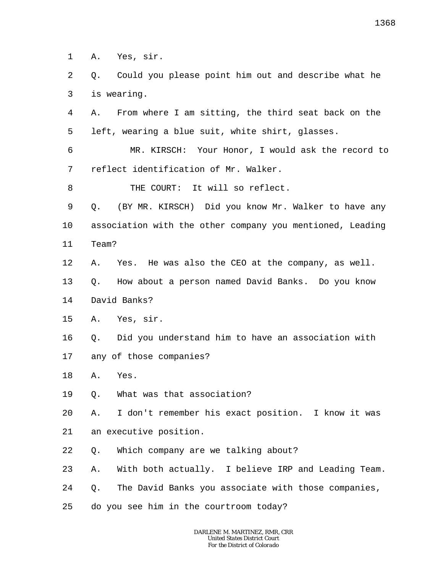1 A. Yes, sir.

2 3 Q. Could you please point him out and describe what he is wearing.

4 5 A. From where I am sitting, the third seat back on the left, wearing a blue suit, white shirt, glasses.

6 7 MR. KIRSCH: Your Honor, I would ask the record to reflect identification of Mr. Walker.

8 THE COURT: It will so reflect.

9 10 11 Q. (BY MR. KIRSCH) Did you know Mr. Walker to have any association with the other company you mentioned, Leading Team?

12 A. Yes. He was also the CEO at the company, as well.

13 Q. How about a person named David Banks. Do you know

14 David Banks?

15 A. Yes, sir.

16 17 Q. Did you understand him to have an association with any of those companies?

18 A. Yes.

19 Q. What was that association?

20 A. I don't remember his exact position. I know it was

21 an executive position.

22 Q. Which company are we talking about?

23 A. With both actually. I believe IRP and Leading Team.

24 Q. The David Banks you associate with those companies,

25 do you see him in the courtroom today?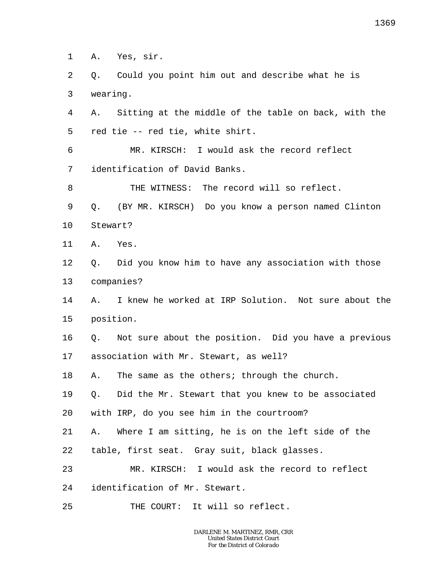1 A. Yes, sir.

2 3 Q. Could you point him out and describe what he is wearing.

4 5 A. Sitting at the middle of the table on back, with the red tie -- red tie, white shirt.

6 7 MR. KIRSCH: I would ask the record reflect identification of David Banks.

8 9 THE WITNESS: The record will so reflect. Q. (BY MR. KIRSCH) Do you know a person named Clinton

- 10 Stewart?
- 11 A. Yes.

12 13 Q. Did you know him to have any association with those companies?

14 15 A. I knew he worked at IRP Solution. Not sure about the position.

16 17 Q. Not sure about the position. Did you have a previous association with Mr. Stewart, as well?

18 A. The same as the others; through the church.

19 Q. Did the Mr. Stewart that you knew to be associated

20 with IRP, do you see him in the courtroom?

21 A. Where I am sitting, he is on the left side of the

22 table, first seat. Gray suit, black glasses.

23 MR. KIRSCH: I would ask the record to reflect

24 identification of Mr. Stewart.

25 THE COURT: It will so reflect.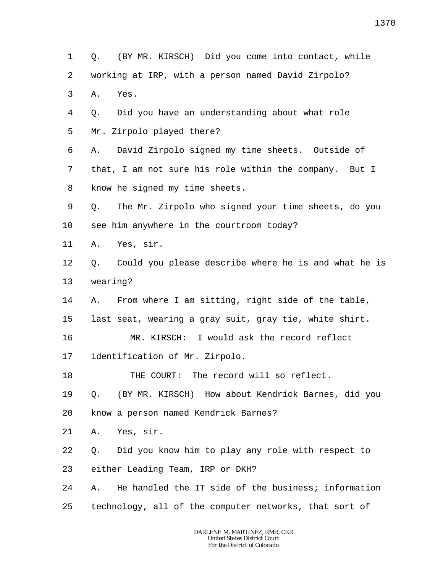1 2 3 4 5 6 7 8 9 10 11 12 13 14 15 16 17 18 19 20 21 22 23 24 25 Q. (BY MR. KIRSCH) Did you come into contact, while working at IRP, with a person named David Zirpolo? A. Yes. Q. Did you have an understanding about what role Mr. Zirpolo played there? A. David Zirpolo signed my time sheets. Outside of that, I am not sure his role within the company. But I know he signed my time sheets. Q. The Mr. Zirpolo who signed your time sheets, do you see him anywhere in the courtroom today? A. Yes, sir. Q. Could you please describe where he is and what he is wearing? A. From where I am sitting, right side of the table, last seat, wearing a gray suit, gray tie, white shirt. MR. KIRSCH: I would ask the record reflect identification of Mr. Zirpolo. THE COURT: The record will so reflect. Q. (BY MR. KIRSCH) How about Kendrick Barnes, did you know a person named Kendrick Barnes? A. Yes, sir. Q. Did you know him to play any role with respect to either Leading Team, IRP or DKH? A. He handled the IT side of the business; information technology, all of the computer networks, that sort of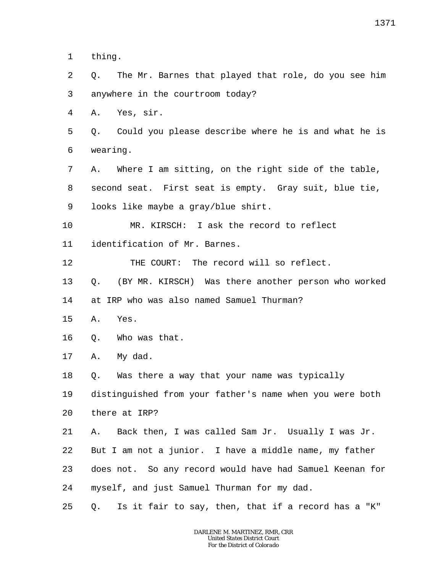1 thing.

2 3 Q. The Mr. Barnes that played that role, do you see him anywhere in the courtroom today?

4 A. Yes, sir.

5 6 Q. Could you please describe where he is and what he is wearing.

7 8 9 A. Where I am sitting, on the right side of the table, second seat. First seat is empty. Gray suit, blue tie, looks like maybe a gray/blue shirt.

10 MR. KIRSCH: I ask the record to reflect

11 identification of Mr. Barnes.

12 THE COURT: The record will so reflect.

13 Q. (BY MR. KIRSCH) Was there another person who worked

14 at IRP who was also named Samuel Thurman?

- 15 A. Yes.
- 16 Q. Who was that.

17 A. My dad.

18 Q. Was there a way that your name was typically

19 distinguished from your father's name when you were both

20 there at IRP?

21 22 23 24 A. Back then, I was called Sam Jr. Usually I was Jr. But I am not a junior. I have a middle name, my father does not. So any record would have had Samuel Keenan for myself, and just Samuel Thurman for my dad.

25 Q. Is it fair to say, then, that if a record has a "K"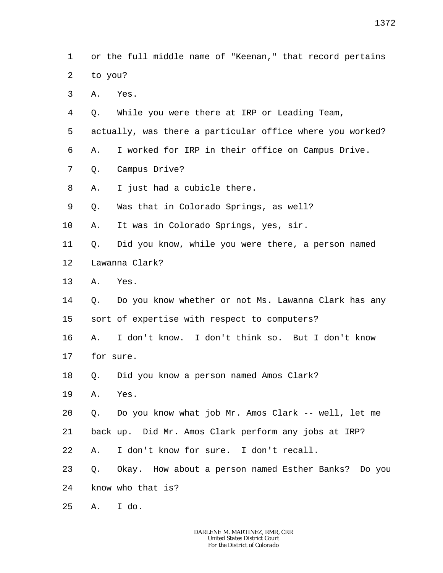- 1 2 or the full middle name of "Keenan," that record pertains to you?
- 3 A. Yes.
- 4 Q. While you were there at IRP or Leading Team,
- 5 actually, was there a particular office where you worked?
- 6 A. I worked for IRP in their office on Campus Drive.
- 7 Q. Campus Drive?
- 8 A. I just had a cubicle there.
- 9 Q. Was that in Colorado Springs, as well?
- 10 A. It was in Colorado Springs, yes, sir.
- 11 12 Q. Did you know, while you were there, a person named Lawanna Clark?
- 13 A. Yes.
- 14 15 Q. Do you know whether or not Ms. Lawanna Clark has any sort of expertise with respect to computers?
- 16 17 A. I don't know. I don't think so. But I don't know for sure.
- 18 Q. Did you know a person named Amos Clark?
- 19 A. Yes.
- 20 Q. Do you know what job Mr. Amos Clark -- well, let me
- 21 back up. Did Mr. Amos Clark perform any jobs at IRP?
- 22 A. I don't know for sure. I don't recall.
- 23 Q. Okay. How about a person named Esther Banks? Do you

24 know who that is?

25 A. I do.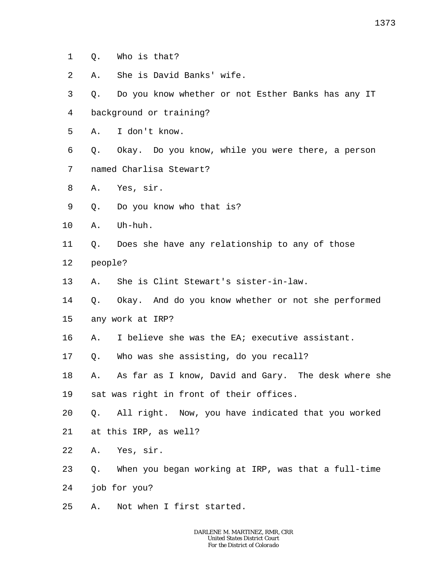- 1 Q. Who is that?
- 2 A. She is David Banks' wife.
- 3 4 Q. Do you know whether or not Esther Banks has any IT background or training?
- 5 A. I don't know.
- 6 7 Q. Okay. Do you know, while you were there, a person named Charlisa Stewart?
- 8 A. Yes, sir.
- 9 Q. Do you know who that is?
- 10 A. Uh-huh.
- 11 Q. Does she have any relationship to any of those
- 12 people?
- 13 A. She is Clint Stewart's sister-in-law.
- 14 15 Q. Okay. And do you know whether or not she performed any work at IRP?
- 16 A. I believe she was the EA; executive assistant.
- 17 Q. Who was she assisting, do you recall?
- 18 19 A. As far as I know, David and Gary. The desk where she sat was right in front of their offices.
- 20 Q. All right. Now, you have indicated that you worked
- 21 at this IRP, as well?
- 22 A. Yes, sir.
- 23 Q. When you began working at IRP, was that a full-time
- 24 job for you?
- 25 A. Not when I first started.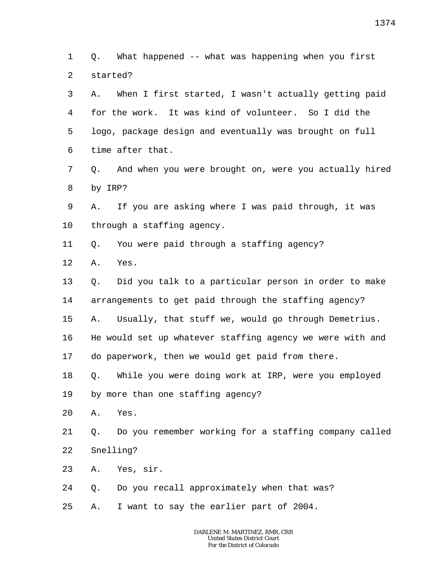1  $\overline{a}$ Q. What happened -- what was happening when you first started?

3 4 5 6 7 8 9 10 11 12 13 14 15 16 17 18 19 20 21 22 23 A. When I first started, I wasn't actually getting paid for the work. It was kind of volunteer. So I did the logo, package design and eventually was brought on full time after that. Q. And when you were brought on, were you actually hired by IRP? A. If you are asking where I was paid through, it was through a staffing agency. Q. You were paid through a staffing agency? A. Yes. Q. Did you talk to a particular person in order to make arrangements to get paid through the staffing agency? A. Usually, that stuff we, would go through Demetrius. He would set up whatever staffing agency we were with and do paperwork, then we would get paid from there. Q. While you were doing work at IRP, were you employed by more than one staffing agency? A. Yes. Q. Do you remember working for a staffing company called Snelling? A. Yes, sir.

24 Q. Do you recall approximately when that was?

25 A. I want to say the earlier part of 2004.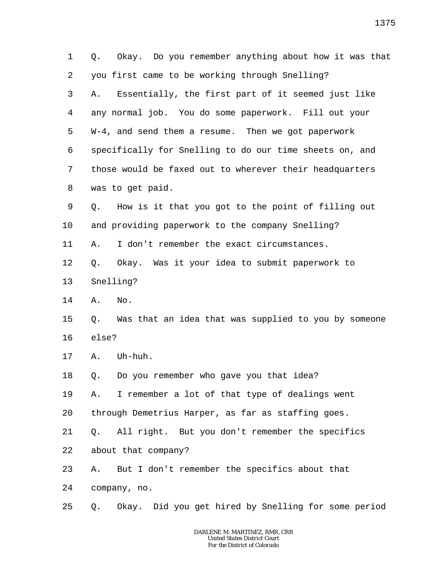1 2 3 4 5 6 7 8 9 10 11 12 13 14 15 16 17 18 19 20 21 22 23 24 25 Q. Okay. Do you remember anything about how it was that you first came to be working through Snelling? A. Essentially, the first part of it seemed just like any normal job. You do some paperwork. Fill out your W-4, and send them a resume. Then we got paperwork specifically for Snelling to do our time sheets on, and those would be faxed out to wherever their headquarters was to get paid. Q. How is it that you got to the point of filling out and providing paperwork to the company Snelling? A. I don't remember the exact circumstances. Q. Okay. Was it your idea to submit paperwork to Snelling? A. No. Q. Was that an idea that was supplied to you by someone else? A. Uh-huh. Q. Do you remember who gave you that idea? A. I remember a lot of that type of dealings went through Demetrius Harper, as far as staffing goes. Q. All right. But you don't remember the specifics about that company? A. But I don't remember the specifics about that company, no. Q. Okay. Did you get hired by Snelling for some period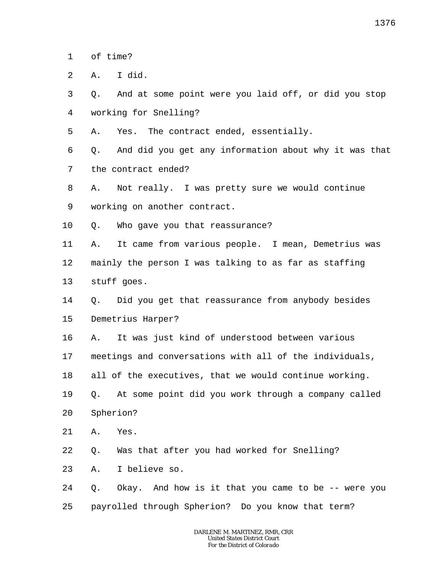1 of time?

 $\overline{a}$ A. I did.

3 4 Q. And at some point were you laid off, or did you stop working for Snelling?

5 A. Yes. The contract ended, essentially.

6 7 Q. And did you get any information about why it was that the contract ended?

8 9 A. Not really. I was pretty sure we would continue working on another contract.

10 Q. Who gave you that reassurance?

11 12 13 A. It came from various people. I mean, Demetrius was mainly the person I was talking to as far as staffing stuff goes.

14 15 Q. Did you get that reassurance from anybody besides Demetrius Harper?

16 17 18 A. It was just kind of understood between various meetings and conversations with all of the individuals, all of the executives, that we would continue working.

19 20 Q. At some point did you work through a company called Spherion?

21 A. Yes.

22 Q. Was that after you had worked for Snelling?

23 A. I believe so.

24 25 Q. Okay. And how is it that you came to be -- were you payrolled through Spherion? Do you know that term?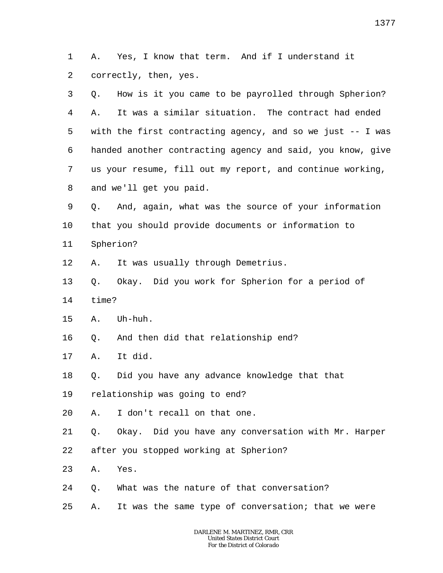1 2 A. Yes, I know that term. And if I understand it correctly, then, yes.

3 4 5 6 7 8 Q. How is it you came to be payrolled through Spherion? A. It was a similar situation. The contract had ended with the first contracting agency, and so we just -- I was handed another contracting agency and said, you know, give us your resume, fill out my report, and continue working, and we'll get you paid.

9 10 Q. And, again, what was the source of your information that you should provide documents or information to

11 Spherion?

12 A. It was usually through Demetrius.

- 13 Q. Okay. Did you work for Spherion for a period of
- 14 time?
- 15 A. Uh-huh.
- 16 Q. And then did that relationship end?
- 17 A. It did.
- 18 Q. Did you have any advance knowledge that that
- 19 relationship was going to end?
- 20 A. I don't recall on that one.
- 21 Q. Okay. Did you have any conversation with Mr. Harper
- 22 after you stopped working at Spherion?
- 23 A. Yes.
- 24 Q. What was the nature of that conversation?
- 25 A. It was the same type of conversation; that we were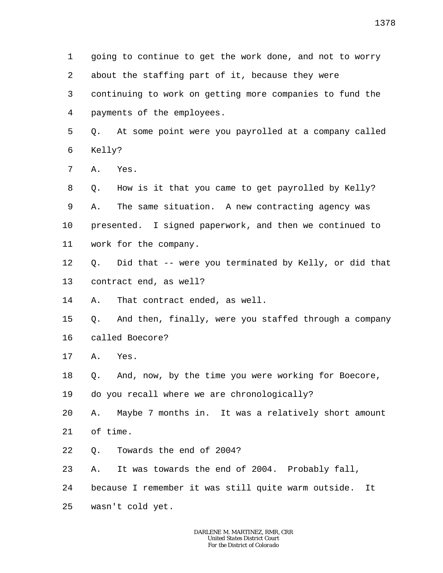1 2 3 4 5 6 7 8 9 10 11 12 13 14 15 16 17 18 19 20 21 22 23 24 25 going to continue to get the work done, and not to worry about the staffing part of it, because they were continuing to work on getting more companies to fund the payments of the employees. Q. At some point were you payrolled at a company called Kelly? A. Yes. Q. How is it that you came to get payrolled by Kelly? A. The same situation. A new contracting agency was presented. I signed paperwork, and then we continued to work for the company. Q. Did that -- were you terminated by Kelly, or did that contract end, as well? A. That contract ended, as well. Q. And then, finally, were you staffed through a company called Boecore? A. Yes. Q. And, now, by the time you were working for Boecore, do you recall where we are chronologically? A. Maybe 7 months in. It was a relatively short amount of time. Q. Towards the end of 2004? A. It was towards the end of 2004. Probably fall, because I remember it was still quite warm outside. It wasn't cold yet.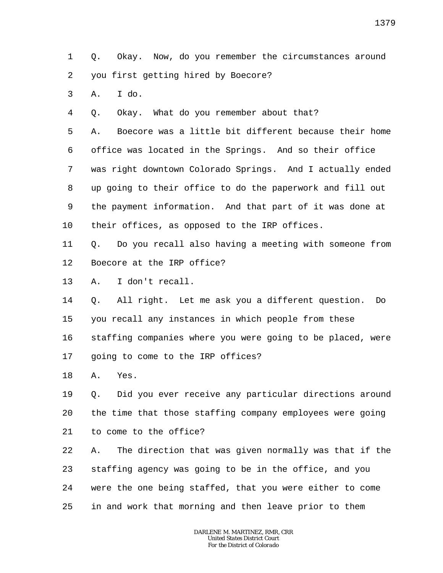1 2 Q. Okay. Now, do you remember the circumstances around you first getting hired by Boecore?

3 A. I do.

4 Q. Okay. What do you remember about that?

5 6 7 8 9 10 A. Boecore was a little bit different because their home office was located in the Springs. And so their office was right downtown Colorado Springs. And I actually ended up going to their office to do the paperwork and fill out the payment information. And that part of it was done at their offices, as opposed to the IRP offices.

11 12 Q. Do you recall also having a meeting with someone from Boecore at the IRP office?

13 A. I don't recall.

14 15 Q. All right. Let me ask you a different question. Do you recall any instances in which people from these

16 17 staffing companies where you were going to be placed, were going to come to the IRP offices?

18 A. Yes.

19 20 21 Q. Did you ever receive any particular directions around the time that those staffing company employees were going to come to the office?

22 23 24 25 A. The direction that was given normally was that if the staffing agency was going to be in the office, and you were the one being staffed, that you were either to come in and work that morning and then leave prior to them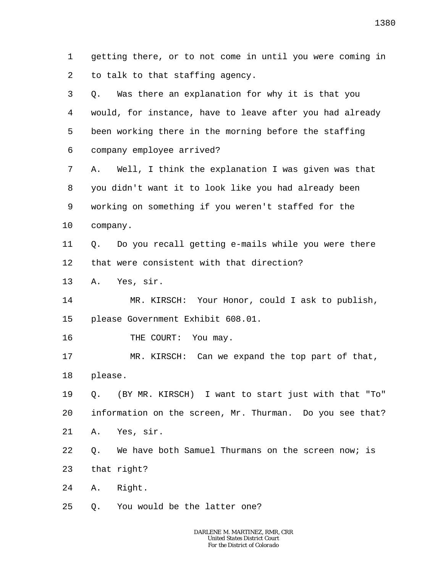1 2 getting there, or to not come in until you were coming in to talk to that staffing agency.

| 3  | O.       | Was there an explanation for why it is that you          |
|----|----------|----------------------------------------------------------|
| 4  |          | would, for instance, have to leave after you had already |
| 5  |          | been working there in the morning before the staffing    |
| 6  |          | company employee arrived?                                |
| 7  | Α.       | Well, I think the explanation I was given was that       |
| 8  |          | you didn't want it to look like you had already been     |
| 9  |          | working on something if you weren't staffed for the      |
| 10 | company. |                                                          |
| 11 | Q.       | Do you recall getting e-mails while you were there       |
| 12 |          | that were consistent with that direction?                |
| 13 |          | A. Yes, sir.                                             |
| 14 |          | MR. KIRSCH: Your Honor, could I ask to publish,          |
| 15 |          | please Government Exhibit 608.01.                        |
| 16 |          | THE COURT: You may.                                      |
| 17 |          | MR. KIRSCH: Can we expand the top part of that,          |
| 18 | please.  |                                                          |
| 19 | Q.       | (BY MR. KIRSCH) I want to start just with that "To"      |
| 20 |          | information on the screen, Mr. Thurman. Do you see that? |
| 21 | Α.       | Yes, sir.                                                |
| 22 | $Q$ .    | We have both Samuel Thurmans on the screen now; is       |
| 23 |          | that right?                                              |
| 24 | Α.       | Right.                                                   |
| 25 | 0.       | You would be the latter one?                             |
|    |          |                                                          |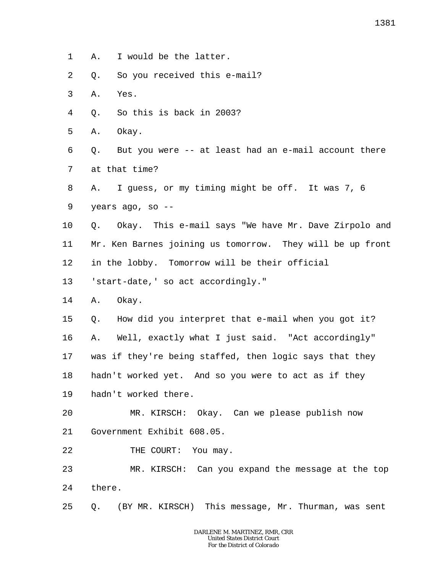- 1 A. I would be the latter.
- 2 Q. So you received this e-mail?
- 3 A. Yes.
- 4 Q. So this is back in 2003?
- 5 A. Okay.
- 6 7 Q. But you were -- at least had an e-mail account there at that time?
- 8 9 A. I guess, or my timing might be off. It was 7, 6 years ago, so --
- 10 11 12 Q. Okay. This e-mail says "We have Mr. Dave Zirpolo and Mr. Ken Barnes joining us tomorrow. They will be up front in the lobby. Tomorrow will be their official
- 13 'start-date,' so act accordingly."
- 14 A. Okay.
- 15 16 Q. How did you interpret that e-mail when you got it? A. Well, exactly what I just said. "Act accordingly"
- 

17 was if they're being staffed, then logic says that they

18 hadn't worked yet. And so you were to act as if they

- 19 hadn't worked there.
- 20 21 MR. KIRSCH: Okay. Can we please publish now Government Exhibit 608.05.
- 22 THE COURT: You may.
- 23 24 MR. KIRSCH: Can you expand the message at the top there.
- 25 Q. (BY MR. KIRSCH) This message, Mr. Thurman, was sent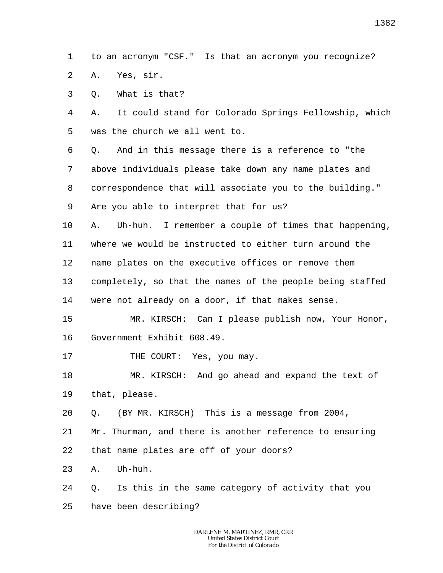1 to an acronym "CSF." Is that an acronym you recognize?

2 A. Yes, sir.

3 Q. What is that?

4 5 A. It could stand for Colorado Springs Fellowship, which was the church we all went to.

6 7 8 9 Q. And in this message there is a reference to "the above individuals please take down any name plates and correspondence that will associate you to the building." Are you able to interpret that for us?

10 11 12 13 A. Uh-huh. I remember a couple of times that happening, where we would be instructed to either turn around the name plates on the executive offices or remove them completely, so that the names of the people being staffed

14 were not already on a door, if that makes sense.

15 16 MR. KIRSCH: Can I please publish now, Your Honor, Government Exhibit 608.49.

17 THE COURT: Yes, you may.

18 19 MR. KIRSCH: And go ahead and expand the text of that, please.

20 Q. (BY MR. KIRSCH) This is a message from 2004,

21 22 Mr. Thurman, and there is another reference to ensuring that name plates are off of your doors?

23 A. Uh-huh.

24 Q. Is this in the same category of activity that you

25 have been describing?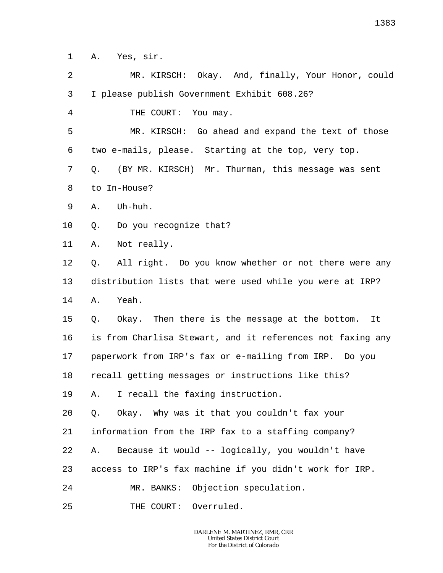1 A. Yes, sir.

2 3 MR. KIRSCH: Okay. And, finally, Your Honor, could I please publish Government Exhibit 608.26?

4 THE COURT: You may.

5 6 MR. KIRSCH: Go ahead and expand the text of those two e-mails, please. Starting at the top, very top.

7 8 Q. (BY MR. KIRSCH) Mr. Thurman, this message was sent to In-House?

9 A. Uh-huh.

10 Q. Do you recognize that?

11 A. Not really.

12 13 14 Q. All right. Do you know whether or not there were any distribution lists that were used while you were at IRP? A. Yeah.

15 16 17 18 Q. Okay. Then there is the message at the bottom. It is from Charlisa Stewart, and it references not faxing any paperwork from IRP's fax or e-mailing from IRP. Do you recall getting messages or instructions like this?

19 A. I recall the faxing instruction.

20 Q. Okay. Why was it that you couldn't fax your

21 information from the IRP fax to a staffing company?

22 A. Because it would -- logically, you wouldn't have

23 access to IRP's fax machine if you didn't work for IRP.

24 MR. BANKS: Objection speculation.

25 THE COURT: Overruled.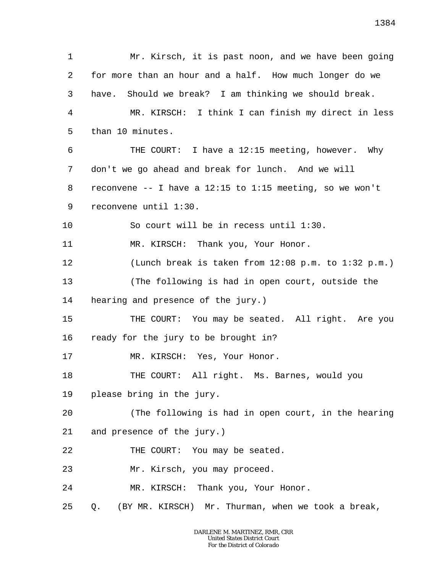1 2 3 4 5 6 7 8 9 10 11 12 13 14 15 16 17 18 19 20 21 22 23 24 25 Mr. Kirsch, it is past noon, and we have been going for more than an hour and a half. How much longer do we have. Should we break? I am thinking we should break. MR. KIRSCH: I think I can finish my direct in less than 10 minutes. THE COURT: I have a 12:15 meeting, however. Why don't we go ahead and break for lunch. And we will reconvene  $-$ - I have a 12:15 to 1:15 meeting, so we won't reconvene until 1:30. So court will be in recess until 1:30. MR. KIRSCH: Thank you, Your Honor. (Lunch break is taken from 12:08 p.m. to 1:32 p.m.) (The following is had in open court, outside the hearing and presence of the jury.) THE COURT: You may be seated. All right. Are you ready for the jury to be brought in? MR. KIRSCH: Yes, Your Honor. THE COURT: All right. Ms. Barnes, would you please bring in the jury. (The following is had in open court, in the hearing and presence of the jury.) THE COURT: You may be seated. Mr. Kirsch, you may proceed. MR. KIRSCH: Thank you, Your Honor. Q. (BY MR. KIRSCH) Mr. Thurman, when we took a break,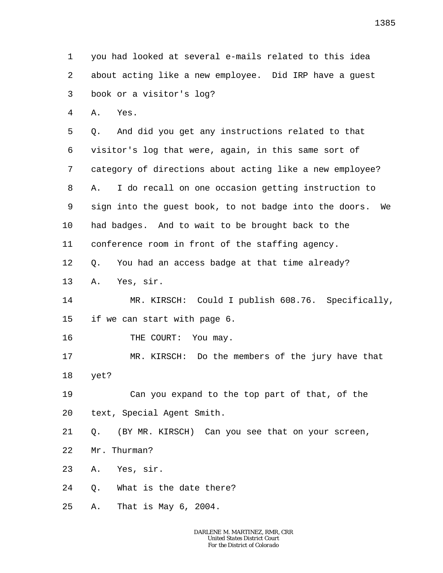2 3 4 5 6 7 8 9 10 11 12 13 14 15 16 17 18 19 20 21 22 23 24 25 *DARLENE M. MARTINEZ, RMR, CRR United States District Court For the District of Colorado* about acting like a new employee. Did IRP have a guest book or a visitor's log? A. Yes. Q. And did you get any instructions related to that visitor's log that were, again, in this same sort of category of directions about acting like a new employee? A. I do recall on one occasion getting instruction to sign into the guest book, to not badge into the doors. We had badges. And to wait to be brought back to the conference room in front of the staffing agency. Q. You had an access badge at that time already? A. Yes, sir. MR. KIRSCH: Could I publish 608.76. Specifically, if we can start with page 6. THE COURT: You may. MR. KIRSCH: Do the members of the jury have that yet? Can you expand to the top part of that, of the text, Special Agent Smith. Q. (BY MR. KIRSCH) Can you see that on your screen, Mr. Thurman? A. Yes, sir. Q. What is the date there? A. That is May 6, 2004.

you had looked at several e-mails related to this idea

1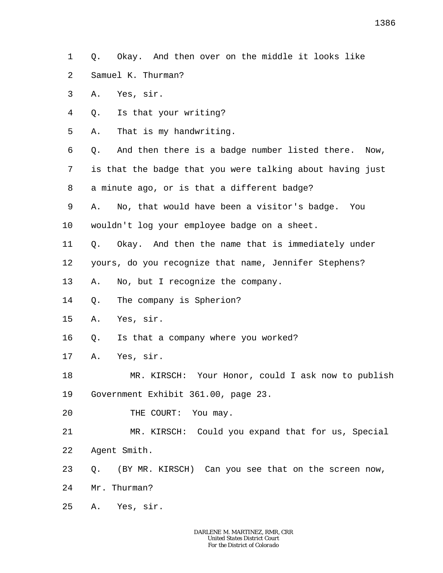- 1 Q. Okay. And then over on the middle it looks like
- $\overline{a}$ Samuel K. Thurman?
- 3 A. Yes, sir.
- 4 Q. Is that your writing?
- 5 A. That is my handwriting.
- 6 7 8 Q. And then there is a badge number listed there. Now, is that the badge that you were talking about having just a minute ago, or is that a different badge?
- 9 A. No, that would have been a visitor's badge. You
- 10 wouldn't log your employee badge on a sheet.
- 11 Q. Okay. And then the name that is immediately under
- 12 yours, do you recognize that name, Jennifer Stephens?
- 13 A. No, but I recognize the company.
- 14 Q. The company is Spherion?
- 15 A. Yes, sir.
- 16 Q. Is that a company where you worked?
- 17 A. Yes, sir.
- 18 19 MR. KIRSCH: Your Honor, could I ask now to publish Government Exhibit 361.00, page 23.
- 20 THE COURT: You may.
- 21 22 MR. KIRSCH: Could you expand that for us, Special Agent Smith.
- 23 Q. (BY MR. KIRSCH) Can you see that on the screen now,
- 24 Mr. Thurman?
- 25 A. Yes, sir.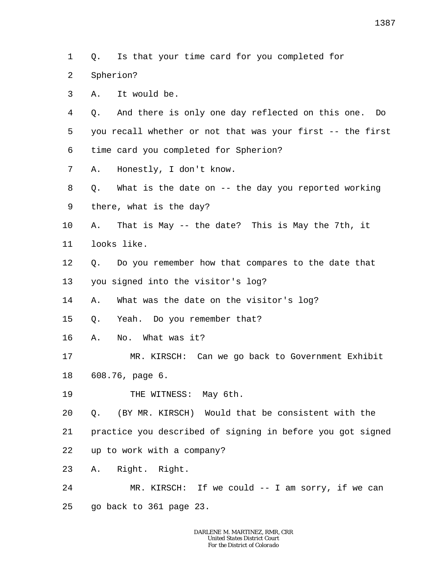1 2 3 4 5 6 7 8 9 10 11 12 13 14 15 16 17 18 19 20 21 22 23 24 25 Q. Is that your time card for you completed for Spherion? A. It would be. Q. And there is only one day reflected on this one. Do you recall whether or not that was your first -- the first time card you completed for Spherion? A. Honestly, I don't know. Q. What is the date on -- the day you reported working there, what is the day? A. That is May -- the date? This is May the 7th, it looks like. Q. Do you remember how that compares to the date that you signed into the visitor's log? A. What was the date on the visitor's log? Q. Yeah. Do you remember that? A. No. What was it? MR. KIRSCH: Can we go back to Government Exhibit 608.76, page 6. THE WITNESS: May 6th. Q. (BY MR. KIRSCH) Would that be consistent with the practice you described of signing in before you got signed up to work with a company? A. Right. Right. MR. KIRSCH: If we could -- I am sorry, if we can go back to 361 page 23.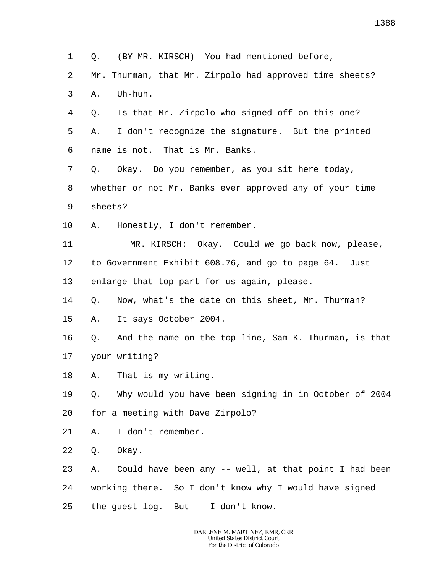1 2 3 4 5 6 7 8 9 10 11 12 13 14 15 16 17 18 19 20 21 22 23 24 25 Q. (BY MR. KIRSCH) You had mentioned before, Mr. Thurman, that Mr. Zirpolo had approved time sheets? A. Uh-huh. Q. Is that Mr. Zirpolo who signed off on this one? A. I don't recognize the signature. But the printed name is not. That is Mr. Banks. Q. Okay. Do you remember, as you sit here today, whether or not Mr. Banks ever approved any of your time sheets? A. Honestly, I don't remember. MR. KIRSCH: Okay. Could we go back now, please, to Government Exhibit 608.76, and go to page 64. Just enlarge that top part for us again, please. Q. Now, what's the date on this sheet, Mr. Thurman? A. It says October 2004. Q. And the name on the top line, Sam K. Thurman, is that your writing? A. That is my writing. Q. Why would you have been signing in in October of 2004 for a meeting with Dave Zirpolo? A. I don't remember. Q. Okay. A. Could have been any -- well, at that point I had been working there. So I don't know why I would have signed the guest log. But -- I don't know.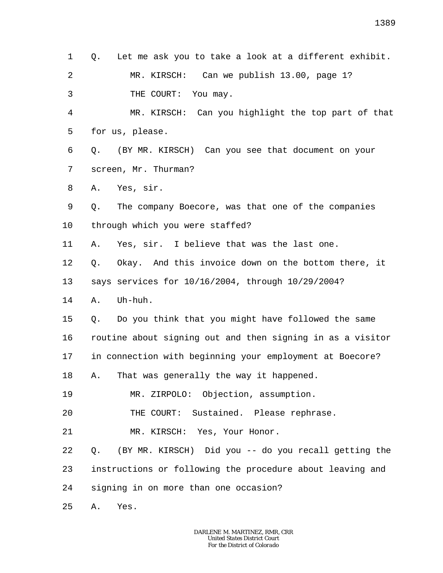2 3 4 5 6 7 8 9 10 MR. KIRSCH: Can we publish 13.00, page 1? THE COURT: You may. MR. KIRSCH: Can you highlight the top part of that for us, please. Q. (BY MR. KIRSCH) Can you see that document on your screen, Mr. Thurman? A. Yes, sir. Q. The company Boecore, was that one of the companies through which you were staffed?

Q. Let me ask you to take a look at a different exhibit.

11 A. Yes, sir. I believe that was the last one.

12 Q. Okay. And this invoice down on the bottom there, it

13 says services for 10/16/2004, through 10/29/2004?

14 A. Uh-huh.

1

15 Q. Do you think that you might have followed the same

16 routine about signing out and then signing in as a visitor

17 in connection with beginning your employment at Boecore?

18 A. That was generally the way it happened.

19 MR. ZIRPOLO: Objection, assumption.

20 THE COURT: Sustained. Please rephrase.

21 MR. KIRSCH: Yes, Your Honor.

22 Q. (BY MR. KIRSCH) Did you -- do you recall getting the

23 instructions or following the procedure about leaving and

24 signing in on more than one occasion?

25 A. Yes.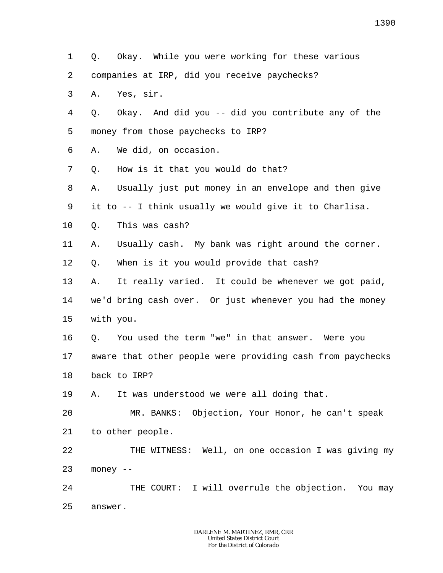1 2 3 4 5 6 7 8 9 10 11 12 13 14 15 16 17 18 19 20 21 22 23 24 25 Q. Okay. While you were working for these various companies at IRP, did you receive paychecks? A. Yes, sir. Q. Okay. And did you -- did you contribute any of the money from those paychecks to IRP? A. We did, on occasion. Q. How is it that you would do that? A. Usually just put money in an envelope and then give it to -- I think usually we would give it to Charlisa. Q. This was cash? A. Usually cash. My bank was right around the corner. Q. When is it you would provide that cash? A. It really varied. It could be whenever we got paid, we'd bring cash over. Or just whenever you had the money with you. Q. You used the term "we" in that answer. Were you aware that other people were providing cash from paychecks back to IRP? A. It was understood we were all doing that. MR. BANKS: Objection, Your Honor, he can't speak to other people. THE WITNESS: Well, on one occasion I was giving my money -- THE COURT: I will overrule the objection. You may answer.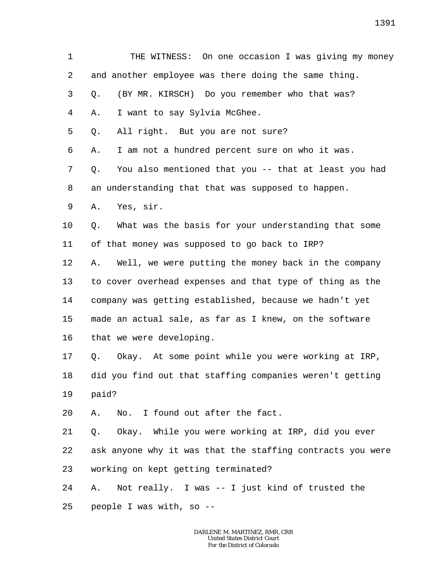1 2 3 4 5 6 7 8 9 10 11 12 13 14 15 16 17 18 19 20 21 22 23 24 25 THE WITNESS: On one occasion I was giving my money and another employee was there doing the same thing. Q. (BY MR. KIRSCH) Do you remember who that was? A. I want to say Sylvia McGhee. Q. All right. But you are not sure? A. I am not a hundred percent sure on who it was. Q. You also mentioned that you -- that at least you had an understanding that that was supposed to happen. A. Yes, sir. Q. What was the basis for your understanding that some of that money was supposed to go back to IRP? A. Well, we were putting the money back in the company to cover overhead expenses and that type of thing as the company was getting established, because we hadn't yet made an actual sale, as far as I knew, on the software that we were developing. Q. Okay. At some point while you were working at IRP, did you find out that staffing companies weren't getting paid? A. No. I found out after the fact. Q. Okay. While you were working at IRP, did you ever ask anyone why it was that the staffing contracts you were working on kept getting terminated? A. Not really. I was -- I just kind of trusted the people I was with, so --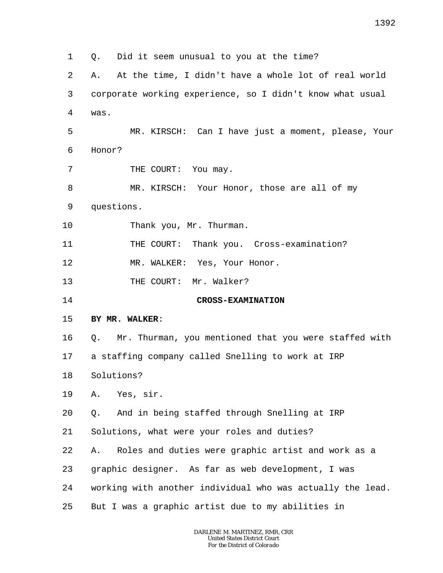1 2 3 4 5 6 7 8 9 10 11 12 13 14 15 16 17 18 19 20 21 22 23 24 25 Q. Did it seem unusual to you at the time? A. At the time, I didn't have a whole lot of real world corporate working experience, so I didn't know what usual was. MR. KIRSCH: Can I have just a moment, please, Your Honor? THE COURT: You may. MR. KIRSCH: Your Honor, those are all of my questions. Thank you, Mr. Thurman. THE COURT: Thank you. Cross-examination? MR. WALKER: Yes, Your Honor. THE COURT: Mr. Walker? **CROSS-EXAMINATION BY MR. WALKER**: Q. Mr. Thurman, you mentioned that you were staffed with a staffing company called Snelling to work at IRP Solutions? A. Yes, sir. Q. And in being staffed through Snelling at IRP Solutions, what were your roles and duties? A. Roles and duties were graphic artist and work as a graphic designer. As far as web development, I was working with another individual who was actually the lead. But I was a graphic artist due to my abilities in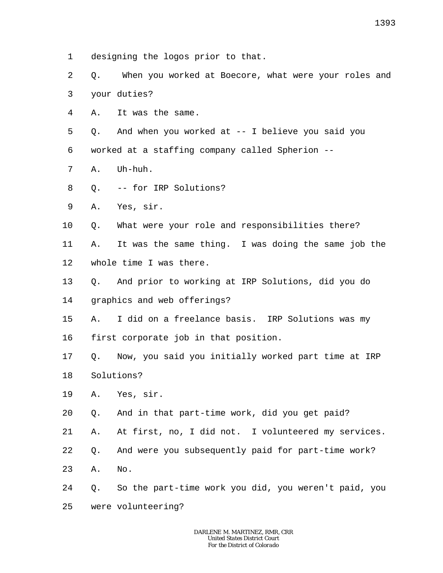- 1 designing the logos prior to that.
- 2 3 Q. When you worked at Boecore, what were your roles and your duties?
- 4 A. It was the same.

5 Q. And when you worked at -- I believe you said you

6 worked at a staffing company called Spherion --

- 7 A. Uh-huh.
- 8 Q. -- for IRP Solutions?
- 9 A. Yes, sir.
- 10 Q. What were your role and responsibilities there?

11 12 A. It was the same thing. I was doing the same job the whole time I was there.

13 Q. And prior to working at IRP Solutions, did you do

14 graphics and web offerings?

15 A. I did on a freelance basis. IRP Solutions was my

16 first corporate job in that position.

- 17 18 Q. Now, you said you initially worked part time at IRP Solutions?
- 19 A. Yes, sir.
- 20 Q. And in that part-time work, did you get paid?
- 21 A. At first, no, I did not. I volunteered my services.
- 22 Q. And were you subsequently paid for part-time work?
- 23 A. No.
- 24 25 Q. So the part-time work you did, you weren't paid, you were volunteering?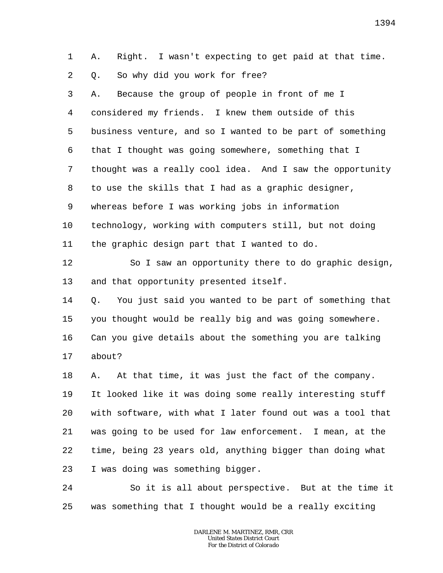1 A. Right. I wasn't expecting to get paid at that time.

2 Q. So why did you work for free?

3 4 5 6 7 8 9 10 11 12 13 14 15 16 17 18 19 A. Because the group of people in front of me I considered my friends. I knew them outside of this business venture, and so I wanted to be part of something that I thought was going somewhere, something that I thought was a really cool idea. And I saw the opportunity to use the skills that I had as a graphic designer, whereas before I was working jobs in information technology, working with computers still, but not doing the graphic design part that I wanted to do. So I saw an opportunity there to do graphic design, and that opportunity presented itself. Q. You just said you wanted to be part of something that you thought would be really big and was going somewhere. Can you give details about the something you are talking about? A. At that time, it was just the fact of the company. It looked like it was doing some really interesting stuff

20 21 22 23 with software, with what I later found out was a tool that was going to be used for law enforcement. I mean, at the time, being 23 years old, anything bigger than doing what I was doing was something bigger.

24 25 So it is all about perspective. But at the time it was something that I thought would be a really exciting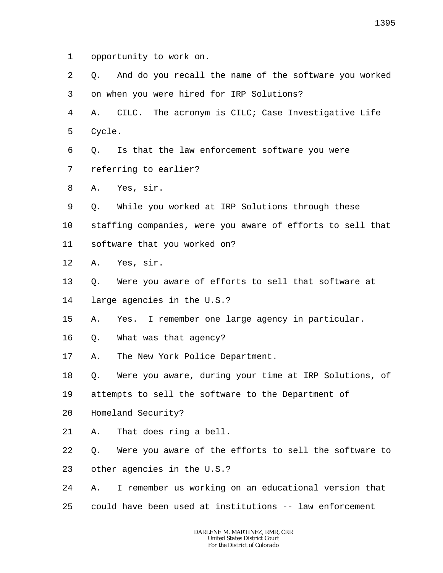- 1 opportunity to work on.
- 2 3 Q. And do you recall the name of the software you worked on when you were hired for IRP Solutions?

4 5 A. CILC. The acronym is CILC; Case Investigative Life Cycle.

6 Q. Is that the law enforcement software you were

- 7 referring to earlier?
- 8 A. Yes, sir.
- 9 Q. While you worked at IRP Solutions through these
- 10 staffing companies, were you aware of efforts to sell that
- 11 software that you worked on?
- 12 A. Yes, sir.
- 13 Q. Were you aware of efforts to sell that software at
- 14 large agencies in the U.S.?
- 15 A. Yes. I remember one large agency in particular.
- 16 Q. What was that agency?
- 17 A. The New York Police Department.
- 18 Q. Were you aware, during your time at IRP Solutions, of
- 19 attempts to sell the software to the Department of
- 20 Homeland Security?
- 21 A. That does ring a bell.
- 22 Q. Were you aware of the efforts to sell the software to
- 23 other agencies in the U.S.?
- 24 A. I remember us working on an educational version that
- 25 could have been used at institutions -- law enforcement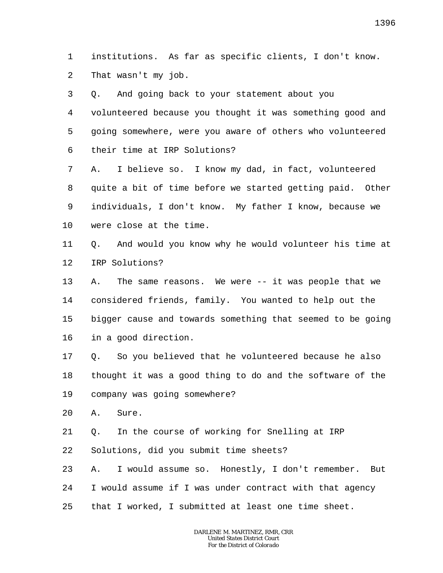1 2 institutions. As far as specific clients, I don't know. That wasn't my job.

3 4 5 6 7 8 9 10 11 12 13 14 15 16 17 18 19 Q. And going back to your statement about you volunteered because you thought it was something good and going somewhere, were you aware of others who volunteered their time at IRP Solutions? A. I believe so. I know my dad, in fact, volunteered quite a bit of time before we started getting paid. Other individuals, I don't know. My father I know, because we were close at the time. Q. And would you know why he would volunteer his time at IRP Solutions? A. The same reasons. We were -- it was people that we considered friends, family. You wanted to help out the bigger cause and towards something that seemed to be going in a good direction. Q. So you believed that he volunteered because he also thought it was a good thing to do and the software of the company was going somewhere?

20 A. Sure.

21 Q. In the course of working for Snelling at IRP

22 Solutions, did you submit time sheets?

23 24 A. I would assume so. Honestly, I don't remember. But I would assume if I was under contract with that agency

25 that I worked, I submitted at least one time sheet.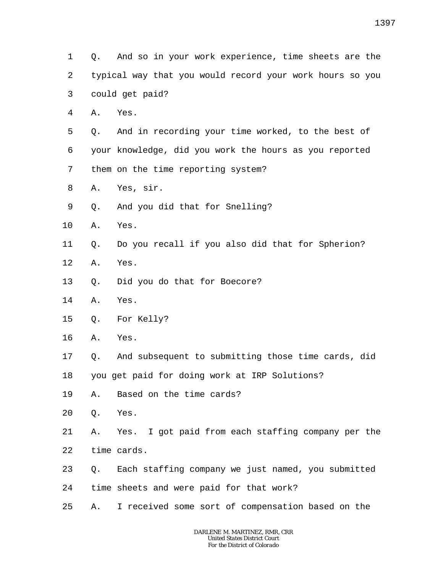- 1 2 3 4 5 6 7 8 9 10 Q. And so in your work experience, time sheets are the typical way that you would record your work hours so you could get paid? A. Yes. Q. And in recording your time worked, to the best of your knowledge, did you work the hours as you reported them on the time reporting system? A. Yes, sir. Q. And you did that for Snelling? A. Yes.
- 11 Q. Do you recall if you also did that for Spherion?
- 12 A. Yes.
- 13 Q. Did you do that for Boecore?
- 14 A. Yes.
- 15 Q. For Kelly?
- 16 A. Yes.
- 17 Q. And subsequent to submitting those time cards, did

18 you get paid for doing work at IRP Solutions?

- 19 A. Based on the time cards?
- 20 Q. Yes.
- 21 22 A. Yes. I got paid from each staffing company per the time cards.
- 23 24 Q. Each staffing company we just named, you submitted time sheets and were paid for that work?
- 25 A. I received some sort of compensation based on the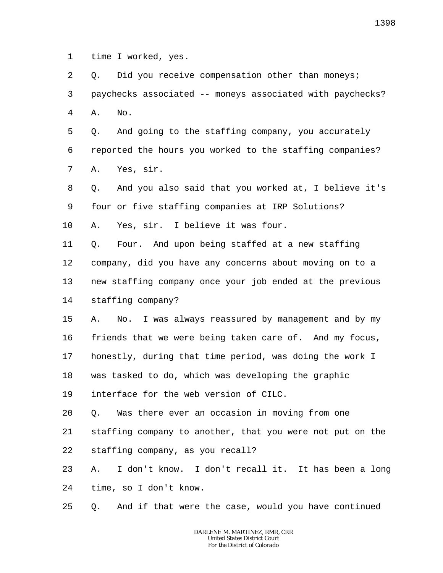1 time I worked, yes.

2 3 4 5 Q. Did you receive compensation other than moneys; paychecks associated -- moneys associated with paychecks? A. No. Q. And going to the staffing company, you accurately

6 7 reported the hours you worked to the staffing companies? A. Yes, sir.

8 9 Q. And you also said that you worked at, I believe it's four or five staffing companies at IRP Solutions?

10 A. Yes, sir. I believe it was four.

11 12 13 14 Q. Four. And upon being staffed at a new staffing company, did you have any concerns about moving on to a new staffing company once your job ended at the previous staffing company?

15 16 17 A. No. I was always reassured by management and by my friends that we were being taken care of. And my focus, honestly, during that time period, was doing the work I

18 was tasked to do, which was developing the graphic

19 interface for the web version of CILC.

20 Q. Was there ever an occasion in moving from one

21 22 staffing company to another, that you were not put on the staffing company, as you recall?

23 24 A. I don't know. I don't recall it. It has been a long time, so I don't know.

25 Q. And if that were the case, would you have continued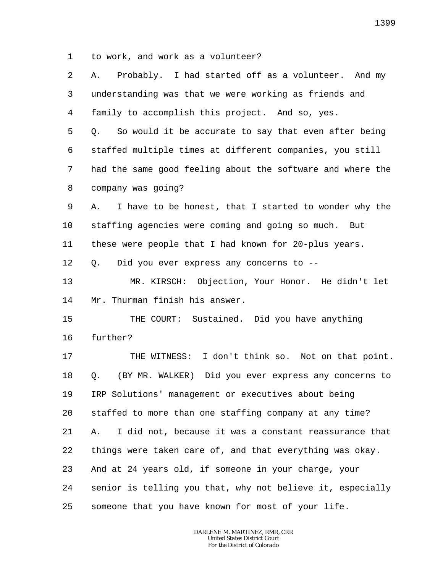1 to work, and work as a volunteer?

| 2  | Probably. I had started off as a volunteer. And my<br>Α.    |
|----|-------------------------------------------------------------|
| 3  | understanding was that we were working as friends and       |
| 4  | family to accomplish this project. And so, yes.             |
| 5  | So would it be accurate to say that even after being<br>Q.  |
| 6  | staffed multiple times at different companies, you still    |
| 7  | had the same good feeling about the software and where the  |
| 8  | company was going?                                          |
| 9  | I have to be honest, that I started to wonder why the<br>Α. |
| 10 | staffing agencies were coming and going so much. But        |
| 11 | these were people that I had known for 20-plus years.       |
| 12 | Did you ever express any concerns to --<br>Q.               |
| 13 | MR. KIRSCH: Objection, Your Honor. He didn't let            |
| 14 | Mr. Thurman finish his answer.                              |
| 15 | THE COURT: Sustained. Did you have anything                 |
| 16 | further?                                                    |
| 17 | I don't think so. Not on that point.<br>THE WITNESS:        |
| 18 | (BY MR. WALKER) Did you ever express any concerns to<br>Q.  |
| 19 | IRP Solutions' management or executives about being         |
| 20 | staffed to more than one staffing company at any time?      |
| 21 | I did not, because it was a constant reassurance that<br>Α. |
| 22 | things were taken care of, and that everything was okay.    |
| 23 | And at 24 years old, if someone in your charge, your        |
| 24 | senior is telling you that, why not believe it, especially  |
| 25 | someone that you have known for most of your life.          |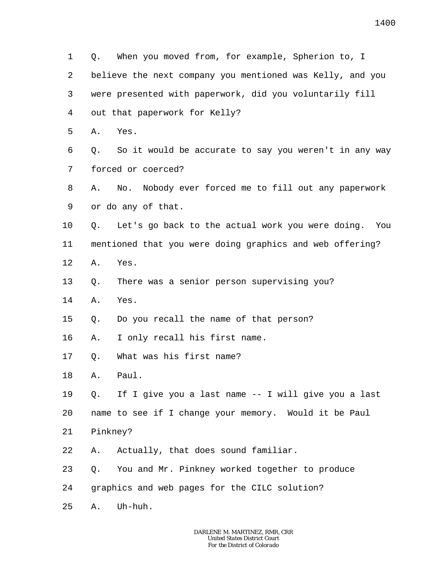1 2 3 4 5 6 7 8 9 10 11 12 13 14 15 16 17 18 19 20 21 22 23 24 25 Q. When you moved from, for example, Spherion to, I believe the next company you mentioned was Kelly, and you were presented with paperwork, did you voluntarily fill out that paperwork for Kelly? A. Yes. Q. So it would be accurate to say you weren't in any way forced or coerced? A. No. Nobody ever forced me to fill out any paperwork or do any of that. Q. Let's go back to the actual work you were doing. You mentioned that you were doing graphics and web offering? A. Yes. Q. There was a senior person supervising you? A. Yes. Q. Do you recall the name of that person? A. I only recall his first name. Q. What was his first name? A. Paul. Q. If I give you a last name -- I will give you a last name to see if I change your memory. Would it be Paul Pinkney? A. Actually, that does sound familiar. Q. You and Mr. Pinkney worked together to produce graphics and web pages for the CILC solution? A. Uh-huh.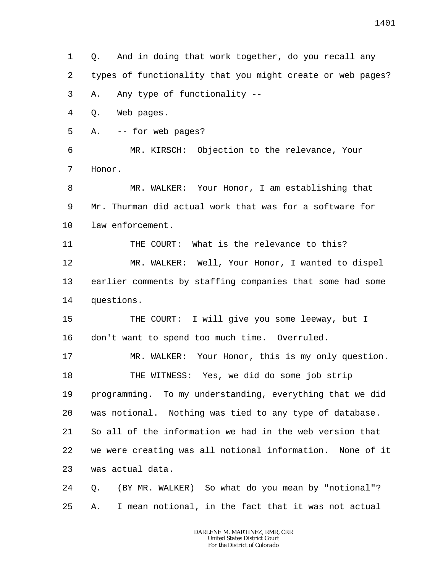1 2 3 4 5 6 7 8 9 10 11 12 13 14 15 16 17 18 19 20 21 22 23 24 25 Q. And in doing that work together, do you recall any types of functionality that you might create or web pages? A. Any type of functionality -- Q. Web pages. A. -- for web pages? MR. KIRSCH: Objection to the relevance, Your Honor. MR. WALKER: Your Honor, I am establishing that Mr. Thurman did actual work that was for a software for law enforcement. THE COURT: What is the relevance to this? MR. WALKER: Well, Your Honor, I wanted to dispel earlier comments by staffing companies that some had some questions. THE COURT: I will give you some leeway, but I don't want to spend too much time. Overruled. MR. WALKER: Your Honor, this is my only question. THE WITNESS: Yes, we did do some job strip programming. To my understanding, everything that we did was notional. Nothing was tied to any type of database. So all of the information we had in the web version that we were creating was all notional information. None of it was actual data. Q. (BY MR. WALKER) So what do you mean by "notional"? A. I mean notional, in the fact that it was not actual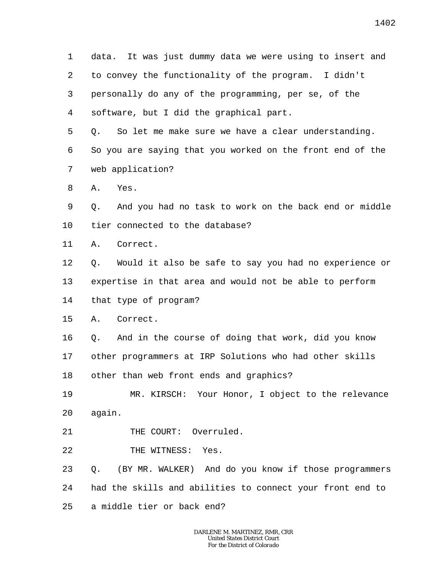1 2 3 4 5 6 7 8 9 10 11 12 13 14 15 16 17 18 data. It was just dummy data we were using to insert and to convey the functionality of the program. I didn't personally do any of the programming, per se, of the software, but I did the graphical part. Q. So let me make sure we have a clear understanding. So you are saying that you worked on the front end of the web application? A. Yes. Q. And you had no task to work on the back end or middle tier connected to the database? A. Correct. Q. Would it also be safe to say you had no experience or expertise in that area and would not be able to perform that type of program? A. Correct. Q. And in the course of doing that work, did you know other programmers at IRP Solutions who had other skills other than web front ends and graphics?

19 20 MR. KIRSCH: Your Honor, I object to the relevance again.

21 THE COURT: Overruled.

22 THE WITNESS: Yes.

23 24 25 Q. (BY MR. WALKER) And do you know if those programmers had the skills and abilities to connect your front end to a middle tier or back end?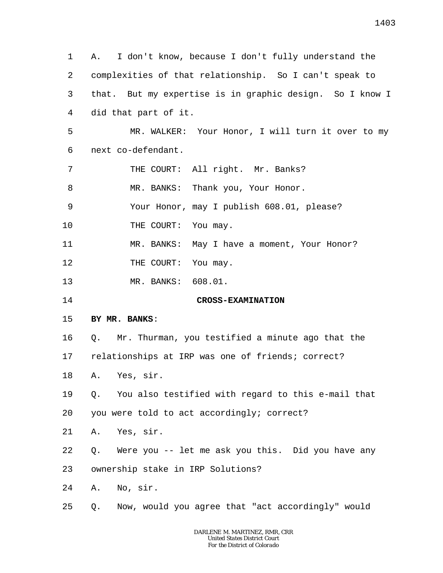1 2 3 4 5 6 7 8 9 10 11 12 13 14 15 16 17 18 19 20 21 22 23 24 25 A. I don't know, because I don't fully understand the complexities of that relationship. So I can't speak to that. But my expertise is in graphic design. So I know I did that part of it. MR. WALKER: Your Honor, I will turn it over to my next co-defendant. THE COURT: All right. Mr. Banks? MR. BANKS: Thank you, Your Honor. Your Honor, may I publish 608.01, please? THE COURT: You may. MR. BANKS: May I have a moment, Your Honor? THE COURT: You may. MR. BANKS: 608.01. **CROSS-EXAMINATION BY MR. BANKS**: Q. Mr. Thurman, you testified a minute ago that the relationships at IRP was one of friends; correct? A. Yes, sir. Q. You also testified with regard to this e-mail that you were told to act accordingly; correct? A. Yes, sir. Q. Were you -- let me ask you this. Did you have any ownership stake in IRP Solutions? A. No, sir. Q. Now, would you agree that "act accordingly" would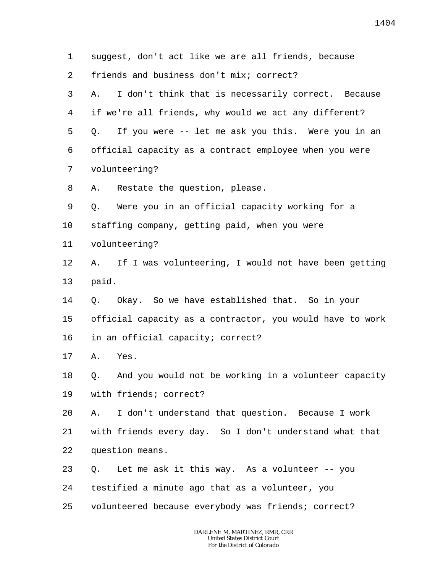1 2 3 4 5 6 7 8 9 10 11 12 13 14 15 16 17 18 19 20 21 22 23 24 25 suggest, don't act like we are all friends, because friends and business don't mix; correct? A. I don't think that is necessarily correct. Because if we're all friends, why would we act any different? Q. If you were -- let me ask you this. Were you in an official capacity as a contract employee when you were volunteering? A. Restate the question, please. Q. Were you in an official capacity working for a staffing company, getting paid, when you were volunteering? A. If I was volunteering, I would not have been getting paid. Q. Okay. So we have established that. So in your official capacity as a contractor, you would have to work in an official capacity; correct? A. Yes. Q. And you would not be working in a volunteer capacity with friends; correct? A. I don't understand that question. Because I work with friends every day. So I don't understand what that question means. Q. Let me ask it this way. As a volunteer -- you testified a minute ago that as a volunteer, you volunteered because everybody was friends; correct?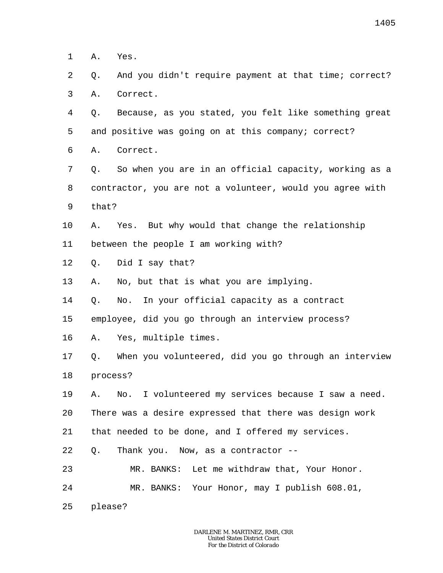1 A. Yes.

2 3 Q. And you didn't require payment at that time; correct? A. Correct.

4 5 Q. Because, as you stated, you felt like something great and positive was going on at this company; correct?

6 A. Correct.

7 8 9 Q. So when you are in an official capacity, working as a contractor, you are not a volunteer, would you agree with that?

- 10 11 A. Yes. But why would that change the relationship between the people I am working with?
- 12 Q. Did I say that?

13 A. No, but that is what you are implying.

14 Q. No. In your official capacity as a contract

15 employee, did you go through an interview process?

16 A. Yes, multiple times.

17 18 Q. When you volunteered, did you go through an interview process?

19 A. No. I volunteered my services because I saw a need.

20 There was a desire expressed that there was design work

21 that needed to be done, and I offered my services.

22 Q. Thank you. Now, as a contractor --

23 24 MR. BANKS: Let me withdraw that, Your Honor. MR. BANKS: Your Honor, may I publish 608.01,

25 please?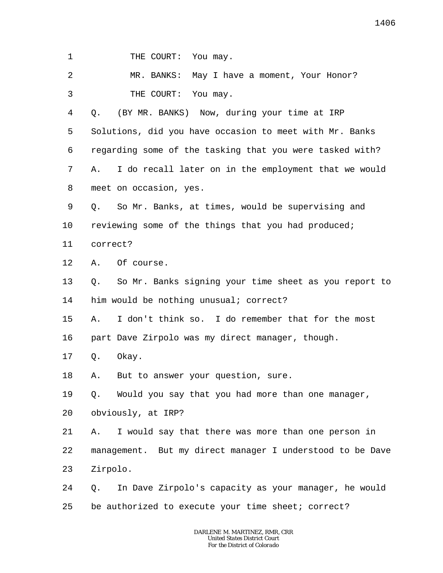1 THE COURT: You may.

2 3 MR. BANKS: May I have a moment, Your Honor? THE COURT: You may.

4 5 6 7 8 Q. (BY MR. BANKS) Now, during your time at IRP Solutions, did you have occasion to meet with Mr. Banks regarding some of the tasking that you were tasked with? A. I do recall later on in the employment that we would meet on occasion, yes.

9 10 Q. So Mr. Banks, at times, would be supervising and reviewing some of the things that you had produced;

11 correct?

12 A. Of course.

13 14 Q. So Mr. Banks signing your time sheet as you report to him would be nothing unusual; correct?

15 A. I don't think so. I do remember that for the most

16 part Dave Zirpolo was my direct manager, though.

17 Q. Okay.

18 A. But to answer your question, sure.

19 Q. Would you say that you had more than one manager,

20 obviously, at IRP?

21 22 23 A. I would say that there was more than one person in management. But my direct manager I understood to be Dave Zirpolo.

24 25 Q. In Dave Zirpolo's capacity as your manager, he would be authorized to execute your time sheet; correct?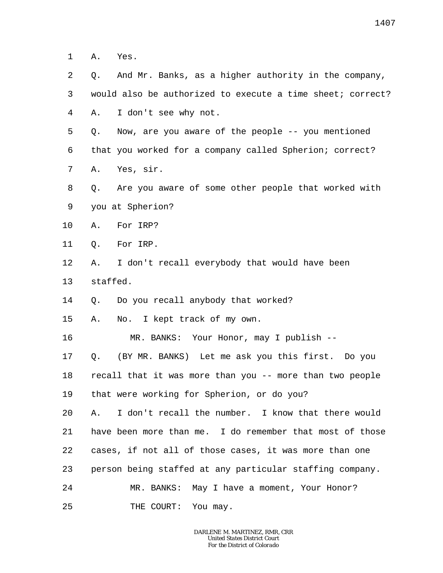- 1 A. Yes.
- 2 3 4 5 6 7 8 9 10 11 12 13 14 15 16 17 18 19 20 21 22 23 24 25 Q. And Mr. Banks, as a higher authority in the company, would also be authorized to execute a time sheet; correct? A. I don't see why not. Q. Now, are you aware of the people -- you mentioned that you worked for a company called Spherion; correct? A. Yes, sir. Q. Are you aware of some other people that worked with you at Spherion? A. For IRP? Q. For IRP. A. I don't recall everybody that would have been staffed. Q. Do you recall anybody that worked? A. No. I kept track of my own. MR. BANKS: Your Honor, may I publish -- Q. (BY MR. BANKS) Let me ask you this first. Do you recall that it was more than you -- more than two people that were working for Spherion, or do you? A. I don't recall the number. I know that there would have been more than me. I do remember that most of those cases, if not all of those cases, it was more than one person being staffed at any particular staffing company. MR. BANKS: May I have a moment, Your Honor? THE COURT: You may.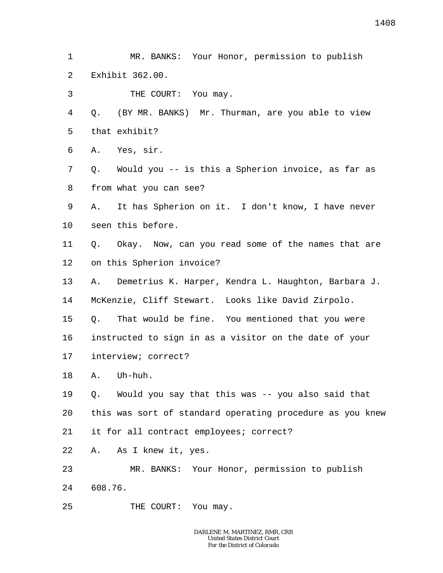- 3 THE COURT: You may.
- 4 5 Q. (BY MR. BANKS) Mr. Thurman, are you able to view that exhibit?
- 6 A. Yes, sir.
- 7 8 Q. Would you -- is this a Spherion invoice, as far as from what you can see?
- 9 10 A. It has Spherion on it. I don't know, I have never seen this before.
- 11 12 Q. Okay. Now, can you read some of the names that are on this Spherion invoice?
- 13 14 A. Demetrius K. Harper, Kendra L. Haughton, Barbara J. McKenzie, Cliff Stewart. Looks like David Zirpolo.
- 15 Q. That would be fine. You mentioned that you were
- 16 instructed to sign in as a visitor on the date of your
- 17 interview; correct?
- 18 A. Uh-huh.
- 19 20 Q. Would you say that this was -- you also said that this was sort of standard operating procedure as you knew
- 21 it for all contract employees; correct?
- 22 A. As I knew it, yes.
- 23 24 MR. BANKS: Your Honor, permission to publish 608.76.
- 25 THE COURT: You may.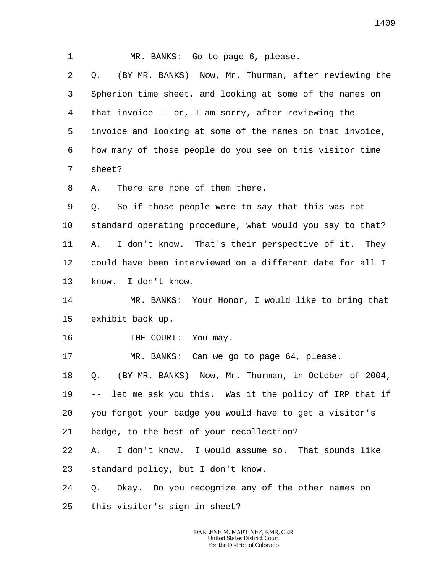| 1       | MR. BANKS: Go to page 6, please.                               |
|---------|----------------------------------------------------------------|
| 2       | (BY MR. BANKS) Now, Mr. Thurman, after reviewing the<br>Q.     |
| 3       | Spherion time sheet, and looking at some of the names on       |
| 4       | that invoice -- or, I am sorry, after reviewing the            |
| 5       | invoice and looking at some of the names on that invoice,      |
| 6       | how many of those people do you see on this visitor time       |
| 7       | sheet?                                                         |
| 8       | There are none of them there.<br>Α.                            |
| 9       | So if those people were to say that this was not<br>Q.         |
| $10 \,$ | standard operating procedure, what would you say to that?      |
| 11      | I don't know. That's their perspective of it. They<br>Α.       |
| 12      | could have been interviewed on a different date for all I      |
| 13      | know. I don't know.                                            |
| 14      | MR. BANKS: Your Honor, I would like to bring that              |
| 15      | exhibit back up.                                               |
| 16      | THE COURT: You may.                                            |
| 17      | MR. BANKS: Can we go to page 64, please.                       |
| 18      | (BY MR. BANKS) Now, Mr. Thurman, in October of 2004,<br>Q.     |
| 19      | let me ask you this. Was it the policy of IRP that if<br>$---$ |
| 20      | you forgot your badge you would have to get a visitor's        |
| 21      | badge, to the best of your recollection?                       |
| 22      | I don't know. I would assume so. That sounds like<br>Α.        |
| 23      | standard policy, but I don't know.                             |
| 24      | Okay. Do you recognize any of the other names on<br>Q.         |
| 25      | this visitor's sign-in sheet?                                  |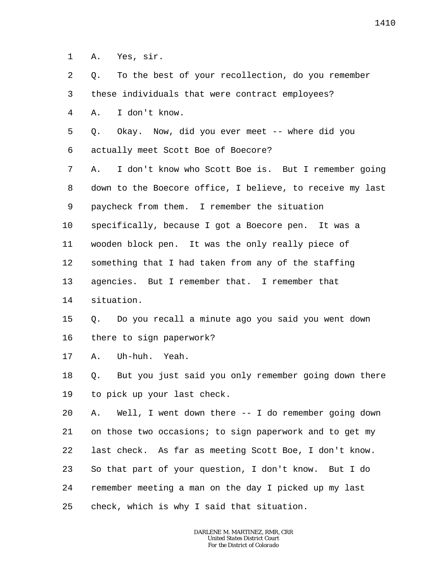1 A. Yes, sir.

2 3 4 5 6 7 8 9 10 11 12 13 14 15 16 17 18 19 20 21 22 23 24 25 Q. To the best of your recollection, do you remember these individuals that were contract employees? A. I don't know. Q. Okay. Now, did you ever meet -- where did you actually meet Scott Boe of Boecore? A. I don't know who Scott Boe is. But I remember going down to the Boecore office, I believe, to receive my last paycheck from them. I remember the situation specifically, because I got a Boecore pen. It was a wooden block pen. It was the only really piece of something that I had taken from any of the staffing agencies. But I remember that. I remember that situation. Q. Do you recall a minute ago you said you went down there to sign paperwork? A. Uh-huh. Yeah. Q. But you just said you only remember going down there to pick up your last check. A. Well, I went down there -- I do remember going down on those two occasions; to sign paperwork and to get my last check. As far as meeting Scott Boe, I don't know. So that part of your question, I don't know. But I do remember meeting a man on the day I picked up my last check, which is why I said that situation.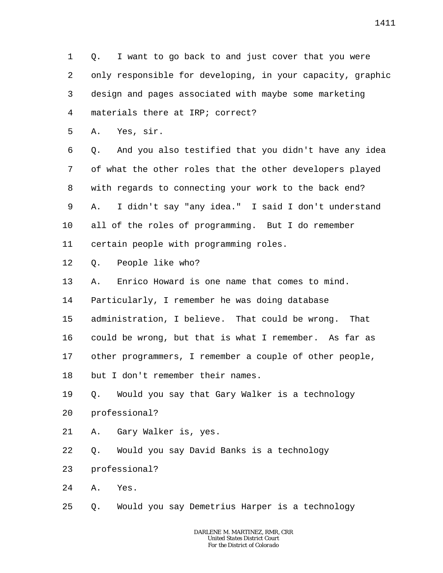1 2 3 4 5 Q. I want to go back to and just cover that you were only responsible for developing, in your capacity, graphic design and pages associated with maybe some marketing materials there at IRP; correct? A. Yes, sir.

6 7 8 9 10 11 Q. And you also testified that you didn't have any idea of what the other roles that the other developers played with regards to connecting your work to the back end? A. I didn't say "any idea." I said I don't understand all of the roles of programming. But I do remember certain people with programming roles.

12 Q. People like who?

13 A. Enrico Howard is one name that comes to mind.

14 Particularly, I remember he was doing database

15 administration, I believe. That could be wrong. That

16 could be wrong, but that is what I remember. As far as

17 other programmers, I remember a couple of other people,

18 but I don't remember their names.

19 Q. Would you say that Gary Walker is a technology

- 20 professional?
- 21 A. Gary Walker is, yes.
- 22 Q. Would you say David Banks is a technology
- 23 professional?

24 A. Yes.

25 Q. Would you say Demetrius Harper is a technology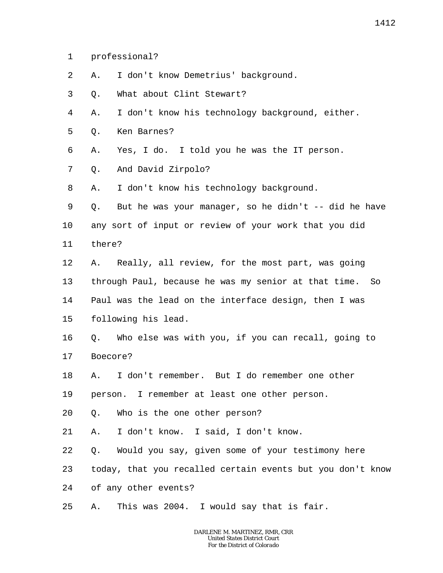- 1 professional?
- 2 A. I don't know Demetrius' background.
- 3 Q. What about Clint Stewart?
- 4 A. I don't know his technology background, either.
- 5 Q. Ken Barnes?
- 6 A. Yes, I do. I told you he was the IT person.
- 7 Q. And David Zirpolo?
- 8 A. I don't know his technology background.

9 10 11 Q. But he was your manager, so he didn't -- did he have any sort of input or review of your work that you did there?

- 
- 12 A. Really, all review, for the most part, was going
- 13 14 15 through Paul, because he was my senior at that time. So Paul was the lead on the interface design, then I was following his lead.
- 16 17 Q. Who else was with you, if you can recall, going to Boecore?
- 18 A. I don't remember. But I do remember one other

19 person. I remember at least one other person.

- 20 Q. Who is the one other person?
- 21 A. I don't know. I said, I don't know.
- 22 Q. Would you say, given some of your testimony here

23 today, that you recalled certain events but you don't know

24 of any other events?

25 A. This was 2004. I would say that is fair.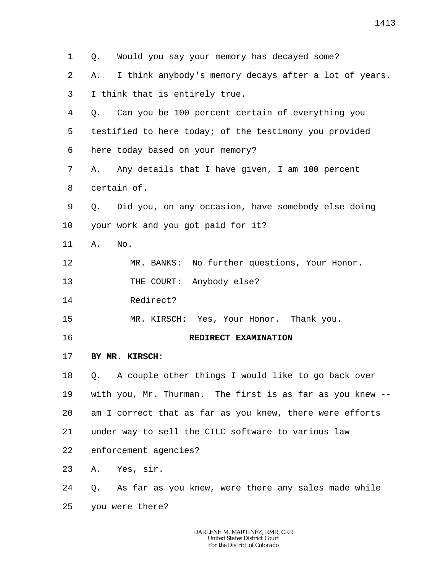1 2 3 4 5 6 7 8 9 10 11 12 13 14 15 16 17 18 19 20 21 22 23 24 25 Q. Would you say your memory has decayed some? A. I think anybody's memory decays after a lot of years. I think that is entirely true. Q. Can you be 100 percent certain of everything you testified to here today; of the testimony you provided here today based on your memory? A. Any details that I have given, I am 100 percent certain of. Q. Did you, on any occasion, have somebody else doing your work and you got paid for it? A. No. MR. BANKS: No further questions, Your Honor. THE COURT: Anybody else? Redirect? MR. KIRSCH: Yes, Your Honor. Thank you. **REDIRECT EXAMINATION BY MR. KIRSCH**: Q. A couple other things I would like to go back over with you, Mr. Thurman. The first is as far as you knew - am I correct that as far as you knew, there were efforts under way to sell the CILC software to various law enforcement agencies? A. Yes, sir. Q. As far as you knew, were there any sales made while you were there?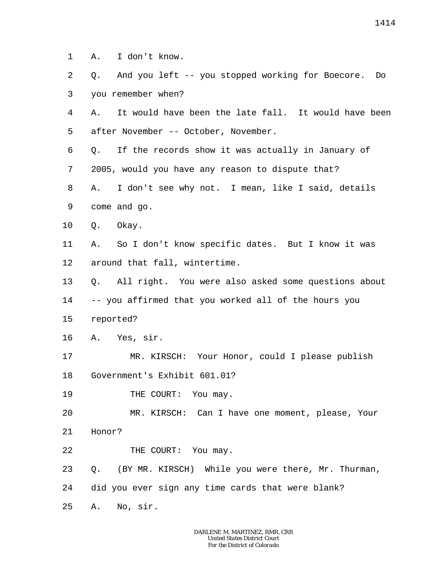1 A. I don't know.

2 3 Q. And you left -- you stopped working for Boecore. Do you remember when?

4 5 A. It would have been the late fall. It would have been after November -- October, November.

6 7 Q. If the records show it was actually in January of 2005, would you have any reason to dispute that?

8 9 A. I don't see why not. I mean, like I said, details come and go.

10 Q. Okay.

11 12 A. So I don't know specific dates. But I know it was around that fall, wintertime.

13 14 15 Q. All right. You were also asked some questions about -- you affirmed that you worked all of the hours you reported?

16 A. Yes, sir.

17 18 MR. KIRSCH: Your Honor, could I please publish Government's Exhibit 601.01?

19 THE COURT: You may.

20 MR. KIRSCH: Can I have one moment, please, Your

- 21 Honor?
- 22 THE COURT: You may.

23 Q. (BY MR. KIRSCH) While you were there, Mr. Thurman,

24 did you ever sign any time cards that were blank?

25 A. No, sir.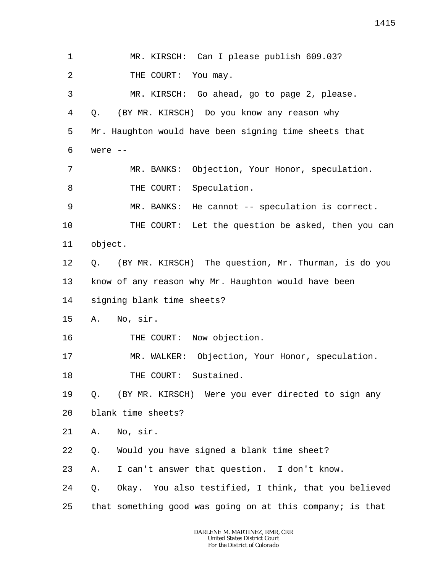1 2 3 4 5 6 7 8 9 10 11 12 13 14 15 16 17 18 19 20 21 22 23 24 25 MR. KIRSCH: Can I please publish 609.03? THE COURT: You may. MR. KIRSCH: Go ahead, go to page 2, please. Q. (BY MR. KIRSCH) Do you know any reason why Mr. Haughton would have been signing time sheets that were -- MR. BANKS: Objection, Your Honor, speculation. THE COURT: Speculation. MR. BANKS: He cannot -- speculation is correct. THE COURT: Let the question be asked, then you can object. Q. (BY MR. KIRSCH) The question, Mr. Thurman, is do you know of any reason why Mr. Haughton would have been signing blank time sheets? A. No, sir. THE COURT: Now objection. MR. WALKER: Objection, Your Honor, speculation. THE COURT: Sustained. Q. (BY MR. KIRSCH) Were you ever directed to sign any blank time sheets? A. No, sir. Q. Would you have signed a blank time sheet? A. I can't answer that question. I don't know. Q. Okay. You also testified, I think, that you believed that something good was going on at this company; is that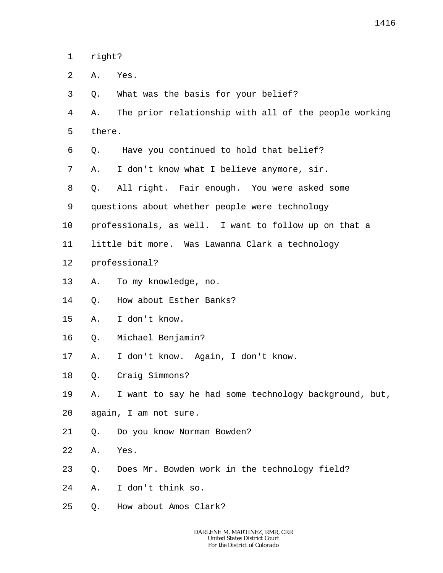- 1 right?
- $\overline{a}$ A. Yes.
- 3 Q. What was the basis for your belief?
- 4 5 A. The prior relationship with all of the people working there.
- 6 Q. Have you continued to hold that belief?
- 7 A. I don't know what I believe anymore, sir.
- 8 Q. All right. Fair enough. You were asked some
- 9 questions about whether people were technology
- 10 professionals, as well. I want to follow up on that a
- 11 little bit more. Was Lawanna Clark a technology
- 12 professional?
- 13 A. To my knowledge, no.
- 14 Q. How about Esther Banks?
- 15 A. I don't know.
- 16 Q. Michael Benjamin?
- 17 A. I don't know. Again, I don't know.
- 18 Q. Craig Simmons?
- 19 A. I want to say he had some technology background, but,
- 20 again, I am not sure.
- 21 Q. Do you know Norman Bowden?
- 22 A. Yes.
- 23 Q. Does Mr. Bowden work in the technology field?
- 24 A. I don't think so.
- 25 Q. How about Amos Clark?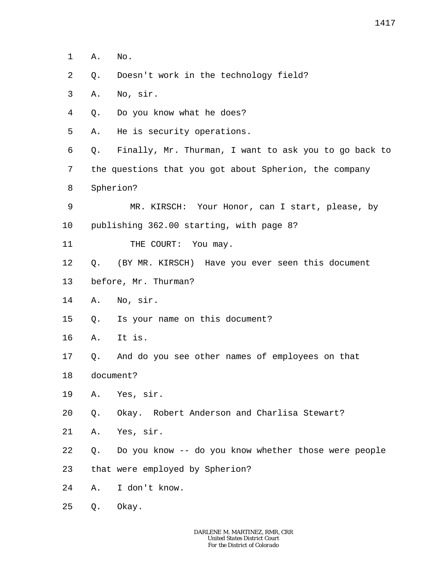- 1 A. No.
- 2 Q. Doesn't work in the technology field?
- 3 A. No, sir.
- 4 Q. Do you know what he does?
- 5 A. He is security operations.
- 6 7 8 Q. Finally, Mr. Thurman, I want to ask you to go back to the questions that you got about Spherion, the company Spherion?
- 9 10 MR. KIRSCH: Your Honor, can I start, please, by publishing 362.00 starting, with page 8?
- 11 THE COURT: You may.
- 12 Q. (BY MR. KIRSCH) Have you ever seen this document
- 13 before, Mr. Thurman?
- 14 A. No, sir.
- 15 Q. Is your name on this document?
- 16 A. It is.
- 17 Q. And do you see other names of employees on that
- 18 document?
- 19 A. Yes, sir.
- 20 Q. Okay. Robert Anderson and Charlisa Stewart?
- 21 A. Yes, sir.
- 22 Q. Do you know -- do you know whether those were people
- 23 that were employed by Spherion?
- 24 A. I don't know.
- 25 Q. Okay.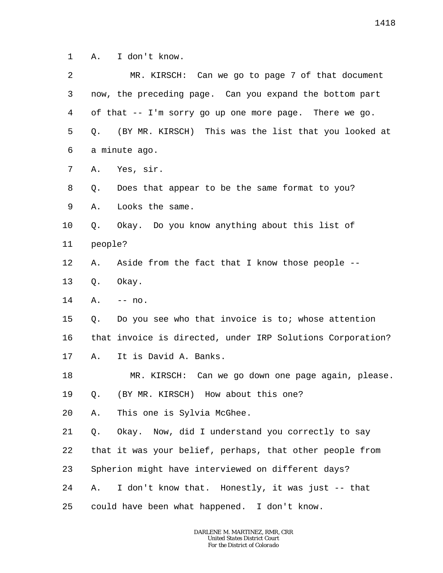1 A. I don't know.

| 2  |         | MR. KIRSCH: Can we go to page 7 of that document           |
|----|---------|------------------------------------------------------------|
| 3  |         | now, the preceding page. Can you expand the bottom part    |
| 4  |         | of that -- I'm sorry go up one more page. There we go.     |
| 5  | Q.      | (BY MR. KIRSCH) This was the list that you looked at       |
| 6  |         | a minute ago.                                              |
| 7  | Α.      | Yes, sir.                                                  |
| 8  | Q.      | Does that appear to be the same format to you?             |
| 9  | Α.      | Looks the same.                                            |
| 10 | Q.      | Okay. Do you know anything about this list of              |
| 11 | people? |                                                            |
| 12 | Α.      | Aside from the fact that I know those people --            |
| 13 | Q.      | Okay.                                                      |
| 14 | Α.      | $--no.$                                                    |
| 15 | Q.      | Do you see who that invoice is to; whose attention         |
| 16 |         | that invoice is directed, under IRP Solutions Corporation? |
| 17 | Α.      | It is David A. Banks.                                      |
| 18 |         | MR. KIRSCH: Can we go down one page again, please.         |
| 19 | О.      | (BY MR. KIRSCH) How about this one?                        |
| 20 | Α.      | This one is Sylvia McGhee.                                 |
| 21 | Q.      | Okay. Now, did I understand you correctly to say           |
| 22 |         | that it was your belief, perhaps, that other people from   |
| 23 |         | Spherion might have interviewed on different days?         |
| 24 | Α.      | I don't know that. Honestly, it was just -- that           |
| 25 |         | could have been what happened. I don't know.               |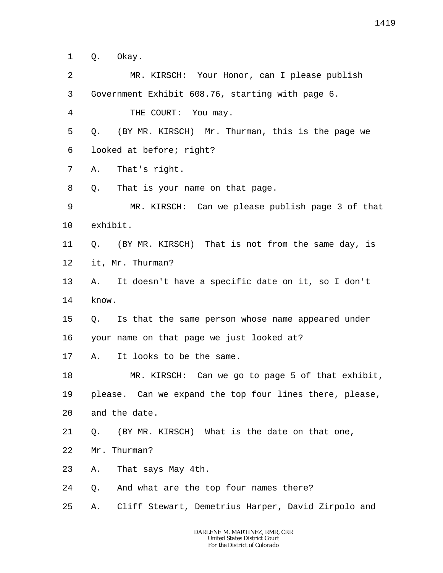1 Q. Okay.

| 2       | MR. KIRSCH: Your Honor, can I please publish            |
|---------|---------------------------------------------------------|
| 3       | Government Exhibit 608.76, starting with page 6.        |
| 4       | THE COURT: You may.                                     |
| 5       | (BY MR. KIRSCH) Mr. Thurman, this is the page we<br>Q.  |
| 6       | looked at before; right?                                |
| 7       | That's right.<br>Α.                                     |
| 8       | That is your name on that page.<br>Q.                   |
| 9       | MR. KIRSCH: Can we please publish page 3 of that        |
| $10 \,$ | exhibit.                                                |
| 11      | Q. (BY MR. KIRSCH) That is not from the same day, is    |
| 12      | it, Mr. Thurman?                                        |
| 13      | It doesn't have a specific date on it, so I don't<br>А. |
| 14      | know.                                                   |
| 15      | Is that the same person whose name appeared under<br>Q. |
| 16      | your name on that page we just looked at?               |
| 17      | It looks to be the same.<br>Α.                          |
| 18      | MR. KIRSCH: Can we go to page 5 of that exhibit,        |
| 19      | please. Can we expand the top four lines there, please, |
| 20      |                                                         |
|         | and the date.                                           |
| 21      | (BY MR. KIRSCH) What is the date on that one,<br>Q.     |
| 22      | Mr. Thurman?                                            |
| 23      | That says May 4th.<br>Α.                                |
| 24      | And what are the top four names there?<br>Q.            |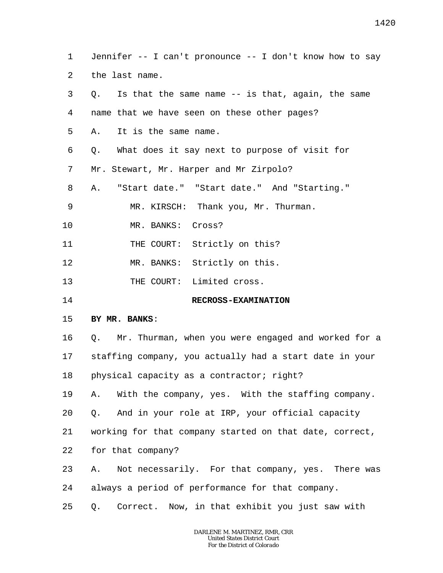| 1               | Jennifer $--$ I can't pronounce $--$ I don't know how to say |
|-----------------|--------------------------------------------------------------|
| 2               | the last name.                                               |
| 3               | Q. Is that the same name -- is that, again, the same         |
| 4               | name that we have seen on these other pages?                 |
| 5               | A. It is the same name.                                      |
| 6               | What does it say next to purpose of visit for<br>Q.          |
| 7               | Mr. Stewart, Mr. Harper and Mr Zirpolo?                      |
| 8               | "Start date." "Start date." And "Starting."<br>Α.            |
| 9               | MR. KIRSCH: Thank you, Mr. Thurman.                          |
| 10              | MR. BANKS: Cross?                                            |
| 11              | THE COURT: Strictly on this?                                 |
| 12              | MR. BANKS: Strictly on this.                                 |
| 13              | THE COURT: Limited cross.                                    |
| 14              | <b>RECROSS-EXAMINATION</b>                                   |
| 15              | BY MR. BANKS:                                                |
| 16              | Q. Mr. Thurman, when you were engaged and worked for a       |
| 17 <sub>2</sub> | staffing company, you actually had a start date in your      |
| 18              | physical capacity as a contractor; right?                    |
| 19              | With the company, yes. With the staffing company.<br>Α.      |
| 20              | And in your role at IRP, your official capacity<br>Q.        |
| 21              | working for that company started on that date, correct,      |
| 22              | for that company?                                            |
| 23              | Not necessarily. For that company, yes. There was<br>A.      |
| 24              | always a period of performance for that company.             |
| 25              | Correct. Now, in that exhibit you just saw with<br>Q.        |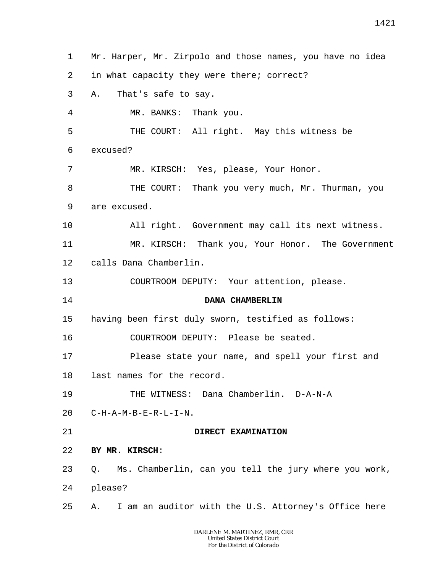1 2 3 4 5 6 7 8 9 10 11 12 13 14 15 16 17 18 19  $20^{\circ}$ 21 22 23 24 25 Mr. Harper, Mr. Zirpolo and those names, you have no idea in what capacity they were there; correct? A. That's safe to say. MR. BANKS: Thank you. THE COURT: All right. May this witness be excused? MR. KIRSCH: Yes, please, Your Honor. THE COURT: Thank you very much, Mr. Thurman, you are excused. All right. Government may call its next witness. MR. KIRSCH: Thank you, Your Honor. The Government calls Dana Chamberlin. COURTROOM DEPUTY: Your attention, please. **DANA CHAMBERLIN** having been first duly sworn, testified as follows: COURTROOM DEPUTY: Please be seated. Please state your name, and spell your first and last names for the record. THE WITNESS: Dana Chamberlin. D-A-N-A C-H-A-M-B-E-R-L-I-N. **DIRECT EXAMINATION BY MR. KIRSCH**: Q. Ms. Chamberlin, can you tell the jury where you work, please? A. I am an auditor with the U.S. Attorney's Office here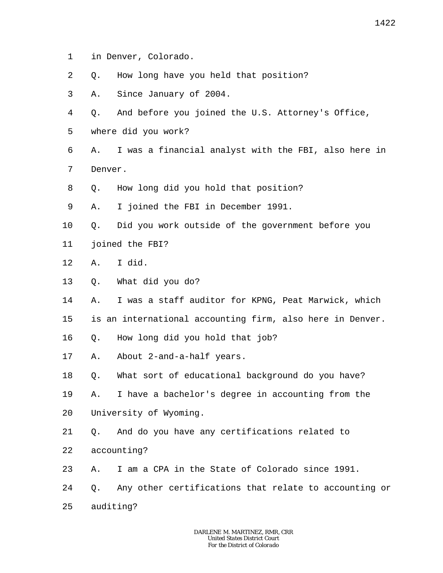- 1 in Denver, Colorado.
- 2 Q. How long have you held that position?
- 3 A. Since January of 2004.
- 4 Q. And before you joined the U.S. Attorney's Office,
- 5 where did you work?
- 6 7 A. I was a financial analyst with the FBI, also here in Denver.
- 8 Q. How long did you hold that position?
- 9 A. I joined the FBI in December 1991.
- 10 Q. Did you work outside of the government before you
- 11 joined the FBI?
- 12 A. I did.
- 13 Q. What did you do?
- 14 A. I was a staff auditor for KPNG, Peat Marwick, which
- 15 is an international accounting firm, also here in Denver.
- 16 Q. How long did you hold that job?
- 17 A. About 2-and-a-half years.
- 18 Q. What sort of educational background do you have?
- 19 20 A. I have a bachelor's degree in accounting from the University of Wyoming.
- 21 22 Q. And do you have any certifications related to accounting?
- 23 A. I am a CPA in the State of Colorado since 1991.
- 24 25 Q. Any other certifications that relate to accounting or auditing?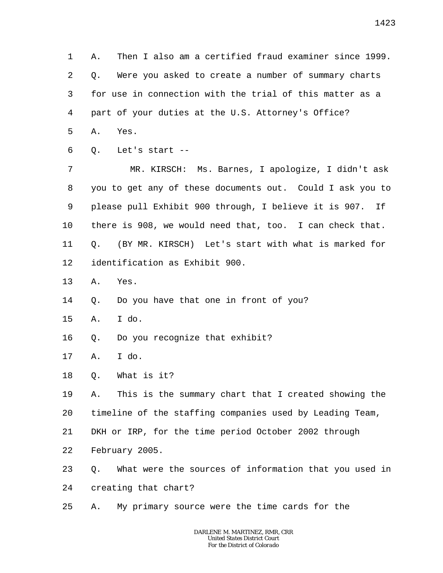1 2 3 4 A. Then I also am a certified fraud examiner since 1999. Q. Were you asked to create a number of summary charts for use in connection with the trial of this matter as a part of your duties at the U.S. Attorney's Office?

- 5 A. Yes.
- 6 Q. Let's start --

7 8 9 10 11 12 MR. KIRSCH: Ms. Barnes, I apologize, I didn't ask you to get any of these documents out. Could I ask you to please pull Exhibit 900 through, I believe it is 907. If there is 908, we would need that, too. I can check that. Q. (BY MR. KIRSCH) Let's start with what is marked for identification as Exhibit 900.

- 13 A. Yes.
- 14 Q. Do you have that one in front of you?
- 15 A. I do.
- 16 Q. Do you recognize that exhibit?
- 17 A. I do.
- 18 Q. What is it?

19 20 A. This is the summary chart that I created showing the timeline of the staffing companies used by Leading Team,

- 21 DKH or IRP, for the time period October 2002 through
- 22 February 2005.
- 23 24 Q. What were the sources of information that you used in creating that chart?
- 25 A. My primary source were the time cards for the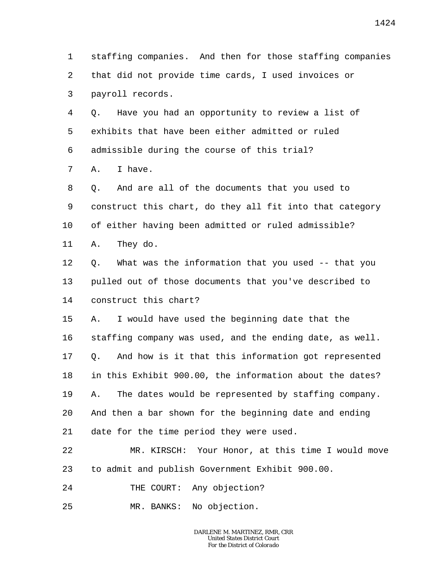1 2 3 4 5 6 7 8 9 10 11 12 13 14 15 16 17 18 19 20 21 22 23 24 25 staffing companies. And then for those staffing companies that did not provide time cards, I used invoices or payroll records. Q. Have you had an opportunity to review a list of exhibits that have been either admitted or ruled admissible during the course of this trial? A. I have. Q. And are all of the documents that you used to construct this chart, do they all fit into that category of either having been admitted or ruled admissible? A. They do. Q. What was the information that you used -- that you pulled out of those documents that you've described to construct this chart? A. I would have used the beginning date that the staffing company was used, and the ending date, as well. Q. And how is it that this information got represented in this Exhibit 900.00, the information about the dates? A. The dates would be represented by staffing company. And then a bar shown for the beginning date and ending date for the time period they were used. MR. KIRSCH: Your Honor, at this time I would move to admit and publish Government Exhibit 900.00. THE COURT: Any objection? MR. BANKS: No objection.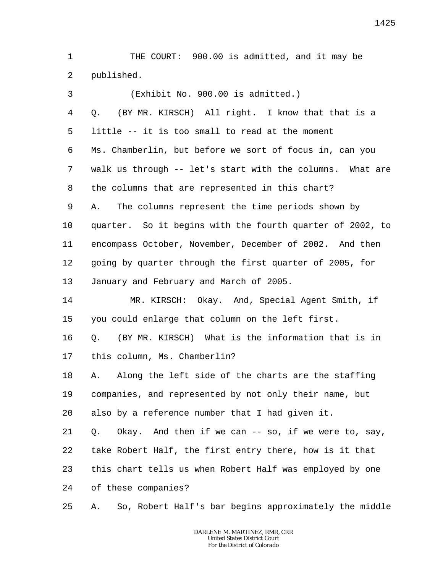1 2 THE COURT: 900.00 is admitted, and it may be published.

3 4 5 6 7 8 9 10 11 12 13 14 15 16 17 18 19 20 21 22 23 24 25 (Exhibit No. 900.00 is admitted.) Q. (BY MR. KIRSCH) All right. I know that that is a little -- it is too small to read at the moment Ms. Chamberlin, but before we sort of focus in, can you walk us through -- let's start with the columns. What are the columns that are represented in this chart? A. The columns represent the time periods shown by quarter. So it begins with the fourth quarter of 2002, to encompass October, November, December of 2002. And then going by quarter through the first quarter of 2005, for January and February and March of 2005. MR. KIRSCH: Okay. And, Special Agent Smith, if you could enlarge that column on the left first. Q. (BY MR. KIRSCH) What is the information that is in this column, Ms. Chamberlin? A. Along the left side of the charts are the staffing companies, and represented by not only their name, but also by a reference number that I had given it. Q. Okay. And then if we can -- so, if we were to, say, take Robert Half, the first entry there, how is it that this chart tells us when Robert Half was employed by one of these companies? A. So, Robert Half's bar begins approximately the middle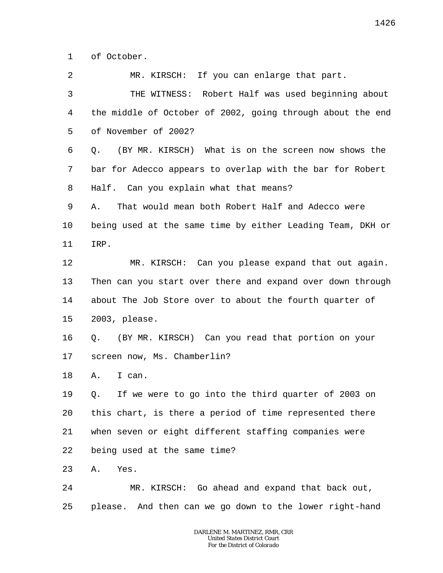1 of October.

2 3 4 5 6 7 8 9 10 11 12 13 14 15 16 17 18 19 20 21 22 23 24 25 MR. KIRSCH: If you can enlarge that part. THE WITNESS: Robert Half was used beginning about the middle of October of 2002, going through about the end of November of 2002? Q. (BY MR. KIRSCH) What is on the screen now shows the bar for Adecco appears to overlap with the bar for Robert Half. Can you explain what that means? A. That would mean both Robert Half and Adecco were being used at the same time by either Leading Team, DKH or IRP. MR. KIRSCH: Can you please expand that out again. Then can you start over there and expand over down through about The Job Store over to about the fourth quarter of 2003, please. Q. (BY MR. KIRSCH) Can you read that portion on your screen now, Ms. Chamberlin? A. I can. Q. If we were to go into the third quarter of 2003 on this chart, is there a period of time represented there when seven or eight different staffing companies were being used at the same time? A. Yes. MR. KIRSCH: Go ahead and expand that back out, please. And then can we go down to the lower right-hand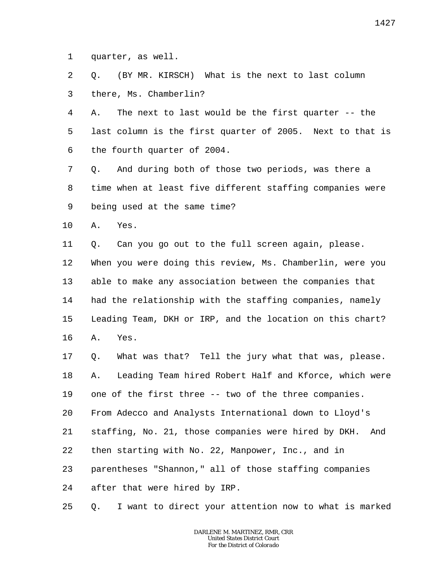1 quarter, as well.

2 3 Q. (BY MR. KIRSCH) What is the next to last column there, Ms. Chamberlin?

4 5 6 A. The next to last would be the first quarter -- the last column is the first quarter of 2005. Next to that is the fourth quarter of 2004.

7 8 9 Q. And during both of those two periods, was there a time when at least five different staffing companies were being used at the same time?

10 A. Yes.

11 12 13 14 15 16 Q. Can you go out to the full screen again, please. When you were doing this review, Ms. Chamberlin, were you able to make any association between the companies that had the relationship with the staffing companies, namely Leading Team, DKH or IRP, and the location on this chart? A. Yes.

17 18 19 20 21 22 23 24 Q. What was that? Tell the jury what that was, please. A. Leading Team hired Robert Half and Kforce, which were one of the first three -- two of the three companies. From Adecco and Analysts International down to Lloyd's staffing, No. 21, those companies were hired by DKH. And then starting with No. 22, Manpower, Inc., and in parentheses "Shannon," all of those staffing companies after that were hired by IRP.

25 Q. I want to direct your attention now to what is marked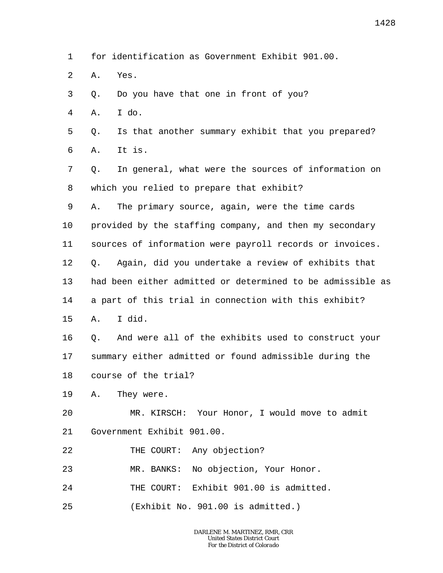- $\overline{a}$ A. Yes.
- 3 Q. Do you have that one in front of you?
- 4 A. I do.

5 6 Q. Is that another summary exhibit that you prepared? A. It is.

7 8 Q. In general, what were the sources of information on which you relied to prepare that exhibit?

9 10 11 12 13 14 15 A. The primary source, again, were the time cards provided by the staffing company, and then my secondary sources of information were payroll records or invoices. Q. Again, did you undertake a review of exhibits that had been either admitted or determined to be admissible as a part of this trial in connection with this exhibit? A. I did.

16 17 18 Q. And were all of the exhibits used to construct your summary either admitted or found admissible during the course of the trial?

19 A. They were.

20 21 MR. KIRSCH: Your Honor, I would move to admit Government Exhibit 901.00.

22 THE COURT: Any objection?

23 MR. BANKS: No objection, Your Honor.

- 24 THE COURT: Exhibit 901.00 is admitted.
- 25 (Exhibit No. 901.00 is admitted.)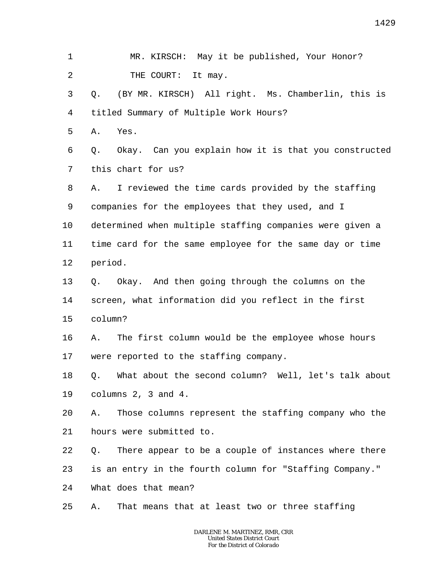1 2 3 4 5 6 7 8 9 10 11 12 13 14 15 16 17 18 19 20 21 22 23 24 25 MR. KIRSCH: May it be published, Your Honor? THE COURT: It may. Q. (BY MR. KIRSCH) All right. Ms. Chamberlin, this is titled Summary of Multiple Work Hours? A. Yes. Q. Okay. Can you explain how it is that you constructed this chart for us? A. I reviewed the time cards provided by the staffing companies for the employees that they used, and I determined when multiple staffing companies were given a time card for the same employee for the same day or time period. Q. Okay. And then going through the columns on the screen, what information did you reflect in the first column? A. The first column would be the employee whose hours were reported to the staffing company. Q. What about the second column? Well, let's talk about columns 2, 3 and 4. A. Those columns represent the staffing company who the hours were submitted to. Q. There appear to be a couple of instances where there is an entry in the fourth column for "Staffing Company." What does that mean? A. That means that at least two or three staffing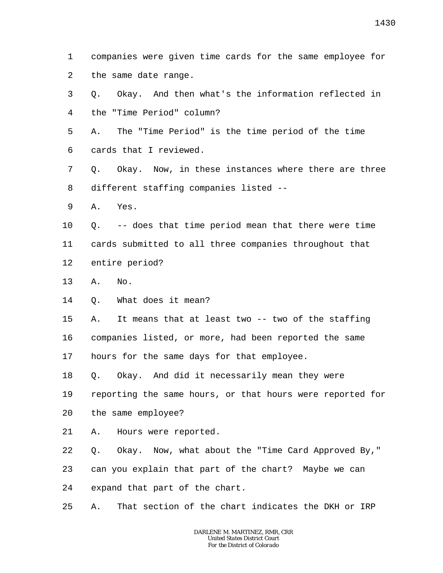1 2 companies were given time cards for the same employee for the same date range.

3 4 Q. Okay. And then what's the information reflected in the "Time Period" column?

5 6 A. The "Time Period" is the time period of the time cards that I reviewed.

- 7 8 Q. Okay. Now, in these instances where there are three different staffing companies listed --
- 9 A. Yes.

10 11 12 Q. -- does that time period mean that there were time cards submitted to all three companies throughout that entire period?

- 13 A. No.
- 14 Q. What does it mean?

15 A. It means that at least two -- two of the staffing

16 companies listed, or more, had been reported the same

17 hours for the same days for that employee.

18 Q. Okay. And did it necessarily mean they were

19 reporting the same hours, or that hours were reported for

- 20 the same employee?
- 21 A. Hours were reported.
- 22 Q. Okay. Now, what about the "Time Card Approved By,"

23 can you explain that part of the chart? Maybe we can

24 expand that part of the chart.

25 A. That section of the chart indicates the DKH or IRP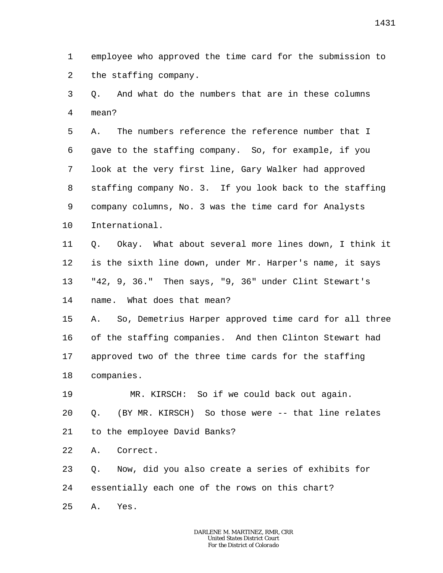1 2 employee who approved the time card for the submission to the staffing company.

3 4 Q. And what do the numbers that are in these columns mean?

5 6 7 8 9 10 A. The numbers reference the reference number that I gave to the staffing company. So, for example, if you look at the very first line, Gary Walker had approved staffing company No. 3. If you look back to the staffing company columns, No. 3 was the time card for Analysts International.

11 12 13 14 Q. Okay. What about several more lines down, I think it is the sixth line down, under Mr. Harper's name, it says "42, 9, 36." Then says, "9, 36" under Clint Stewart's name. What does that mean?

15 16 17 18 A. So, Demetrius Harper approved time card for all three of the staffing companies. And then Clinton Stewart had approved two of the three time cards for the staffing companies.

19 20 MR. KIRSCH: So if we could back out again. Q. (BY MR. KIRSCH) So those were -- that line relates

21 to the employee David Banks?

22 A. Correct.

23 24 Q. Now, did you also create a series of exhibits for essentially each one of the rows on this chart?

25 A. Yes.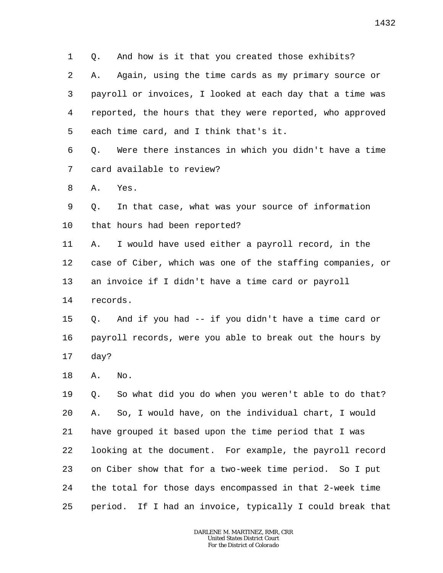1 2 3 4 5 6 7 8 9 10 11 12 13 14 15 16 17 18 19 20 21 22 23 24 25 Q. And how is it that you created those exhibits? A. Again, using the time cards as my primary source or payroll or invoices, I looked at each day that a time was reported, the hours that they were reported, who approved each time card, and I think that's it. Q. Were there instances in which you didn't have a time card available to review? A. Yes. Q. In that case, what was your source of information that hours had been reported? A. I would have used either a payroll record, in the case of Ciber, which was one of the staffing companies, or an invoice if I didn't have a time card or payroll records. Q. And if you had -- if you didn't have a time card or payroll records, were you able to break out the hours by day? A. No. Q. So what did you do when you weren't able to do that? A. So, I would have, on the individual chart, I would have grouped it based upon the time period that I was looking at the document. For example, the payroll record on Ciber show that for a two-week time period. So I put the total for those days encompassed in that 2-week time period. If I had an invoice, typically I could break that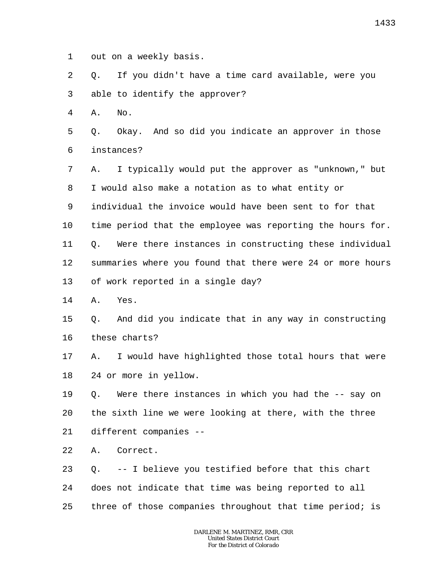1 out on a weekly basis.

2 3 Q. If you didn't have a time card available, were you able to identify the approver?

4 A. No.

5 6 Q. Okay. And so did you indicate an approver in those instances?

7 8 9 10 11 12 13 A. I typically would put the approver as "unknown," but I would also make a notation as to what entity or individual the invoice would have been sent to for that time period that the employee was reporting the hours for. Q. Were there instances in constructing these individual summaries where you found that there were 24 or more hours of work reported in a single day?

14 A. Yes.

15 16 Q. And did you indicate that in any way in constructing these charts?

17 18 A. I would have highlighted those total hours that were 24 or more in yellow.

19 20 21 Q. Were there instances in which you had the -- say on the sixth line we were looking at there, with the three different companies --

22 A. Correct.

23 24 25 Q. -- I believe you testified before that this chart does not indicate that time was being reported to all three of those companies throughout that time period; is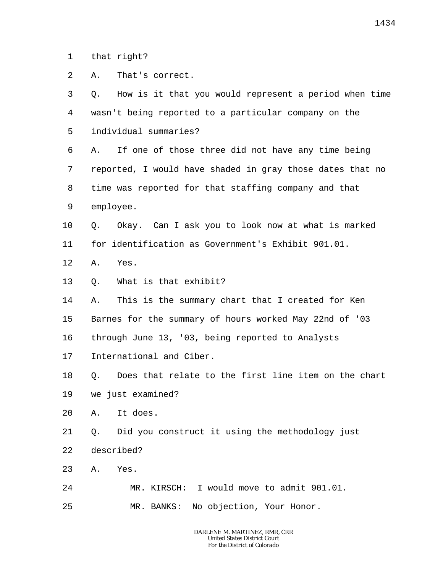1 that right?

 $\overline{a}$ A. That's correct.

3 4 5 6 7 8 9 10 11 12 13 14 15 16 17 18 19 20 21 22 23 24 25 Q. How is it that you would represent a period when time wasn't being reported to a particular company on the individual summaries? A. If one of those three did not have any time being reported, I would have shaded in gray those dates that no time was reported for that staffing company and that employee. Q. Okay. Can I ask you to look now at what is marked for identification as Government's Exhibit 901.01. A. Yes. Q. What is that exhibit? A. This is the summary chart that I created for Ken Barnes for the summary of hours worked May 22nd of '03 through June 13, '03, being reported to Analysts International and Ciber. Q. Does that relate to the first line item on the chart we just examined? A. It does. Q. Did you construct it using the methodology just described? A. Yes. MR. KIRSCH: I would move to admit 901.01. MR. BANKS: No objection, Your Honor.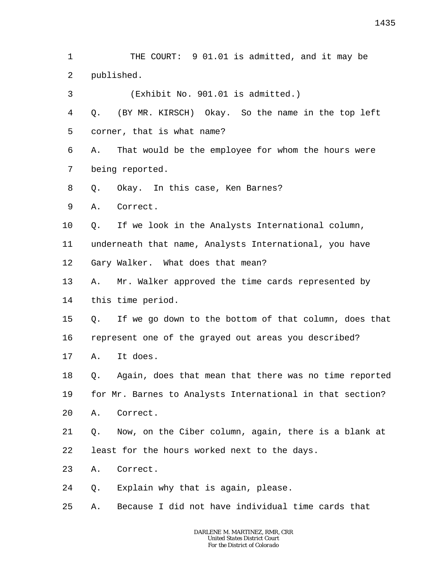2 published.

1

3 (Exhibit No. 901.01 is admitted.)

4 5 Q. (BY MR. KIRSCH) Okay. So the name in the top left corner, that is what name?

6 7 A. That would be the employee for whom the hours were being reported.

8 Q. Okay. In this case, Ken Barnes?

9 A. Correct.

10 Q. If we look in the Analysts International column,

11 underneath that name, Analysts International, you have

12 Gary Walker. What does that mean?

13 A. Mr. Walker approved the time cards represented by

14 this time period.

15 Q. If we go down to the bottom of that column, does that

16 represent one of the grayed out areas you described?

17 A. It does.

18 19 20 Q. Again, does that mean that there was no time reported for Mr. Barnes to Analysts International in that section? A. Correct.

- 21 22 Q. Now, on the Ciber column, again, there is a blank at least for the hours worked next to the days.
- 23 A. Correct.
- 24 Q. Explain why that is again, please.
- 25 A. Because I did not have individual time cards that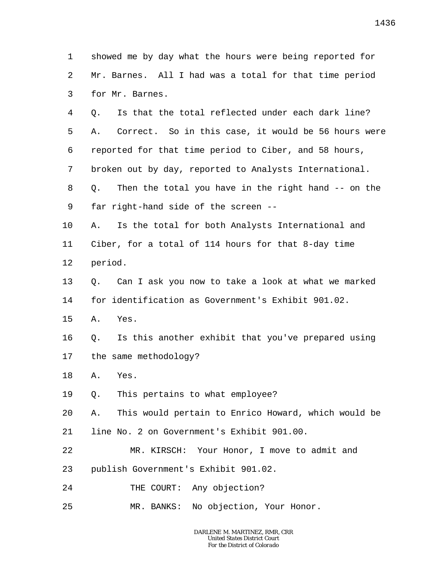1 2 3 4 5 6 7 8 9 10 11 12 13 14 15 16 17 18 19 20 21 22 23 24 25 showed me by day what the hours were being reported for Mr. Barnes. All I had was a total for that time period for Mr. Barnes. Q. Is that the total reflected under each dark line? A. Correct. So in this case, it would be 56 hours were reported for that time period to Ciber, and 58 hours, broken out by day, reported to Analysts International. Q. Then the total you have in the right hand -- on the far right-hand side of the screen -- A. Is the total for both Analysts International and Ciber, for a total of 114 hours for that 8-day time period. Q. Can I ask you now to take a look at what we marked for identification as Government's Exhibit 901.02. A. Yes. Q. Is this another exhibit that you've prepared using the same methodology? A. Yes. Q. This pertains to what employee? A. This would pertain to Enrico Howard, which would be line No. 2 on Government's Exhibit 901.00. MR. KIRSCH: Your Honor, I move to admit and publish Government's Exhibit 901.02. THE COURT: Any objection? MR. BANKS: No objection, Your Honor.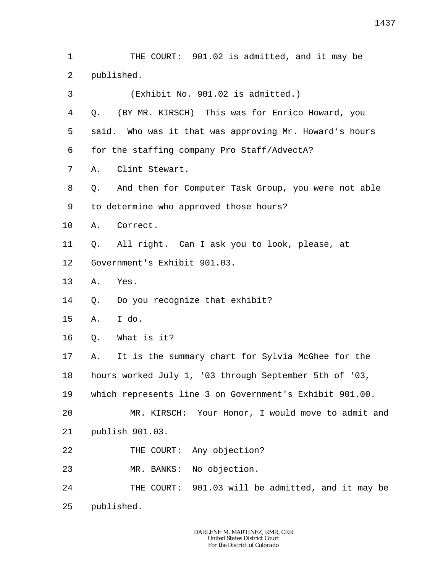1 2 3 4 5 6 7 8 9 10 11 12 13 14 15 16 17 18 19 20 21 22 23 24 THE COURT: 901.02 is admitted, and it may be published. (Exhibit No. 901.02 is admitted.) Q. (BY MR. KIRSCH) This was for Enrico Howard, you said. Who was it that was approving Mr. Howard's hours for the staffing company Pro Staff/AdvectA? A. Clint Stewart. Q. And then for Computer Task Group, you were not able to determine who approved those hours? A. Correct. Q. All right. Can I ask you to look, please, at Government's Exhibit 901.03. A. Yes. Q. Do you recognize that exhibit? A. I do. Q. What is it? A. It is the summary chart for Sylvia McGhee for the hours worked July 1, '03 through September 5th of '03, which represents line 3 on Government's Exhibit 901.00. MR. KIRSCH: Your Honor, I would move to admit and publish 901.03. THE COURT: Any objection? MR. BANKS: No objection. THE COURT: 901.03 will be admitted, and it may be

25 published.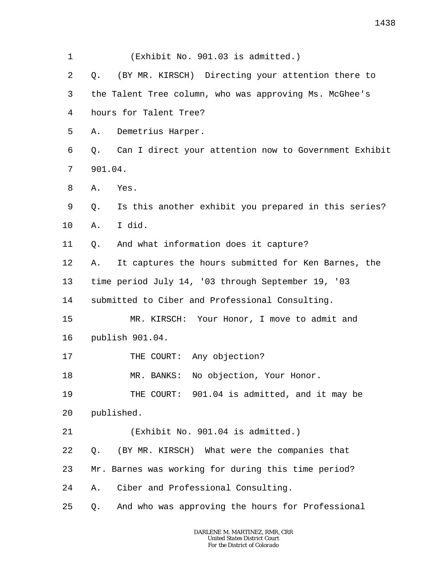1 2 3 4 5 6 7 8 9 10 11 12 13 14 15 16 17 18 19 20 21 22 23 24 25 (Exhibit No. 901.03 is admitted.) Q. (BY MR. KIRSCH) Directing your attention there to the Talent Tree column, who was approving Ms. McGhee's hours for Talent Tree? A. Demetrius Harper. Q. Can I direct your attention now to Government Exhibit 901.04. A. Yes. Q. Is this another exhibit you prepared in this series? A. I did. Q. And what information does it capture? A. It captures the hours submitted for Ken Barnes, the time period July 14, '03 through September 19, '03 submitted to Ciber and Professional Consulting. MR. KIRSCH: Your Honor, I move to admit and publish 901.04. THE COURT: Any objection? MR. BANKS: No objection, Your Honor. THE COURT: 901.04 is admitted, and it may be published. (Exhibit No. 901.04 is admitted.) Q. (BY MR. KIRSCH) What were the companies that Mr. Barnes was working for during this time period? A. Ciber and Professional Consulting. Q. And who was approving the hours for Professional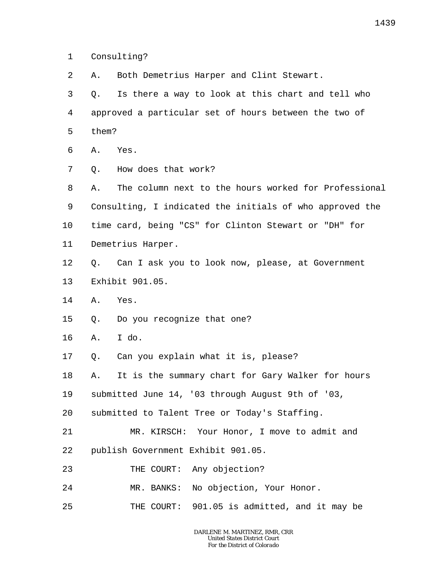1 Consulting?

2 A. Both Demetrius Harper and Clint Stewart.

- 3 4 5 Q. Is there a way to look at this chart and tell who approved a particular set of hours between the two of them?
- 6 A. Yes.
- 7 Q. How does that work?

8 9 10 11 A. The column next to the hours worked for Professional Consulting, I indicated the initials of who approved the time card, being "CS" for Clinton Stewart or "DH" for Demetrius Harper.

- 12 Q. Can I ask you to look now, please, at Government
- 13 Exhibit 901.05.
- 14 A. Yes.
- 15 Q. Do you recognize that one?
- 16 A. I do.
- 17 Q. Can you explain what it is, please?

18 A. It is the summary chart for Gary Walker for hours

19 submitted June 14, '03 through August 9th of '03,

- 20 submitted to Talent Tree or Today's Staffing.
- 21 22 MR. KIRSCH: Your Honor, I move to admit and publish Government Exhibit 901.05.
- 
- 23 THE COURT: Any objection?
- 24 MR. BANKS: No objection, Your Honor.
- 25 THE COURT: 901.05 is admitted, and it may be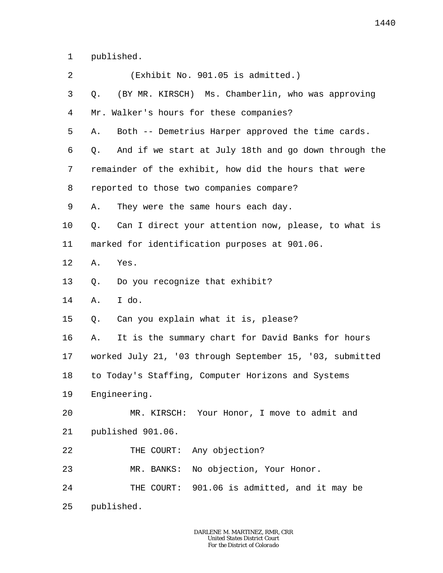1 published.

| 2       | (Exhibit No. 901.05 is admitted.)                          |
|---------|------------------------------------------------------------|
| 3       | (BY MR. KIRSCH) Ms. Chamberlin, who was approving<br>Q.    |
| 4       | Mr. Walker's hours for these companies?                    |
| 5       | Both -- Demetrius Harper approved the time cards.<br>Α.    |
| 6       | And if we start at July 18th and go down through the<br>Q. |
| 7       | remainder of the exhibit, how did the hours that were      |
| 8       | reported to those two companies compare?                   |
| 9       | They were the same hours each day.<br>Α.                   |
| $10 \,$ | Can I direct your attention now, please, to what is<br>Q.  |
| 11      | marked for identification purposes at 901.06.              |
| $12 \,$ | Α.<br>Yes.                                                 |
| 13      | Do you recognize that exhibit?<br>Q.                       |
| 14      | I do.<br>Α.                                                |
| 15      | Can you explain what it is, please?<br>Q.                  |
| 16      | It is the summary chart for David Banks for hours<br>Α.    |
| 17      | worked July 21, '03 through September 15, '03, submitted   |
| 18      | to Today's Staffing, Computer Horizons and Systems         |
| 19      | Engineering.                                               |
| 20      | MR. KIRSCH: Your Honor, I move to admit and                |
| 21      | published 901.06.                                          |
| 22      | THE COURT: Any objection?                                  |
| 23      | MR. BANKS: No objection, Your Honor.                       |
| 24      | THE COURT: 901.06 is admitted, and it may be               |
| 25      | published.                                                 |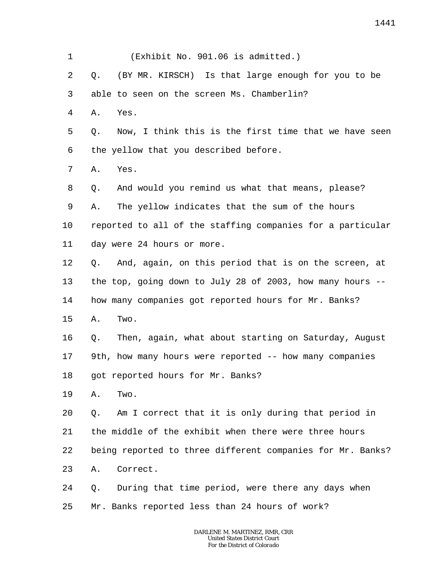1 2 3 4 5 6 7 8 9 10 11 12 13 14 15 16 17 18 19 20 21 22 23 24 25 (Exhibit No. 901.06 is admitted.) Q. (BY MR. KIRSCH) Is that large enough for you to be able to seen on the screen Ms. Chamberlin? A. Yes. Q. Now, I think this is the first time that we have seen the yellow that you described before. A. Yes. Q. And would you remind us what that means, please? A. The yellow indicates that the sum of the hours reported to all of the staffing companies for a particular day were 24 hours or more. Q. And, again, on this period that is on the screen, at the top, going down to July 28 of 2003, how many hours - how many companies got reported hours for Mr. Banks? A. Two. Q. Then, again, what about starting on Saturday, August 9th, how many hours were reported -- how many companies got reported hours for Mr. Banks? A. Two. Q. Am I correct that it is only during that period in the middle of the exhibit when there were three hours being reported to three different companies for Mr. Banks? A. Correct. Q. During that time period, were there any days when Mr. Banks reported less than 24 hours of work?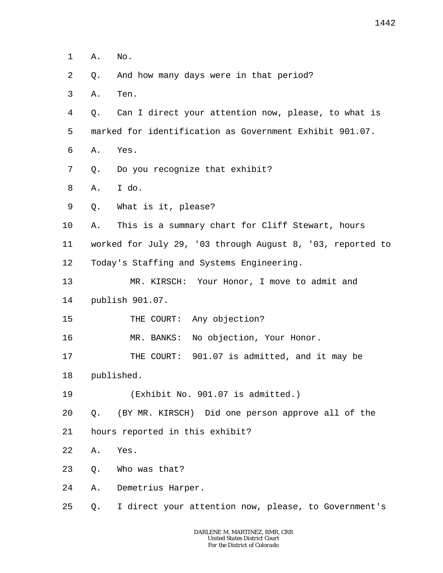- 1 A. No.
- 2 Q. And how many days were in that period?
- 3 A. Ten.
- 4 Q. Can I direct your attention now, please, to what is
- 5 marked for identification as Government Exhibit 901.07.
- 6 A. Yes.
- 7 Q. Do you recognize that exhibit?
- 8 A. I do.
- 9 Q. What is it, please?
- 10 A. This is a summary chart for Cliff Stewart, hours
- 11 worked for July 29, '03 through August 8, '03, reported to
- 12 Today's Staffing and Systems Engineering.
- 13 MR. KIRSCH: Your Honor, I move to admit and
- 14 publish 901.07.
- 15 THE COURT: Any objection?
- 16 MR. BANKS: No objection, Your Honor.
- 17 THE COURT: 901.07 is admitted, and it may be
- 18 published.
- 19 (Exhibit No. 901.07 is admitted.)
- 20 Q. (BY MR. KIRSCH) Did one person approve all of the
- 21 hours reported in this exhibit?
- 22 A. Yes.
- 23 Q. Who was that?
- 24 A. Demetrius Harper.
- 25 Q. I direct your attention now, please, to Government's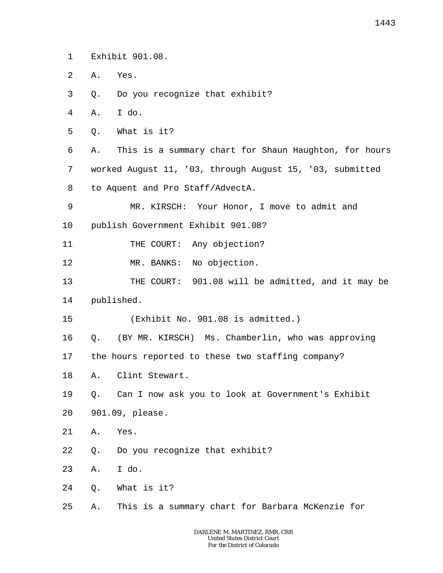- 1 Exhibit 901.08.
- $\overline{a}$ A. Yes.
- 3 Q. Do you recognize that exhibit?
- 4 A. I do.
- 5 Q. What is it?
- 6 7 8 A. This is a summary chart for Shaun Haughton, for hours worked August 11, '03, through August 15, '03, submitted to Aquent and Pro Staff/AdvectA.
- 9 MR. KIRSCH: Your Honor, I move to admit and
- 10 publish Government Exhibit 901.08?
- 11 THE COURT: Any objection?
- 12 MR. BANKS: No objection.
- 13 14 THE COURT: 901.08 will be admitted, and it may be published.
- 15 (Exhibit No. 901.08 is admitted.)
- 16 Q. (BY MR. KIRSCH) Ms. Chamberlin, who was approving
- 17 the hours reported to these two staffing company?
- 18 A. Clint Stewart.
- 19 20 Q. Can I now ask you to look at Government's Exhibit 901.09, please.
- 21 A. Yes.
- 22 Q. Do you recognize that exhibit?
- 23 A. I do.
- 24 Q. What is it?
- 25 A. This is a summary chart for Barbara McKenzie for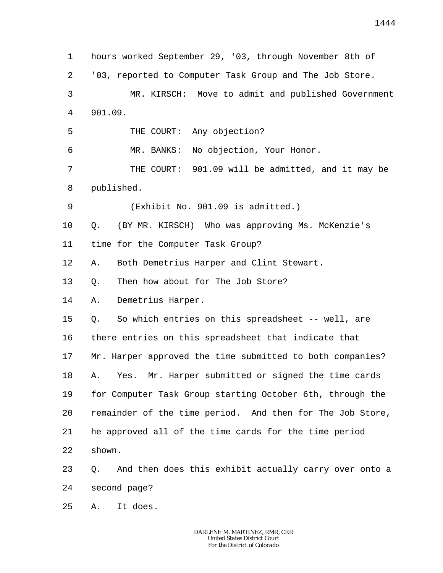1 2 3 4 5 6 7 8 9 10 11 12 13 14 15 16 17 18 19 20 21 22 23 24 25 hours worked September 29, '03, through November 8th of '03, reported to Computer Task Group and The Job Store. MR. KIRSCH: Move to admit and published Government 901.09. THE COURT: Any objection? MR. BANKS: No objection, Your Honor. THE COURT: 901.09 will be admitted, and it may be published. (Exhibit No. 901.09 is admitted.) Q. (BY MR. KIRSCH) Who was approving Ms. McKenzie's time for the Computer Task Group? A. Both Demetrius Harper and Clint Stewart. Q. Then how about for The Job Store? A. Demetrius Harper. Q. So which entries on this spreadsheet -- well, are there entries on this spreadsheet that indicate that Mr. Harper approved the time submitted to both companies? A. Yes. Mr. Harper submitted or signed the time cards for Computer Task Group starting October 6th, through the remainder of the time period. And then for The Job Store, he approved all of the time cards for the time period shown. Q. And then does this exhibit actually carry over onto a second page? A. It does.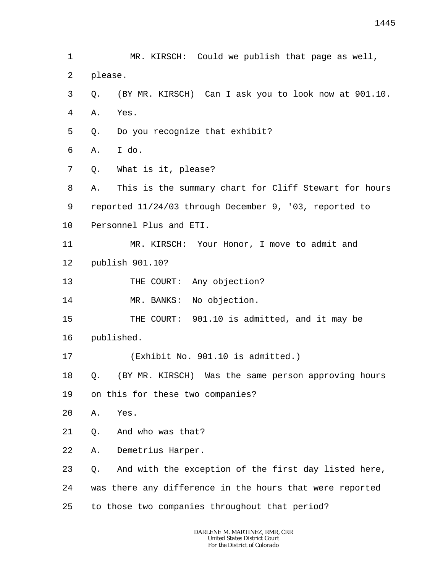1 2 3 4 5 6 7 8 9 10 11 12 13 14 15 16 17 18 19 20 21 22 23 24 25 MR. KIRSCH: Could we publish that page as well, please. Q. (BY MR. KIRSCH) Can I ask you to look now at 901.10. A. Yes. Q. Do you recognize that exhibit? A. I do. Q. What is it, please? A. This is the summary chart for Cliff Stewart for hours reported 11/24/03 through December 9, '03, reported to Personnel Plus and ETI. MR. KIRSCH: Your Honor, I move to admit and publish 901.10? THE COURT: Any objection? MR. BANKS: No objection. THE COURT: 901.10 is admitted, and it may be published. (Exhibit No. 901.10 is admitted.) Q. (BY MR. KIRSCH) Was the same person approving hours on this for these two companies? A. Yes. Q. And who was that? A. Demetrius Harper. Q. And with the exception of the first day listed here, was there any difference in the hours that were reported to those two companies throughout that period?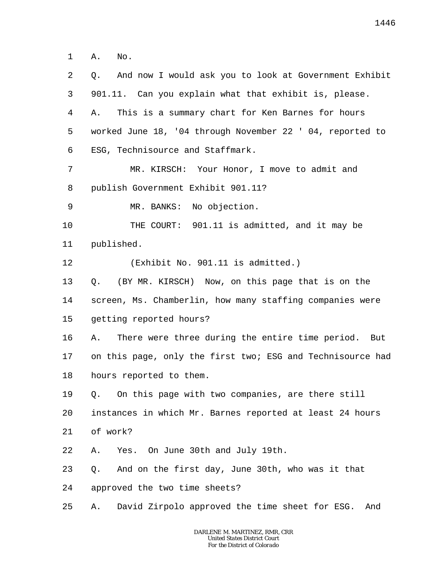1 A. No.

| 2  | And now I would ask you to look at Government Exhibit<br>Q.  |
|----|--------------------------------------------------------------|
| 3  | 901.11. Can you explain what that exhibit is, please.        |
| 4  | This is a summary chart for Ken Barnes for hours<br>Α.       |
| 5  | worked June 18, '04 through November 22 '04, reported to     |
| 6  | ESG, Technisource and Staffmark.                             |
| 7  | MR. KIRSCH: Your Honor, I move to admit and                  |
| 8  | publish Government Exhibit 901.11?                           |
| 9  | MR. BANKS: No objection.                                     |
| 10 | THE COURT: 901.11 is admitted, and it may be                 |
| 11 | published.                                                   |
| 12 | (Exhibit No. 901.11 is admitted.)                            |
| 13 | (BY MR. KIRSCH) Now, on this page that is on the<br>Q.       |
| 14 | screen, Ms. Chamberlin, how many staffing companies were     |
| 15 | getting reported hours?                                      |
| 16 | There were three during the entire time period.<br>Α.<br>But |
| 17 | on this page, only the first two; ESG and Technisource had   |
| 18 | hours reported to them.                                      |
| 19 | Q. On this page with two companies, are there still          |
| 20 | instances in which Mr. Barnes reported at least 24 hours     |
| 21 | of work?                                                     |
| 22 | Yes. On June 30th and July 19th.<br>Α.                       |
| 23 | And on the first day, June 30th, who was it that<br>Q.       |
| 24 | approved the two time sheets?                                |
| 25 | David Zirpolo approved the time sheet for ESG.<br>And<br>Α.  |
|    |                                                              |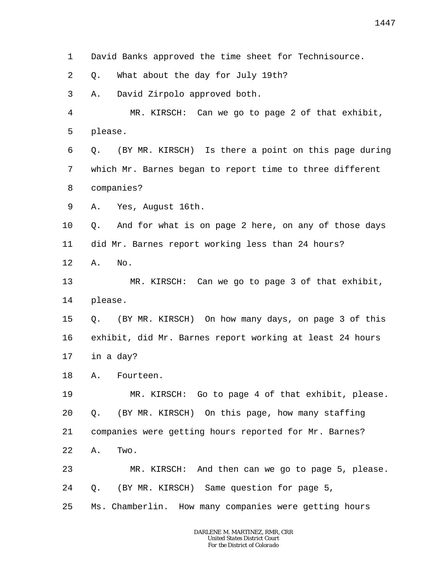- 1 David Banks approved the time sheet for Technisource.
- 2 Q. What about the day for July 19th?
- 3 A. David Zirpolo approved both.
- 4 5 MR. KIRSCH: Can we go to page 2 of that exhibit, please.
- 6 7 8 Q. (BY MR. KIRSCH) Is there a point on this page during which Mr. Barnes began to report time to three different companies?
- 9 A. Yes, August 16th.
- 10 11 Q. And for what is on page 2 here, on any of those days did Mr. Barnes report working less than 24 hours?
- 12 A. No.
- 13 14 MR. KIRSCH: Can we go to page 3 of that exhibit, please.
- 15 16 17 Q. (BY MR. KIRSCH) On how many days, on page 3 of this exhibit, did Mr. Barnes report working at least 24 hours in a day?
- 18 A. Fourteen.

19 20 21 22 MR. KIRSCH: Go to page 4 of that exhibit, please. Q. (BY MR. KIRSCH) On this page, how many staffing companies were getting hours reported for Mr. Barnes? A. Two.

23 24 25 MR. KIRSCH: And then can we go to page 5, please. Q. (BY MR. KIRSCH) Same question for page 5, Ms. Chamberlin. How many companies were getting hours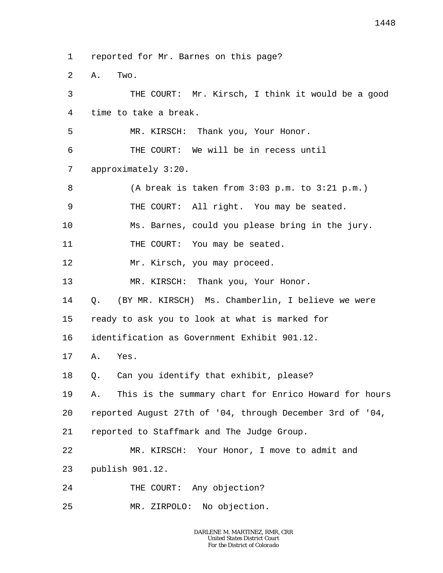1 reported for Mr. Barnes on this page?

 $\overline{a}$ A. Two.

3 4 5 6 7 8 9 10 11 12 13 14 15 16 17 18 19 20 21 22 23 24 25 THE COURT: Mr. Kirsch, I think it would be a good time to take a break. MR. KIRSCH: Thank you, Your Honor. THE COURT: We will be in recess until approximately 3:20. (A break is taken from 3:03 p.m. to 3:21 p.m.) THE COURT: All right. You may be seated. Ms. Barnes, could you please bring in the jury. THE COURT: You may be seated. Mr. Kirsch, you may proceed. MR. KIRSCH: Thank you, Your Honor. Q. (BY MR. KIRSCH) Ms. Chamberlin, I believe we were ready to ask you to look at what is marked for identification as Government Exhibit 901.12. A. Yes. Q. Can you identify that exhibit, please? A. This is the summary chart for Enrico Howard for hours reported August 27th of '04, through December 3rd of '04, reported to Staffmark and The Judge Group. MR. KIRSCH: Your Honor, I move to admit and publish 901.12. THE COURT: Any objection? MR. ZIRPOLO: No objection.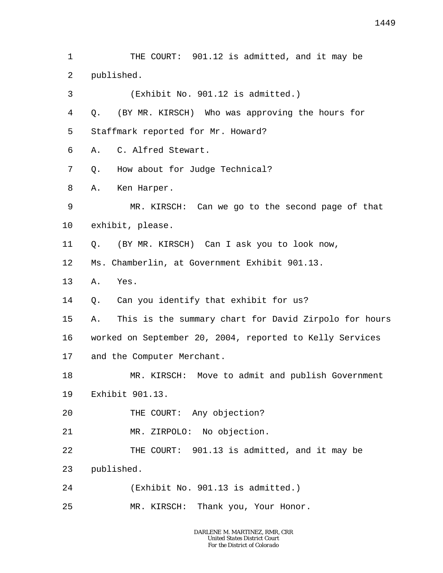1 2 THE COURT: 901.12 is admitted, and it may be published.

3 (Exhibit No. 901.12 is admitted.)

4 5 Q. (BY MR. KIRSCH) Who was approving the hours for Staffmark reported for Mr. Howard?

6 A. C. Alfred Stewart.

7 Q. How about for Judge Technical?

8 A. Ken Harper.

9 10 MR. KIRSCH: Can we go to the second page of that exhibit, please.

11 Q. (BY MR. KIRSCH) Can I ask you to look now,

12 Ms. Chamberlin, at Government Exhibit 901.13.

13 A. Yes.

14 Q. Can you identify that exhibit for us?

15 A. This is the summary chart for David Zirpolo for hours

16 worked on September 20, 2004, reported to Kelly Services

17 and the Computer Merchant.

18 19 MR. KIRSCH: Move to admit and publish Government Exhibit 901.13.

20 THE COURT: Any objection?

21 MR. ZIRPOLO: No objection.

22 THE COURT: 901.13 is admitted, and it may be

23 published.

24 (Exhibit No. 901.13 is admitted.)

25 MR. KIRSCH: Thank you, Your Honor.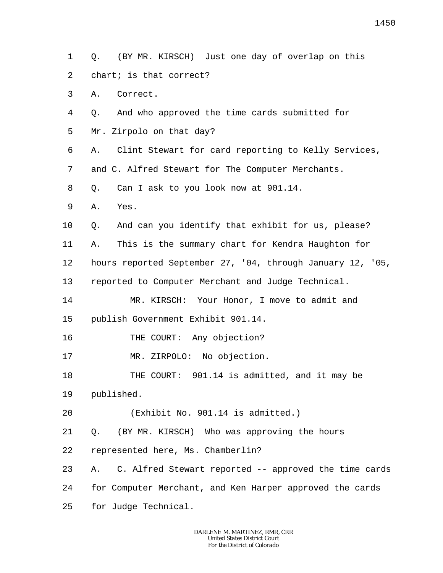1  $\overline{a}$ Q. (BY MR. KIRSCH) Just one day of overlap on this chart; is that correct?

3 A. Correct.

4 5 Q. And who approved the time cards submitted for Mr. Zirpolo on that day?

6 A. Clint Stewart for card reporting to Kelly Services,

7 and C. Alfred Stewart for The Computer Merchants.

8 Q. Can I ask to you look now at 901.14.

9 A. Yes.

10 Q. And can you identify that exhibit for us, please?

11 A. This is the summary chart for Kendra Haughton for

12 hours reported September 27, '04, through January 12, '05,

13 reported to Computer Merchant and Judge Technical.

14 15 MR. KIRSCH: Your Honor, I move to admit and publish Government Exhibit 901.14.

16 THE COURT: Any objection?

17 MR. ZIRPOLO: No objection.

18 19 THE COURT: 901.14 is admitted, and it may be published.

20 (Exhibit No. 901.14 is admitted.)

21 Q. (BY MR. KIRSCH) Who was approving the hours

22 represented here, Ms. Chamberlin?

23 24 25 A. C. Alfred Stewart reported -- approved the time cards for Computer Merchant, and Ken Harper approved the cards for Judge Technical.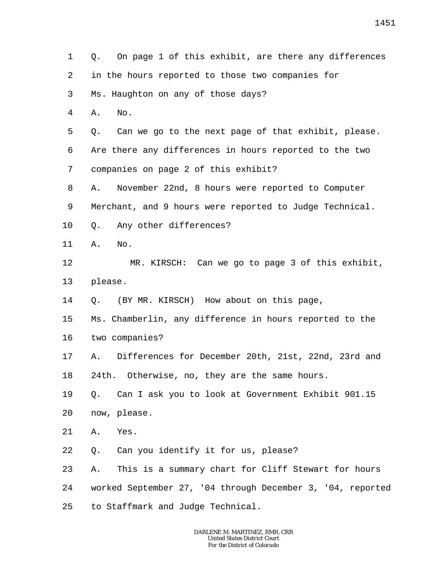1 2 3 4 5 6 7 8 9 10 11 12 13 14 15 16 17 18 19 20 21 22 23 24 25 Q. On page 1 of this exhibit, are there any differences in the hours reported to those two companies for Ms. Haughton on any of those days? A. No. Q. Can we go to the next page of that exhibit, please. Are there any differences in hours reported to the two companies on page 2 of this exhibit? A. November 22nd, 8 hours were reported to Computer Merchant, and 9 hours were reported to Judge Technical. Q. Any other differences? A. No. MR. KIRSCH: Can we go to page 3 of this exhibit, please. Q. (BY MR. KIRSCH) How about on this page, Ms. Chamberlin, any difference in hours reported to the two companies? A. Differences for December 20th, 21st, 22nd, 23rd and 24th. Otherwise, no, they are the same hours. Q. Can I ask you to look at Government Exhibit 901.15 now, please. A. Yes. Q. Can you identify it for us, please? A. This is a summary chart for Cliff Stewart for hours worked September 27, '04 through December 3, '04, reported to Staffmark and Judge Technical.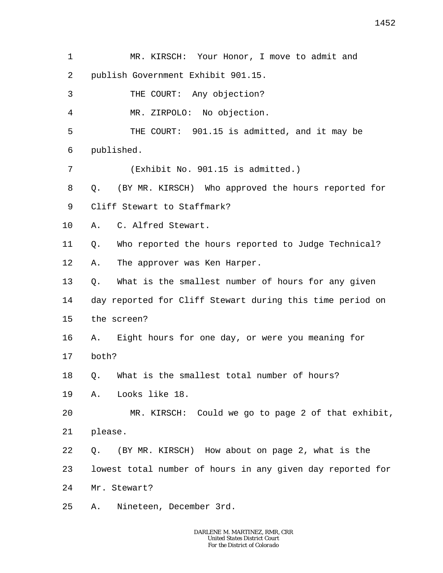3 THE COURT: Any objection?

4 MR. ZIRPOLO: No objection.

5 6 THE COURT: 901.15 is admitted, and it may be published.

(Exhibit No. 901.15 is admitted.)

8 9 Q. (BY MR. KIRSCH) Who approved the hours reported for Cliff Stewart to Staffmark?

10 A. C. Alfred Stewart.

7

11 12 Q. Who reported the hours reported to Judge Technical? A. The approver was Ken Harper.

13 14 15 Q. What is the smallest number of hours for any given day reported for Cliff Stewart during this time period on the screen?

16 17 A. Eight hours for one day, or were you meaning for both?

18 Q. What is the smallest total number of hours?

19 A. Looks like 18.

20 21 MR. KIRSCH: Could we go to page 2 of that exhibit, please.

22 Q. (BY MR. KIRSCH) How about on page 2, what is the

23 lowest total number of hours in any given day reported for

24 Mr. Stewart?

25 A. Nineteen, December 3rd.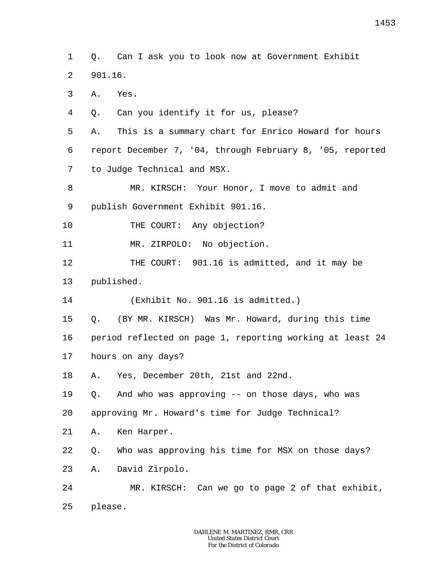1 2 Q. Can I ask you to look now at Government Exhibit 901.16.

3 A. Yes.

4 Q. Can you identify it for us, please?

5 6 7 A. This is a summary chart for Enrico Howard for hours report December 7, '04, through February 8, '05, reported to Judge Technical and MSX.

8 9 MR. KIRSCH: Your Honor, I move to admit and publish Government Exhibit 901.16.

10 THE COURT: Any objection?

11 MR. ZIRPOLO: No objection.

12 13 THE COURT: 901.16 is admitted, and it may be published.

14 (Exhibit No. 901.16 is admitted.)

15 Q. (BY MR. KIRSCH) Was Mr. Howard, during this time

16 period reflected on page 1, reporting working at least 24

17 hours on any days?

18 A. Yes, December 20th, 21st and 22nd.

19 Q. And who was approving -- on those days, who was

20 approving Mr. Howard's time for Judge Technical?

21 A. Ken Harper.

22 Q. Who was approving his time for MSX on those days?

23 A. David Zirpolo.

24 25 MR. KIRSCH: Can we go to page 2 of that exhibit, please.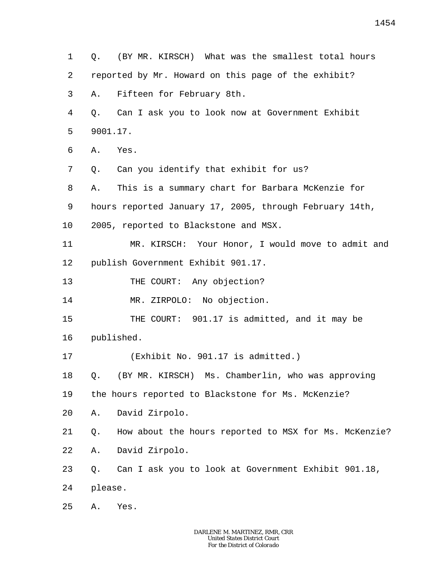1 2 3 4 5 6 7 8 9 10 11 12 13 14 15 16 17 18 19 20 21 22 23 24 25 Q. (BY MR. KIRSCH) What was the smallest total hours reported by Mr. Howard on this page of the exhibit? A. Fifteen for February 8th. Q. Can I ask you to look now at Government Exhibit 9001.17. A. Yes. Q. Can you identify that exhibit for us? A. This is a summary chart for Barbara McKenzie for hours reported January 17, 2005, through February 14th, 2005, reported to Blackstone and MSX. MR. KIRSCH: Your Honor, I would move to admit and publish Government Exhibit 901.17. THE COURT: Any objection? MR. ZIRPOLO: No objection. THE COURT: 901.17 is admitted, and it may be published. (Exhibit No. 901.17 is admitted.) Q. (BY MR. KIRSCH) Ms. Chamberlin, who was approving the hours reported to Blackstone for Ms. McKenzie? A. David Zirpolo. Q. How about the hours reported to MSX for Ms. McKenzie? A. David Zirpolo. Q. Can I ask you to look at Government Exhibit 901.18, please. A. Yes.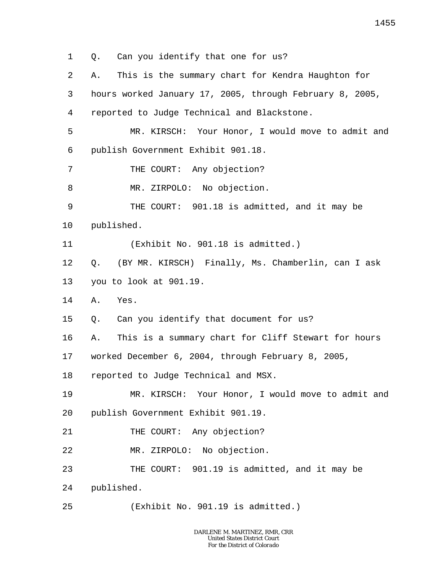1 Q. Can you identify that one for us?

| 2  | This is the summary chart for Kendra Haughton for<br>Α.   |  |  |
|----|-----------------------------------------------------------|--|--|
| 3  | hours worked January 17, 2005, through February 8, 2005,  |  |  |
| 4  | reported to Judge Technical and Blackstone.               |  |  |
| 5  | MR. KIRSCH: Your Honor, I would move to admit and         |  |  |
| 6  | publish Government Exhibit 901.18.                        |  |  |
| 7  | THE COURT: Any objection?                                 |  |  |
| 8  | MR. ZIRPOLO: No objection.                                |  |  |
| 9  | THE COURT: 901.18 is admitted, and it may be              |  |  |
| 10 | published.                                                |  |  |
| 11 | (Exhibit No. 901.18 is admitted.)                         |  |  |
| 12 | (BY MR. KIRSCH) Finally, Ms. Chamberlin, can I ask<br>Q.  |  |  |
| 13 | you to look at 901.19.                                    |  |  |
| 14 | Yes.<br>Α.                                                |  |  |
| 15 | Can you identify that document for us?<br>Q.              |  |  |
| 16 | This is a summary chart for Cliff Stewart for hours<br>Α. |  |  |
| 17 | worked December 6, 2004, through February 8, 2005,        |  |  |
| 18 | reported to Judge Technical and MSX.                      |  |  |
| 19 | MR. KIRSCH: Your Honor, I would move to admit and         |  |  |
| 20 | publish Government Exhibit 901.19.                        |  |  |
| 21 | THE COURT: Any objection?                                 |  |  |
| 22 | MR. ZIRPOLO: No objection.                                |  |  |
| 23 | THE COURT: 901.19 is admitted, and it may be              |  |  |
| 24 | published.                                                |  |  |
| 25 | (Exhibit No. 901.19 is admitted.)                         |  |  |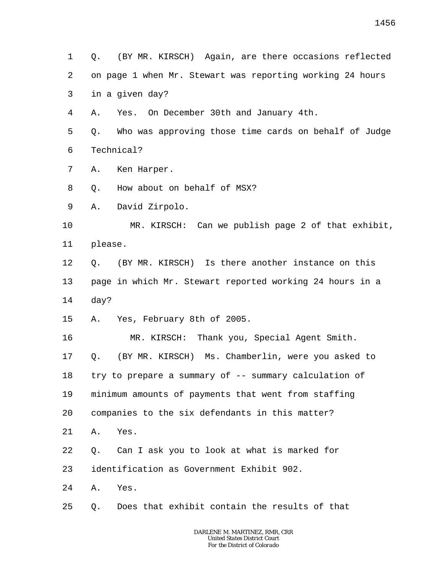4 A. Yes. On December 30th and January 4th.

5 6 Q. Who was approving those time cards on behalf of Judge Technical?

- 7 A. Ken Harper.
- 8 Q. How about on behalf of MSX?
- 9 A. David Zirpolo.

10 11 MR. KIRSCH: Can we publish page 2 of that exhibit, please.

12 13 14 Q. (BY MR. KIRSCH) Is there another instance on this page in which Mr. Stewart reported working 24 hours in a day?

15 A. Yes, February 8th of 2005.

16 17 18 19 20 MR. KIRSCH: Thank you, Special Agent Smith. Q. (BY MR. KIRSCH) Ms. Chamberlin, were you asked to try to prepare a summary of -- summary calculation of minimum amounts of payments that went from staffing companies to the six defendants in this matter?

21 A. Yes.

22 Q. Can I ask you to look at what is marked for

23 identification as Government Exhibit 902.

24 A. Yes.

25 Q. Does that exhibit contain the results of that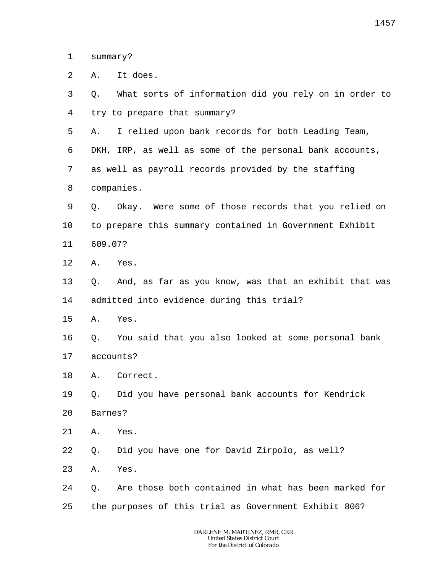- 2 A. It does.
- 3 4 Q. What sorts of information did you rely on in order to try to prepare that summary?
- 5 A. I relied upon bank records for both Leading Team,
- 6 DKH, IRP, as well as some of the personal bank accounts,
- 7 as well as payroll records provided by the staffing
- 8 companies.
- 9 10 Q. Okay. Were some of those records that you relied on to prepare this summary contained in Government Exhibit
- 11 609.07?
- 12 A. Yes.
- 13 14 Q. And, as far as you know, was that an exhibit that was admitted into evidence during this trial?
- 15 A. Yes.
- 16 17 Q. You said that you also looked at some personal bank accounts?
- 18 A. Correct.
- 19 20 Q. Did you have personal bank accounts for Kendrick Barnes?
- 21 A. Yes.
- 22 Q. Did you have one for David Zirpolo, as well?
- 23 A. Yes.
- 24 25 Q. Are those both contained in what has been marked for the purposes of this trial as Government Exhibit 806?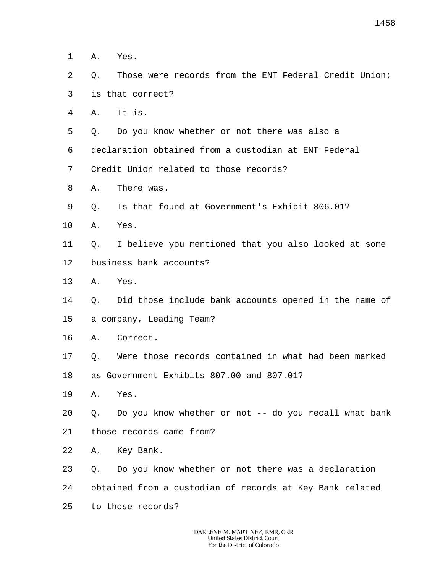- 1 A. Yes.
- 2 3 Q. Those were records from the ENT Federal Credit Union; is that correct?
- 4 A. It is.
- 5 Q. Do you know whether or not there was also a
- 6 declaration obtained from a custodian at ENT Federal
- 7 Credit Union related to those records?
- 8 A. There was.
- 9 Q. Is that found at Government's Exhibit 806.01?
- 10 A. Yes.
- 11 12 Q. I believe you mentioned that you also looked at some business bank accounts?
- 13 A. Yes.
- 14 15 Q. Did those include bank accounts opened in the name of a company, Leading Team?
- 16 A. Correct.
- 17 Q. Were those records contained in what had been marked
- 18 as Government Exhibits 807.00 and 807.01?
- 19 A. Yes.
- 20 Q. Do you know whether or not -- do you recall what bank
- 21 those records came from?
- 22 A. Key Bank.
- 23 Q. Do you know whether or not there was a declaration
- 24 obtained from a custodian of records at Key Bank related
- 25 to those records?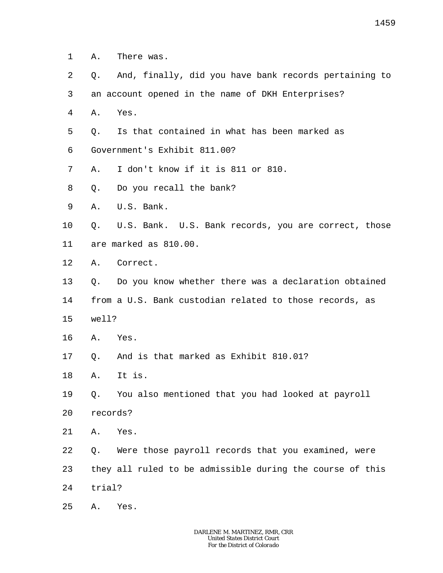- 1 A. There was.
- 2 Q. And, finally, did you have bank records pertaining to
- 3 an account opened in the name of DKH Enterprises?
- 4 A. Yes.
- 5 Q. Is that contained in what has been marked as
- 6 Government's Exhibit 811.00?
- 7 A. I don't know if it is 811 or 810.
- 8 Q. Do you recall the bank?
- 9 A. U.S. Bank.
- 10 11 Q. U.S. Bank. U.S. Bank records, you are correct, those are marked as 810.00.
- 12 A. Correct.
- 13 Q. Do you know whether there was a declaration obtained
- 14 from a U.S. Bank custodian related to those records, as
- 15 well?
- 16 A. Yes.
- 17 Q. And is that marked as Exhibit 810.01?
- 18 A. It is.
- 19 20 Q. You also mentioned that you had looked at payroll records?
- 
- 21 A. Yes.
- 22 Q. Were those payroll records that you examined, were
- 23 they all ruled to be admissible during the course of this
- 24 trial?
- 25 A. Yes.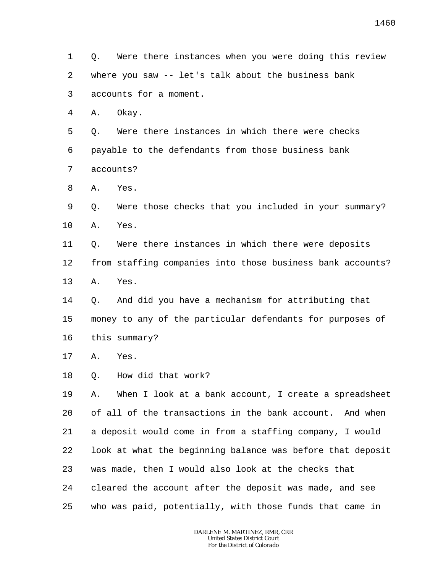- 1 2 Q. Were there instances when you were doing this review where you saw -- let's talk about the business bank
- 3 accounts for a moment.

4 A. Okay.

5 6 7 Q. Were there instances in which there were checks payable to the defendants from those business bank accounts?

- 8 A. Yes.
- 9 10 Q. Were those checks that you included in your summary? A. Yes.
- 11 12 13 Q. Were there instances in which there were deposits from staffing companies into those business bank accounts? A. Yes.
- 14 15 16 Q. And did you have a mechanism for attributing that money to any of the particular defendants for purposes of this summary?
- 17 A. Yes.
- 18 Q. How did that work?

19 20 21 22 23 24 25 A. When I look at a bank account, I create a spreadsheet of all of the transactions in the bank account. And when a deposit would come in from a staffing company, I would look at what the beginning balance was before that deposit was made, then I would also look at the checks that cleared the account after the deposit was made, and see who was paid, potentially, with those funds that came in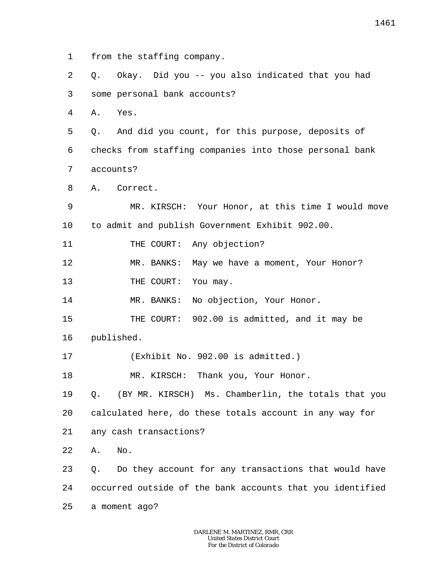- 1 from the staffing company.
- 2 3 Q. Okay. Did you -- you also indicated that you had some personal bank accounts?
- 4 A. Yes.

5 6 7 Q. And did you count, for this purpose, deposits of checks from staffing companies into those personal bank accounts?

8 A. Correct.

9 10 MR. KIRSCH: Your Honor, at this time I would move to admit and publish Government Exhibit 902.00.

11 THE COURT: Any objection?

12 13 MR. BANKS: May we have a moment, Your Honor?

THE COURT: You may.

14 MR. BANKS: No objection, Your Honor.

15 THE COURT: 902.00 is admitted, and it may be

16 published.

17 (Exhibit No. 902.00 is admitted.)

18 MR. KIRSCH: Thank you, Your Honor.

19 20 Q. (BY MR. KIRSCH) Ms. Chamberlin, the totals that you calculated here, do these totals account in any way for

21 any cash transactions?

22 A. No.

23 24 25 Q. Do they account for any transactions that would have occurred outside of the bank accounts that you identified a moment ago?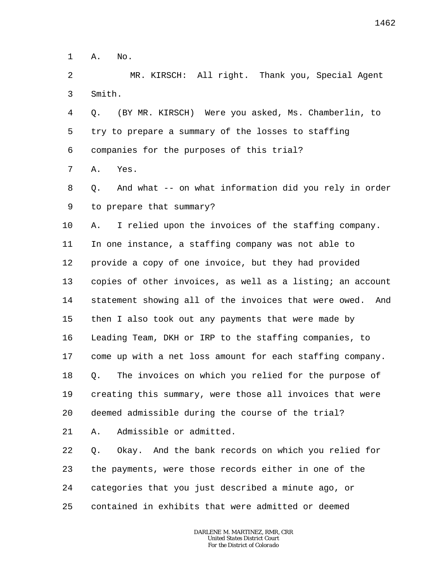1 A. No.

2 3 MR. KIRSCH: All right. Thank you, Special Agent Smith.

4 5 6 Q. (BY MR. KIRSCH) Were you asked, Ms. Chamberlin, to try to prepare a summary of the losses to staffing companies for the purposes of this trial?

7 A. Yes.

8 9 Q. And what -- on what information did you rely in order to prepare that summary?

10 11 12 13 14 15 16 17 18 19 20 A. I relied upon the invoices of the staffing company. In one instance, a staffing company was not able to provide a copy of one invoice, but they had provided copies of other invoices, as well as a listing; an account statement showing all of the invoices that were owed. And then I also took out any payments that were made by Leading Team, DKH or IRP to the staffing companies, to come up with a net loss amount for each staffing company. Q. The invoices on which you relied for the purpose of creating this summary, were those all invoices that were deemed admissible during the course of the trial?

21 A. Admissible or admitted.

22 23 24 25 Q. Okay. And the bank records on which you relied for the payments, were those records either in one of the categories that you just described a minute ago, or contained in exhibits that were admitted or deemed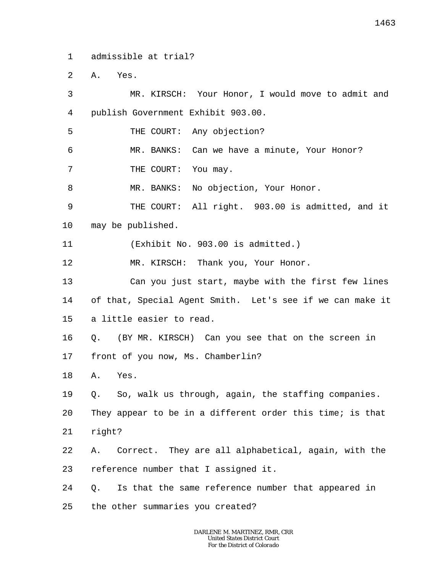1 admissible at trial?

2 A. Yes.

| 3           | MR. KIRSCH: Your Honor, I would move to admit and         |  |  |
|-------------|-----------------------------------------------------------|--|--|
| 4           | publish Government Exhibit 903.00.                        |  |  |
| 5           | THE COURT: Any objection?                                 |  |  |
| 6           | MR. BANKS: Can we have a minute, Your Honor?              |  |  |
| 7           | THE COURT:<br>You may.                                    |  |  |
| 8           | MR. BANKS: No objection, Your Honor.                      |  |  |
| $\mathsf 9$ | THE COURT: All right. 903.00 is admitted, and it          |  |  |
| 10          | may be published.                                         |  |  |
| 11          | (Exhibit No. 903.00 is admitted.)                         |  |  |
| 12          | MR. KIRSCH: Thank you, Your Honor.                        |  |  |
| 13          | Can you just start, maybe with the first few lines        |  |  |
| 14          | of that, Special Agent Smith. Let's see if we can make it |  |  |
| 15          | a little easier to read.                                  |  |  |
| 16          | (BY MR. KIRSCH) Can you see that on the screen in<br>Q.   |  |  |
| 17          | front of you now, Ms. Chamberlin?                         |  |  |
| 18          | Α.<br>Yes.                                                |  |  |
| 19          | So, walk us through, again, the staffing companies.<br>Q. |  |  |
| 20          | They appear to be in a different order this time; is that |  |  |
| 21          | right?                                                    |  |  |
| 22          | Correct. They are all alphabetical, again, with the<br>Α. |  |  |
| 23          | reference number that I assigned it.                      |  |  |
| 24          | Is that the same reference number that appeared in<br>Q.  |  |  |
| 25          | the other summaries you created?                          |  |  |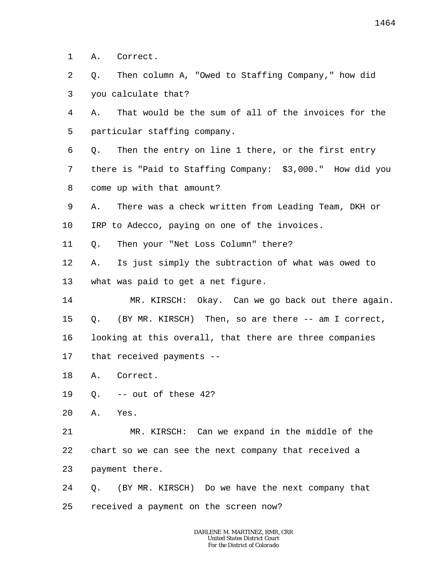1 A. Correct.

2 3 Q. Then column A, "Owed to Staffing Company," how did you calculate that?

4 5 A. That would be the sum of all of the invoices for the particular staffing company.

6 7 8 Q. Then the entry on line 1 there, or the first entry there is "Paid to Staffing Company: \$3,000." How did you come up with that amount?

9 10 A. There was a check written from Leading Team, DKH or IRP to Adecco, paying on one of the invoices.

11 Q. Then your "Net Loss Column" there?

12 13 A. Is just simply the subtraction of what was owed to what was paid to get a net figure.

14 15 16 17 MR. KIRSCH: Okay. Can we go back out there again. Q. (BY MR. KIRSCH) Then, so are there -- am I correct, looking at this overall, that there are three companies that received payments --

18 A. Correct.

19 Q. -- out of these 42?

20 A. Yes.

21 22 23 MR. KIRSCH: Can we expand in the middle of the chart so we can see the next company that received a payment there.

24 25 Q. (BY MR. KIRSCH) Do we have the next company that received a payment on the screen now?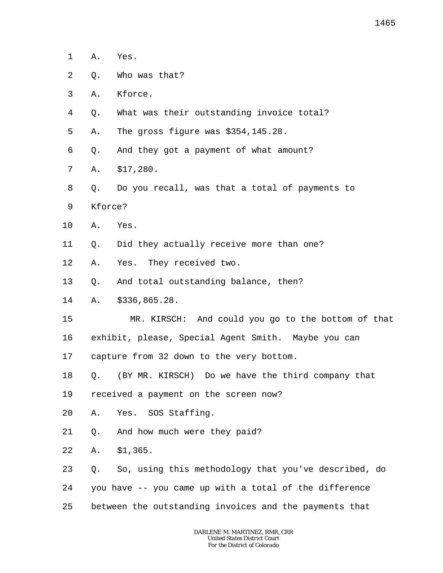- 1 A. Yes.
- 2 Q. Who was that?
- 3 A. Kforce.
- 4 Q. What was their outstanding invoice total?
- 5 A. The gross figure was \$354,145.28.
- 6 Q. And they got a payment of what amount?
- 7 A. \$17,280.
- 8 Q. Do you recall, was that a total of payments to
- 9 Kforce?
- 10 A. Yes.
- 11 Q. Did they actually receive more than one?
- 12 A. Yes. They received two.
- 13 Q. And total outstanding balance, then?
- 14 A. \$336,865.28.
- 15 MR. KIRSCH: And could you go to the bottom of that
- 16 exhibit, please, Special Agent Smith. Maybe you can
- 17 capture from 32 down to the very bottom.
- 18 Q. (BY MR. KIRSCH) Do we have the third company that
- 19 received a payment on the screen now?
- 20 A. Yes. SOS Staffing.
- 21 Q. And how much were they paid?
- 22 A. \$1,365.
- 23 Q. So, using this methodology that you've described, do
- 24 you have -- you came up with a total of the difference
- 25 between the outstanding invoices and the payments that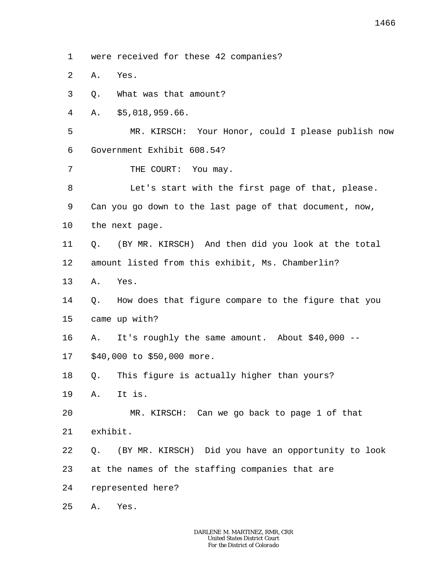1 were received for these 42 companies?

2 A. Yes.

3 Q. What was that amount?

4 A. \$5,018,959.66.

5 6 MR. KIRSCH: Your Honor, could I please publish now Government Exhibit 608.54?

7 THE COURT: You may.

8 9 10 Let's start with the first page of that, please. Can you go down to the last page of that document, now, the next page.

11 12 Q. (BY MR. KIRSCH) And then did you look at the total amount listed from this exhibit, Ms. Chamberlin?

13 A. Yes.

14 15 Q. How does that figure compare to the figure that you came up with?

16 A. It's roughly the same amount. About \$40,000 --

17 \$40,000 to \$50,000 more.

18 Q. This figure is actually higher than yours?

19 A. It is.

20 MR. KIRSCH: Can we go back to page 1 of that

21 exhibit.

22 Q. (BY MR. KIRSCH) Did you have an opportunity to look

23 at the names of the staffing companies that are

24 represented here?

25 A. Yes.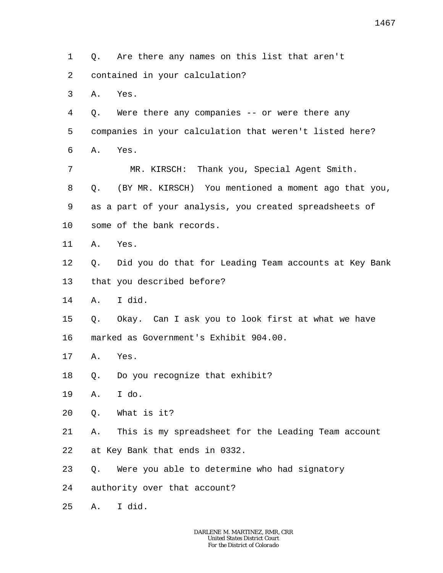1 2 Q. Are there any names on this list that aren't contained in your calculation?

3 A. Yes.

4 5 6 Q. Were there any companies -- or were there any companies in your calculation that weren't listed here? A. Yes.

7 8 9 10 MR. KIRSCH: Thank you, Special Agent Smith. Q. (BY MR. KIRSCH) You mentioned a moment ago that you, as a part of your analysis, you created spreadsheets of some of the bank records.

- 11 A. Yes.
- 12 13 Q. Did you do that for Leading Team accounts at Key Bank that you described before?
- 14 A. I did.
- 15 16 Q. Okay. Can I ask you to look first at what we have marked as Government's Exhibit 904.00.
- 17 A. Yes.
- 18 Q. Do you recognize that exhibit?
- 19 A. I do.
- 20 Q. What is it?

21 22 A. This is my spreadsheet for the Leading Team account at Key Bank that ends in 0332.

- 23 Q. Were you able to determine who had signatory
- 24 authority over that account?
- 25 A. I did.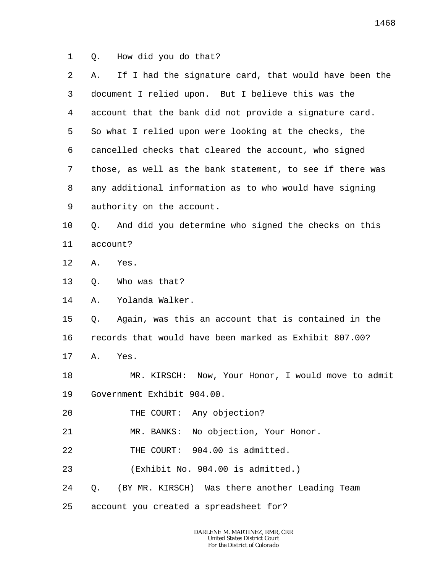1 Q. How did you do that?

| 2  | If I had the signature card, that would have been the<br>Α. |  |  |
|----|-------------------------------------------------------------|--|--|
| 3  | document I relied upon. But I believe this was the          |  |  |
| 4  | account that the bank did not provide a signature card.     |  |  |
| 5  | So what I relied upon were looking at the checks, the       |  |  |
| 6  | cancelled checks that cleared the account, who signed       |  |  |
| 7  | those, as well as the bank statement, to see if there was   |  |  |
| 8  | any additional information as to who would have signing     |  |  |
| 9  | authority on the account.                                   |  |  |
| 10 | And did you determine who signed the checks on this<br>Q.   |  |  |
| 11 | account?                                                    |  |  |
| 12 | Yes.<br>Α.                                                  |  |  |
| 13 | Who was that?<br>Q.                                         |  |  |
| 14 | Yolanda Walker.<br>Α.                                       |  |  |
| 15 | Again, was this an account that is contained in the<br>Q.   |  |  |
| 16 | records that would have been marked as Exhibit 807.00?      |  |  |
| 17 | Α.<br>Yes.                                                  |  |  |
| 18 | Now, Your Honor, I would move to admit<br>MR. KIRSCH:       |  |  |
| 19 | Government Exhibit 904.00.                                  |  |  |
| 20 | THE COURT: Any objection?                                   |  |  |
| 21 | MR. BANKS: No objection, Your Honor.                        |  |  |
| 22 | THE COURT: 904.00 is admitted.                              |  |  |
| 23 | (Exhibit No. 904.00 is admitted.)                           |  |  |
|    |                                                             |  |  |

- 24 Q. (BY MR. KIRSCH) Was there another Leading Team
- 25 account you created a spreadsheet for?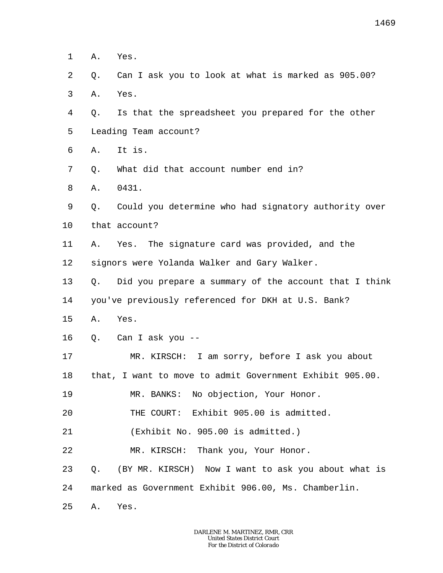- 1 A. Yes.
- 2 Q. Can I ask you to look at what is marked as 905.00?
- 3 A. Yes.
- 4 5 Q. Is that the spreadsheet you prepared for the other Leading Team account?
- 6 A. It is.
- 7 Q. What did that account number end in?
- 8 A. 0431.
- 9 10 Q. Could you determine who had signatory authority over that account?
- 11 12 A. Yes. The signature card was provided, and the signors were Yolanda Walker and Gary Walker.
- 13 14 Q. Did you prepare a summary of the account that I think you've previously referenced for DKH at U.S. Bank?
- 15 A. Yes.
- 16 Q. Can I ask you --
- 17 18 19 20 MR. KIRSCH: I am sorry, before I ask you about that, I want to move to admit Government Exhibit 905.00. MR. BANKS: No objection, Your Honor. THE COURT: Exhibit 905.00 is admitted.
- 21 (Exhibit No. 905.00 is admitted.)
- 22 MR. KIRSCH: Thank you, Your Honor.
- 23 24 Q. (BY MR. KIRSCH) Now I want to ask you about what is marked as Government Exhibit 906.00, Ms. Chamberlin.
- 25 A. Yes.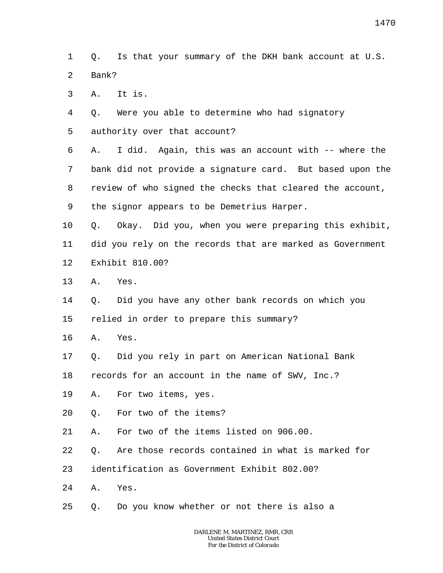1  $\overline{a}$ Q. Is that your summary of the DKH bank account at U.S. Bank?

3 A. It is.

4 Q. Were you able to determine who had signatory

5 authority over that account?

6 7 8 9 A. I did. Again, this was an account with -- where the bank did not provide a signature card. But based upon the review of who signed the checks that cleared the account, the signor appears to be Demetrius Harper.

10 11 12 Q. Okay. Did you, when you were preparing this exhibit, did you rely on the records that are marked as Government Exhibit 810.00?

- 13 A. Yes.
- 14 15 Q. Did you have any other bank records on which you relied in order to prepare this summary?
- 16 A. Yes.
- 17 Q. Did you rely in part on American National Bank

18 records for an account in the name of SWV, Inc.?

- 19 A. For two items, yes.
- 20 Q. For two of the items?

21 A. For two of the items listed on 906.00.

22 Q. Are those records contained in what is marked for

23 identification as Government Exhibit 802.00?

24 A. Yes.

25 Q. Do you know whether or not there is also a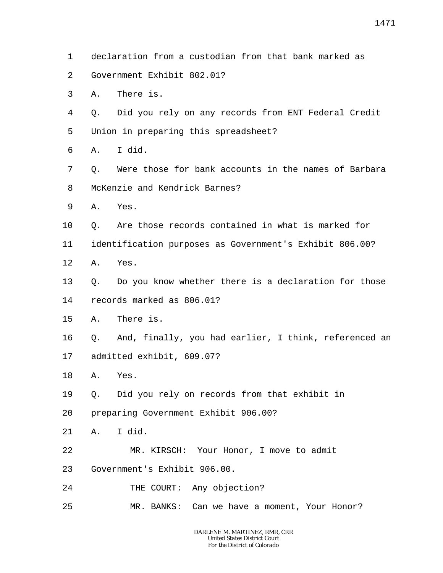- 1 declaration from a custodian from that bank marked as
- 2 Government Exhibit 802.01?
- 3 A. There is.
- 4 5 Q. Did you rely on any records from ENT Federal Credit Union in preparing this spreadsheet?
- 6 A. I did.
- 7 8 Q. Were those for bank accounts in the names of Barbara McKenzie and Kendrick Barnes?
- 9 A. Yes.
- 10 Q. Are those records contained in what is marked for
- 11 identification purposes as Government's Exhibit 806.00?
- 12 A. Yes.
- 13 Q. Do you know whether there is a declaration for those
- 14 records marked as 806.01?
- 15 A. There is.
- 16 17 Q. And, finally, you had earlier, I think, referenced an admitted exhibit, 609.07?
- 18 A. Yes.
- 19 Q. Did you rely on records from that exhibit in
- 20 preparing Government Exhibit 906.00?
- 21 A. I did.
- 22 MR. KIRSCH: Your Honor, I move to admit
- 23 Government's Exhibit 906.00.
- 24 THE COURT: Any objection?
- 25 MR. BANKS: Can we have a moment, Your Honor?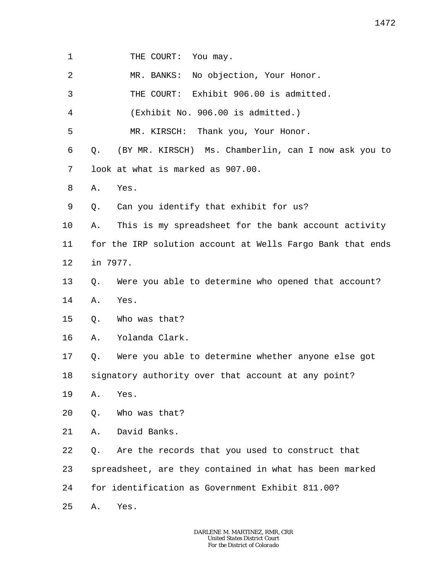- 1 THE COURT: You may.
- 2 MR. BANKS: No objection, Your Honor.

3 THE COURT: Exhibit 906.00 is admitted.

4 (Exhibit No. 906.00 is admitted.)

5 MR. KIRSCH: Thank you, Your Honor.

6 7 Q. (BY MR. KIRSCH) Ms. Chamberlin, can I now ask you to look at what is marked as 907.00.

- 8 A. Yes.
- 9 Q. Can you identify that exhibit for us?

10 A. This is my spreadsheet for the bank account activity

11 12 for the IRP solution account at Wells Fargo Bank that ends in 7977.

13 Q. Were you able to determine who opened that account?

14 A. Yes.

- 15 Q. Who was that?
- 16 A. Yolanda Clark.

17 Q. Were you able to determine whether anyone else got

18 signatory authority over that account at any point?

- 19 A. Yes.
- 20 Q. Who was that?
- 21 A. David Banks.

22 Q. Are the records that you used to construct that

23 spreadsheet, are they contained in what has been marked

24 for identification as Government Exhibit 811.00?

25 A. Yes.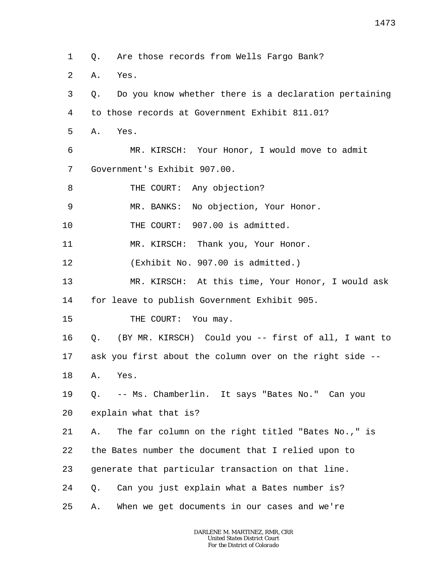1 Q. Are those records from Wells Fargo Bank?

2 A. Yes.

3 4 5 6 7 8 9 10 11 12 Q. Do you know whether there is a declaration pertaining to those records at Government Exhibit 811.01? A. Yes. MR. KIRSCH: Your Honor, I would move to admit Government's Exhibit 907.00. THE COURT: Any objection? MR. BANKS: No objection, Your Honor. THE COURT: 907.00 is admitted. MR. KIRSCH: Thank you, Your Honor. (Exhibit No. 907.00 is admitted.)

13 14 MR. KIRSCH: At this time, Your Honor, I would ask for leave to publish Government Exhibit 905.

15 THE COURT: You may.

16 17 Q. (BY MR. KIRSCH) Could you -- first of all, I want to ask you first about the column over on the right side --

18 A. Yes.

19 20 Q. -- Ms. Chamberlin. It says "Bates No." Can you explain what that is?

21 22 23 24 25 A. The far column on the right titled "Bates No.," is the Bates number the document that I relied upon to generate that particular transaction on that line. Q. Can you just explain what a Bates number is? A. When we get documents in our cases and we're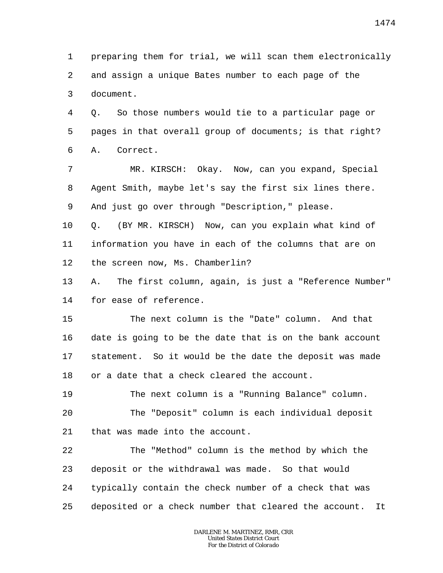1 2 3 preparing them for trial, we will scan them electronically and assign a unique Bates number to each page of the document.

4 5 6 Q. So those numbers would tie to a particular page or pages in that overall group of documents; is that right? A. Correct.

7 8 9 MR. KIRSCH: Okay. Now, can you expand, Special Agent Smith, maybe let's say the first six lines there. And just go over through "Description," please.

10 11 12 Q. (BY MR. KIRSCH) Now, can you explain what kind of information you have in each of the columns that are on the screen now, Ms. Chamberlin?

13 14 A. The first column, again, is just a "Reference Number" for ease of reference.

15 16 17 18 The next column is the "Date" column. And that date is going to be the date that is on the bank account statement. So it would be the date the deposit was made or a date that a check cleared the account.

19 20 21 The next column is a "Running Balance" column. The "Deposit" column is each individual deposit that was made into the account.

22 23 24 25 The "Method" column is the method by which the deposit or the withdrawal was made. So that would typically contain the check number of a check that was deposited or a check number that cleared the account. It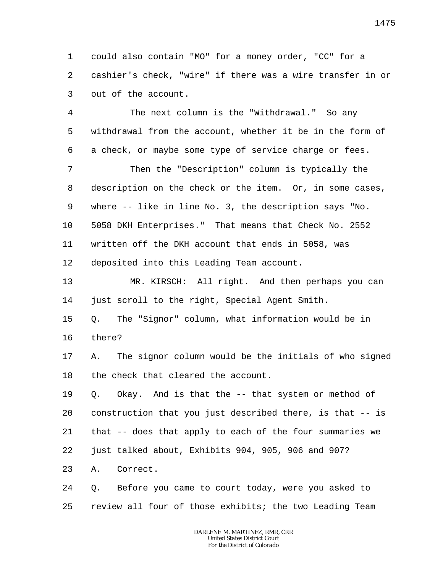1 2 3 could also contain "MO" for a money order, "CC" for a cashier's check, "wire" if there was a wire transfer in or out of the account.

4 5 6 7 8 9 The next column is the "Withdrawal." So any withdrawal from the account, whether it be in the form of a check, or maybe some type of service charge or fees. Then the "Description" column is typically the description on the check or the item. Or, in some cases, where -- like in line No. 3, the description says "No.

10 11 12 5058 DKH Enterprises." That means that Check No. 2552 written off the DKH account that ends in 5058, was deposited into this Leading Team account.

13 14 MR. KIRSCH: All right. And then perhaps you can just scroll to the right, Special Agent Smith.

15 16 Q. The "Signor" column, what information would be in there?

17 18 A. The signor column would be the initials of who signed the check that cleared the account.

19 20 21 22 Q. Okay. And is that the -- that system or method of construction that you just described there, is that -- is that -- does that apply to each of the four summaries we just talked about, Exhibits 904, 905, 906 and 907?

23 A. Correct.

24 25 Q. Before you came to court today, were you asked to review all four of those exhibits; the two Leading Team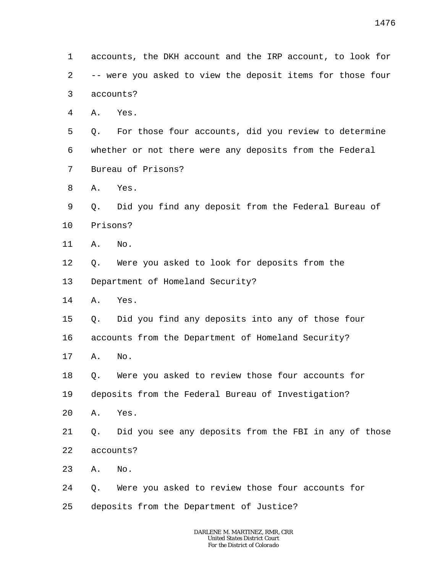1 2 3 4 5 6 7 8 9 10 11 12 13 14 15 16 17 18 19 20 21 22 23 24 25 accounts, the DKH account and the IRP account, to look for -- were you asked to view the deposit items for those four accounts? A. Yes. Q. For those four accounts, did you review to determine whether or not there were any deposits from the Federal Bureau of Prisons? A. Yes. Q. Did you find any deposit from the Federal Bureau of Prisons? A. No. Q. Were you asked to look for deposits from the Department of Homeland Security? A. Yes. Q. Did you find any deposits into any of those four accounts from the Department of Homeland Security? A. No. Q. Were you asked to review those four accounts for deposits from the Federal Bureau of Investigation? A. Yes. Q. Did you see any deposits from the FBI in any of those accounts? A. No. Q. Were you asked to review those four accounts for deposits from the Department of Justice?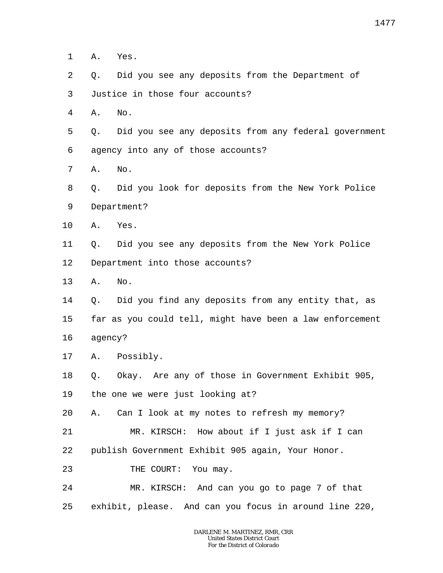1 A. Yes.

- 2 Q. Did you see any deposits from the Department of
- 3 Justice in those four accounts?
- 4 A. No.
- 5 6 Q. Did you see any deposits from any federal government agency into any of those accounts?
- 7 A. No.
- 8 9 Q. Did you look for deposits from the New York Police Department?
- 10 A. Yes.
- 11 12 Q. Did you see any deposits from the New York Police Department into those accounts?
- 13 A. No.
- 14 15 16 Q. Did you find any deposits from any entity that, as far as you could tell, might have been a law enforcement agency?
- 17 A. Possibly.
- 18 Q. Okay. Are any of those in Government Exhibit 905,

19 the one we were just looking at?

20 A. Can I look at my notes to refresh my memory?

- 21 MR. KIRSCH: How about if I just ask if I can
- 22 publish Government Exhibit 905 again, Your Honor.
- 23 THE COURT: You may.
- 24 25 MR. KIRSCH: And can you go to page 7 of that exhibit, please. And can you focus in around line 220,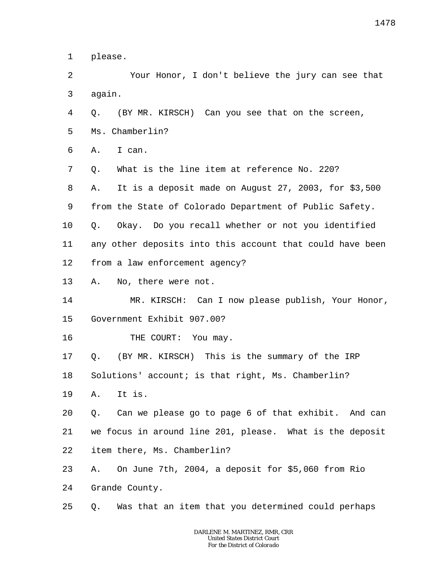1 please.

2 3 Your Honor, I don't believe the jury can see that again.

4 Q. (BY MR. KIRSCH) Can you see that on the screen,

5 Ms. Chamberlin?

6 A. I can.

7 Q. What is the line item at reference No. 220?

8 A. It is a deposit made on August 27, 2003, for \$3,500

9 from the State of Colorado Department of Public Safety.

10 Q. Okay. Do you recall whether or not you identified

11 any other deposits into this account that could have been

12 from a law enforcement agency?

13 A. No, there were not.

14 15 MR. KIRSCH: Can I now please publish, Your Honor, Government Exhibit 907.00?

16 THE COURT: You may.

17 Q. (BY MR. KIRSCH) This is the summary of the IRP

18 Solutions' account; is that right, Ms. Chamberlin?

19 A. It is.

20 21 22 Q. Can we please go to page 6 of that exhibit. And can we focus in around line 201, please. What is the deposit item there, Ms. Chamberlin?

23 A. On June 7th, 2004, a deposit for \$5,060 from Rio

24 Grande County.

25 Q. Was that an item that you determined could perhaps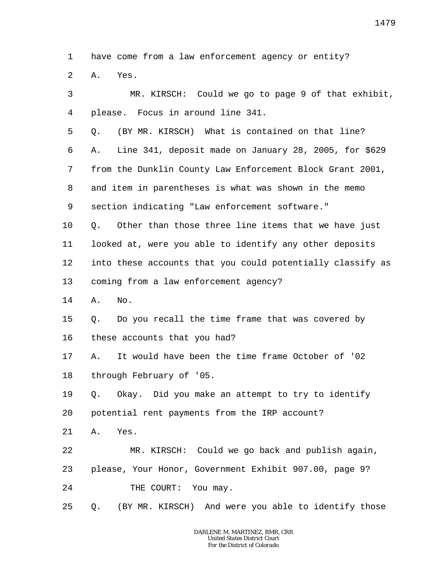1 have come from a law enforcement agency or entity?

 $\overline{a}$ A. Yes.

3 4 MR. KIRSCH: Could we go to page 9 of that exhibit, please. Focus in around line 341.

5 6 7 8 Q. (BY MR. KIRSCH) What is contained on that line? A. Line 341, deposit made on January 28, 2005, for \$629 from the Dunklin County Law Enforcement Block Grant 2001, and item in parentheses is what was shown in the memo

9 section indicating "Law enforcement software."

10 11 12 13 Q. Other than those three line items that we have just looked at, were you able to identify any other deposits into these accounts that you could potentially classify as coming from a law enforcement agency?

14 A. No.

15 16 Q. Do you recall the time frame that was covered by these accounts that you had?

17 18 A. It would have been the time frame October of '02 through February of '05.

19 20 Q. Okay. Did you make an attempt to try to identify potential rent payments from the IRP account?

21 A. Yes.

22 23 MR. KIRSCH: Could we go back and publish again, please, Your Honor, Government Exhibit 907.00, page 9?

24 THE COURT: You may.

25 Q. (BY MR. KIRSCH) And were you able to identify those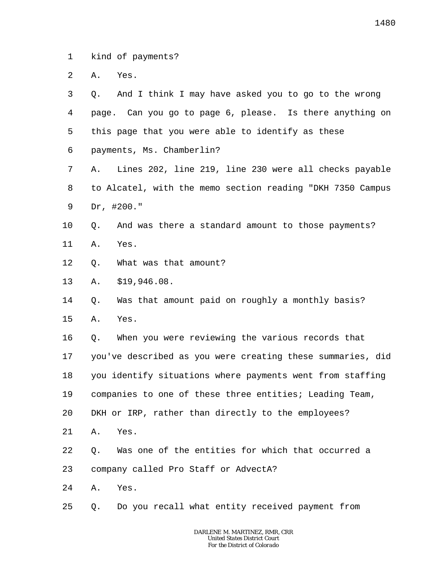1 kind of payments?

2 A. Yes.

| 3       | Q.                                                         | And I think I may have asked you to go to the wrong   |  |
|---------|------------------------------------------------------------|-------------------------------------------------------|--|
| 4       | page. Can you go to page 6, please. Is there anything on   |                                                       |  |
| 5       | this page that you were able to identify as these          |                                                       |  |
| 6       | payments, Ms. Chamberlin?                                  |                                                       |  |
| 7       | Α.                                                         | Lines 202, line 219, line 230 were all checks payable |  |
| 8       | to Alcatel, with the memo section reading "DKH 7350 Campus |                                                       |  |
| 9       | Dr, #200."                                                 |                                                       |  |
| $10 \,$ | Q.                                                         | And was there a standard amount to those payments?    |  |
| 11      | Yes.<br>Α.                                                 |                                                       |  |
| 12      | What was that amount?<br>Q.                                |                                                       |  |
| 13      | \$19,946.08.<br>Α.                                         |                                                       |  |
| 14      | Was that amount paid on roughly a monthly basis?<br>Q.     |                                                       |  |
| 15      | Yes.<br>Α.                                                 |                                                       |  |
| 16      | When you were reviewing the various records that<br>Q.     |                                                       |  |
| 17      | you've described as you were creating these summaries, did |                                                       |  |
| 18      | you identify situations where payments went from staffing  |                                                       |  |
| 19      | companies to one of these three entities; Leading Team,    |                                                       |  |
| 20      | DKH or IRP, rather than directly to the employees?         |                                                       |  |
| 21      | Yes.<br>Α.                                                 |                                                       |  |
| 22      | Was one of the entities for which that occurred a<br>Q.    |                                                       |  |
| 23      | company called Pro Staff or AdvectA?                       |                                                       |  |
| 24      | Yes.<br>Α.                                                 |                                                       |  |
| 25      | Do you recall what entity received payment from<br>Q.      |                                                       |  |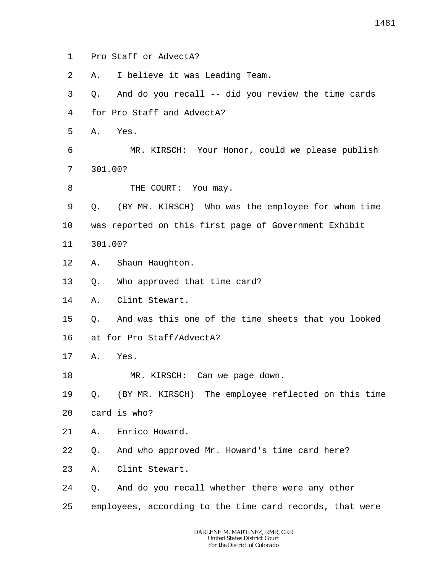- 1 Pro Staff or AdvectA?
- 2 A. I believe it was Leading Team.
- 3 4 Q. And do you recall -- did you review the time cards for Pro Staff and AdvectA?
- 5 A. Yes.

6 7 MR. KIRSCH: Your Honor, could we please publish 301.00?

8 THE COURT: You may.

9 Q. (BY MR. KIRSCH) Who was the employee for whom time

- 10 was reported on this first page of Government Exhibit
- 11 301.00?
- 12 A. Shaun Haughton.
- 13 Q. Who approved that time card?
- 14 A. Clint Stewart.
- 15 Q. And was this one of the time sheets that you looked
- 16 at for Pro Staff/AdvectA?
- 17 A. Yes.
- 18 MR. KIRSCH: Can we page down.

19 20 Q. (BY MR. KIRSCH) The employee reflected on this time card is who?

- 21 A. Enrico Howard.
- 22 Q. And who approved Mr. Howard's time card here?
- 23 A. Clint Stewart.
- 24 Q. And do you recall whether there were any other
- 25 employees, according to the time card records, that were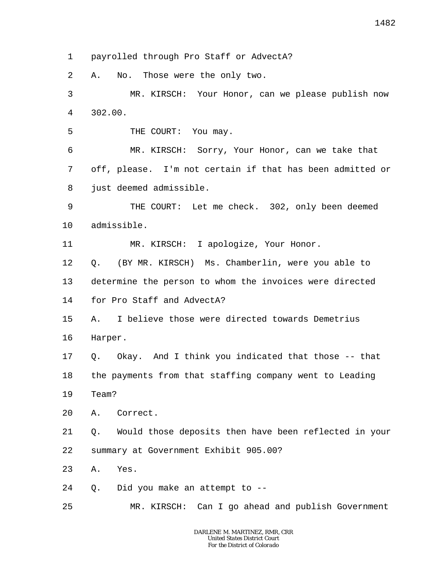1 payrolled through Pro Staff or AdvectA?

2 A. No. Those were the only two.

3 4 MR. KIRSCH: Your Honor, can we please publish now 302.00.

5 THE COURT: You may.

6 7 8 MR. KIRSCH: Sorry, Your Honor, can we take that off, please. I'm not certain if that has been admitted or just deemed admissible.

9 10 THE COURT: Let me check. 302, only been deemed admissible.

11 MR. KIRSCH: I apologize, Your Honor.

12 13 14 Q. (BY MR. KIRSCH) Ms. Chamberlin, were you able to determine the person to whom the invoices were directed for Pro Staff and AdvectA?

15 A. I believe those were directed towards Demetrius

16 Harper.

17 18 Q. Okay. And I think you indicated that those -- that the payments from that staffing company went to Leading

- 19 Team?
- 20 A. Correct.

21 22 Q. Would those deposits then have been reflected in your summary at Government Exhibit 905.00?

23 A. Yes.

24 Q. Did you make an attempt to --

25 MR. KIRSCH: Can I go ahead and publish Government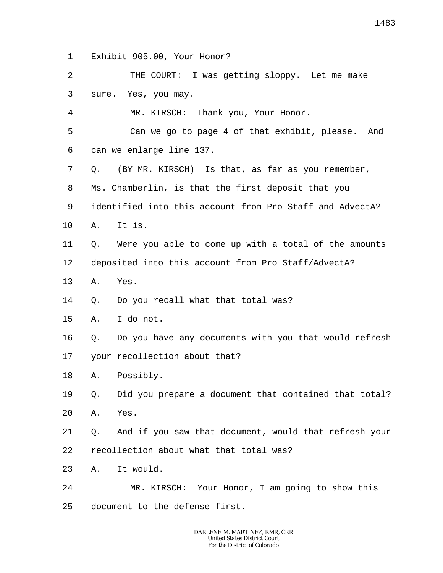1 Exhibit 905.00, Your Honor?

2 3 THE COURT: I was getting sloppy. Let me make sure. Yes, you may.

4 MR. KIRSCH: Thank you, Your Honor.

5 6 Can we go to page 4 of that exhibit, please. And can we enlarge line 137.

7 Q. (BY MR. KIRSCH) Is that, as far as you remember,

8 Ms. Chamberlin, is that the first deposit that you

9 identified into this account from Pro Staff and AdvectA?

10 A. It is.

11 12 Q. Were you able to come up with a total of the amounts deposited into this account from Pro Staff/AdvectA?

13 A. Yes.

14 Q. Do you recall what that total was?

15 A. I do not.

16 17 Q. Do you have any documents with you that would refresh your recollection about that?

18 A. Possibly.

19 20 Q. Did you prepare a document that contained that total? A. Yes.

21 22 Q. And if you saw that document, would that refresh your recollection about what that total was?

23 A. It would.

24 25 MR. KIRSCH: Your Honor, I am going to show this document to the defense first.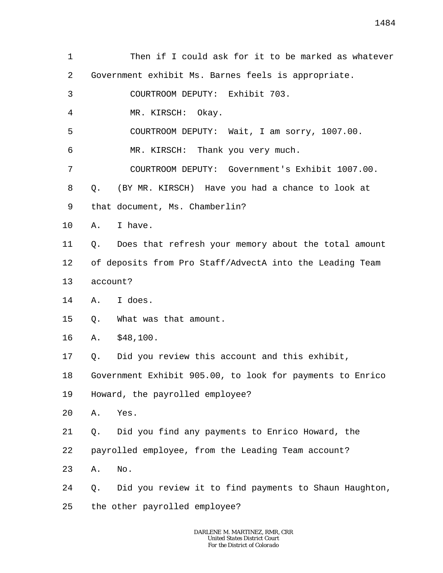1 2 3 4 5 6 7 8 9 10 11 12 13 14 15 16 17 18 19 20 21 22 23 24 25 Then if I could ask for it to be marked as whatever Government exhibit Ms. Barnes feels is appropriate. COURTROOM DEPUTY: Exhibit 703. MR. KIRSCH: Okay. COURTROOM DEPUTY: Wait, I am sorry, 1007.00. MR. KIRSCH: Thank you very much. COURTROOM DEPUTY: Government's Exhibit 1007.00. Q. (BY MR. KIRSCH) Have you had a chance to look at that document, Ms. Chamberlin? A. I have. Q. Does that refresh your memory about the total amount of deposits from Pro Staff/AdvectA into the Leading Team account? A. I does. Q. What was that amount. A. \$48,100. Q. Did you review this account and this exhibit, Government Exhibit 905.00, to look for payments to Enrico Howard, the payrolled employee? A. Yes. Q. Did you find any payments to Enrico Howard, the payrolled employee, from the Leading Team account? A. No. Q. Did you review it to find payments to Shaun Haughton, the other payrolled employee?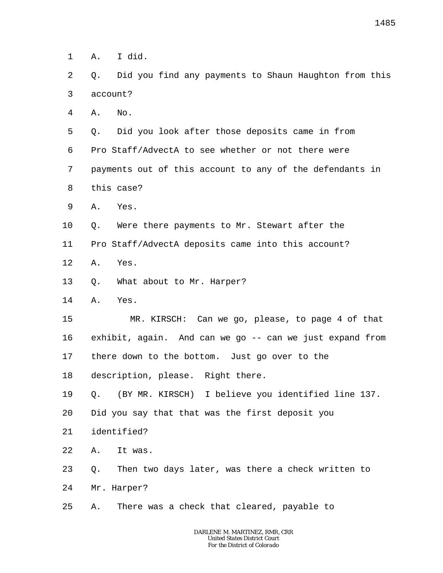1 A. I did.

- 2 3 Q. Did you find any payments to Shaun Haughton from this account?
- 4 A. No.

5 6 7 8 Q. Did you look after those deposits came in from Pro Staff/AdvectA to see whether or not there were payments out of this account to any of the defendants in this case?

- 9 A. Yes.
- 10 Q. Were there payments to Mr. Stewart after the
- 11 Pro Staff/AdvectA deposits came into this account?
- 12 A. Yes.
- 13 Q. What about to Mr. Harper?
- 14 A. Yes.

15 16 17 MR. KIRSCH: Can we go, please, to page 4 of that exhibit, again. And can we go -- can we just expand from there down to the bottom. Just go over to the

18 description, please. Right there.

19 Q. (BY MR. KIRSCH) I believe you identified line 137.

20 Did you say that that was the first deposit you

- 21 identified?
- 22 A. It was.
- 23 Q. Then two days later, was there a check written to
- 24 Mr. Harper?
- 25 A. There was a check that cleared, payable to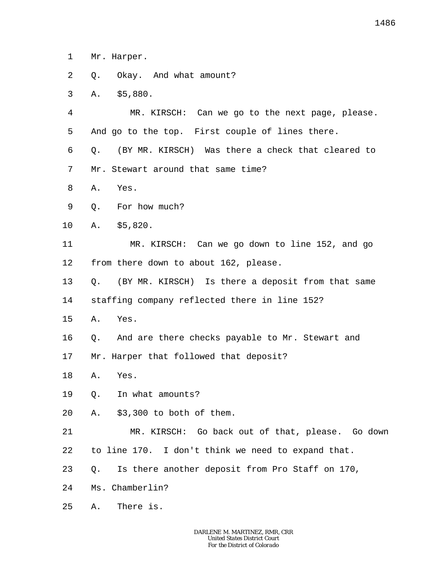- 1 Mr. Harper.
- 2 Q. Okay. And what amount?
- 3 A. \$5,880.

4 5 MR. KIRSCH: Can we go to the next page, please. And go to the top. First couple of lines there.

6 Q. (BY MR. KIRSCH) Was there a check that cleared to

- 7 Mr. Stewart around that same time?
- 8 A. Yes.
- 9 Q. For how much?
- 10 A. \$5,820.

11 12 MR. KIRSCH: Can we go down to line 152, and go from there down to about 162, please.

13 14 Q. (BY MR. KIRSCH) Is there a deposit from that same staffing company reflected there in line 152?

15 A. Yes.

16 Q. And are there checks payable to Mr. Stewart and

17 Mr. Harper that followed that deposit?

- 18 A. Yes.
- 19 Q. In what amounts?
- 20 A. \$3,300 to both of them.

21 22 MR. KIRSCH: Go back out of that, please. Go down to line 170. I don't think we need to expand that.

23 Q. Is there another deposit from Pro Staff on 170,

24 Ms. Chamberlin?

25 A. There is.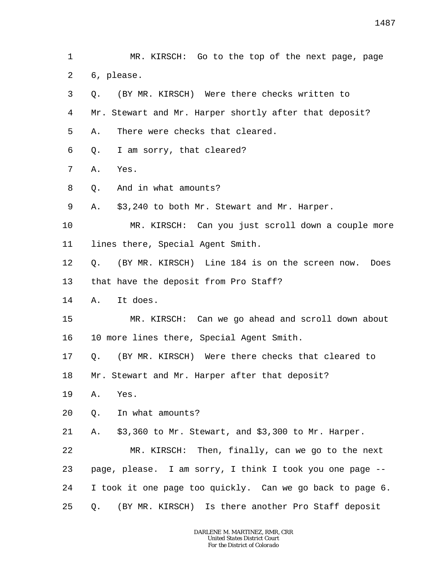1 2 MR. KIRSCH: Go to the top of the next page, page 6, please.

- 3 4 5 Q. (BY MR. KIRSCH) Were there checks written to Mr. Stewart and Mr. Harper shortly after that deposit? A. There were checks that cleared.
- 6 Q. I am sorry, that cleared?
- 7 A. Yes.
- 8 Q. And in what amounts?
- 9 A. \$3,240 to both Mr. Stewart and Mr. Harper.
- 10 11 MR. KIRSCH: Can you just scroll down a couple more lines there, Special Agent Smith.
- 12 13 Q. (BY MR. KIRSCH) Line 184 is on the screen now. Does that have the deposit from Pro Staff?
- 14 A. It does.
- 15 16 MR. KIRSCH: Can we go ahead and scroll down about 10 more lines there, Special Agent Smith.
- 17 Q. (BY MR. KIRSCH) Were there checks that cleared to

18 Mr. Stewart and Mr. Harper after that deposit?

- 19 A. Yes.
- 20 Q. In what amounts?
- 21 A. \$3,360 to Mr. Stewart, and \$3,300 to Mr. Harper.

22 23 24 25 MR. KIRSCH: Then, finally, can we go to the next page, please. I am sorry, I think I took you one page -- I took it one page too quickly. Can we go back to page 6. Q. (BY MR. KIRSCH) Is there another Pro Staff deposit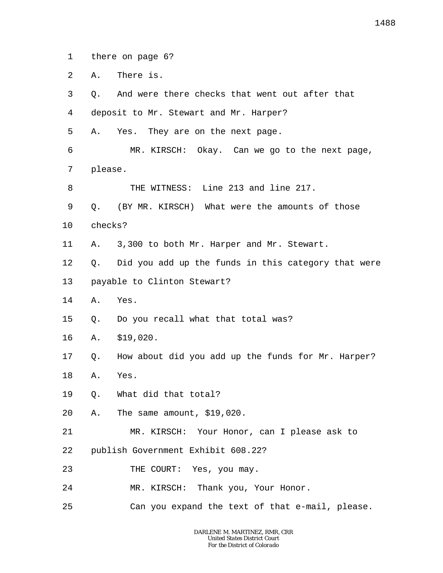1 there on page 6?

2 A. There is.

| 3  | Q.                          | And were there checks that went out after that      |  |
|----|-----------------------------|-----------------------------------------------------|--|
| 4  |                             | deposit to Mr. Stewart and Mr. Harper?              |  |
| 5  | Α.                          | Yes. They are on the next page.                     |  |
| 6  |                             | MR. KIRSCH: Okay. Can we go to the next page,       |  |
| 7  | please.                     |                                                     |  |
| 8  |                             | THE WITNESS: Line 213 and line 217.                 |  |
| 9  |                             | Q. (BY MR. KIRSCH) What were the amounts of those   |  |
| 10 | checks?                     |                                                     |  |
| 11 | A.                          | 3,300 to both Mr. Harper and Mr. Stewart.           |  |
| 12 | Q.                          | Did you add up the funds in this category that were |  |
| 13 | payable to Clinton Stewart? |                                                     |  |
| 14 | Α.                          | Yes.                                                |  |
| 15 | Q.                          | Do you recall what that total was?                  |  |
| 16 | Α.                          | \$19,020.                                           |  |
| 17 | Q.                          | How about did you add up the funds for Mr. Harper?  |  |
| 18 | Α.                          | Yes.                                                |  |
| 19 | Q.                          | What did that total?                                |  |
| 20 |                             | A. The same amount, \$19,020.                       |  |
| 21 |                             | MR. KIRSCH: Your Honor, can I please ask to         |  |
| 22 |                             | publish Government Exhibit 608.22?                  |  |
| 23 |                             | THE COURT: Yes, you may.                            |  |
| 24 |                             | MR. KIRSCH: Thank you, Your Honor.                  |  |
| 25 |                             | Can you expand the text of that e-mail, please.     |  |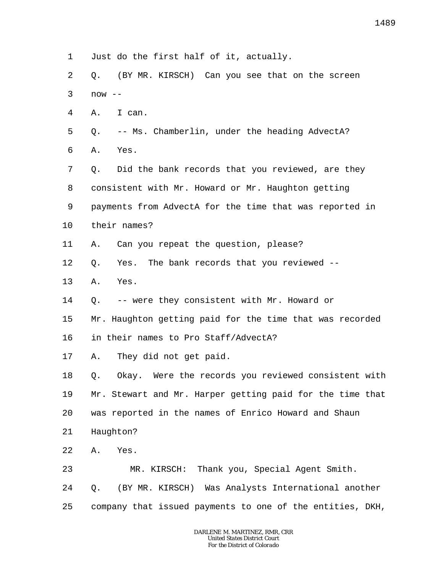- 1 Just do the first half of it, actually.
- $\overline{a}$ 3 Q. (BY MR. KIRSCH) Can you see that on the screen  $now --$
- 4 A. I can.
- 5 Q. -- Ms. Chamberlin, under the heading AdvectA?
- 6 A. Yes.
- 7 8 9 10 Q. Did the bank records that you reviewed, are they consistent with Mr. Howard or Mr. Haughton getting payments from AdvectA for the time that was reported in their names?
- 11 A. Can you repeat the question, please?
- 12 Q. Yes. The bank records that you reviewed --
- 13 A. Yes.
- 14 Q. -- were they consistent with Mr. Howard or
- 15 Mr. Haughton getting paid for the time that was recorded
- 16 in their names to Pro Staff/AdvectA?
- 17 A. They did not get paid.
- 18 19 20 Q. Okay. Were the records you reviewed consistent with Mr. Stewart and Mr. Harper getting paid for the time that was reported in the names of Enrico Howard and Shaun
- 21 Haughton?
- 22 A. Yes.
- 23 24 25 MR. KIRSCH: Thank you, Special Agent Smith. Q. (BY MR. KIRSCH) Was Analysts International another company that issued payments to one of the entities, DKH,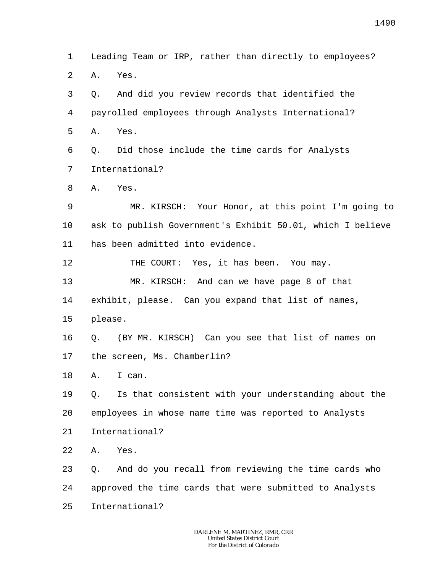1  $\overline{a}$ Leading Team or IRP, rather than directly to employees? A. Yes.

3 4 5 Q. And did you review records that identified the payrolled employees through Analysts International? A. Yes.

6 7 Q. Did those include the time cards for Analysts International?

8 A. Yes.

9 10 11 MR. KIRSCH: Your Honor, at this point I'm going to ask to publish Government's Exhibit 50.01, which I believe has been admitted into evidence.

12 THE COURT: Yes, it has been. You may.

13 MR. KIRSCH: And can we have page 8 of that

14 exhibit, please. Can you expand that list of names,

15 please.

16 17 Q. (BY MR. KIRSCH) Can you see that list of names on the screen, Ms. Chamberlin?

18 A. I can.

19 20 21 Q. Is that consistent with your understanding about the employees in whose name time was reported to Analysts International?

22 A. Yes.

23 24 25 Q. And do you recall from reviewing the time cards who approved the time cards that were submitted to Analysts International?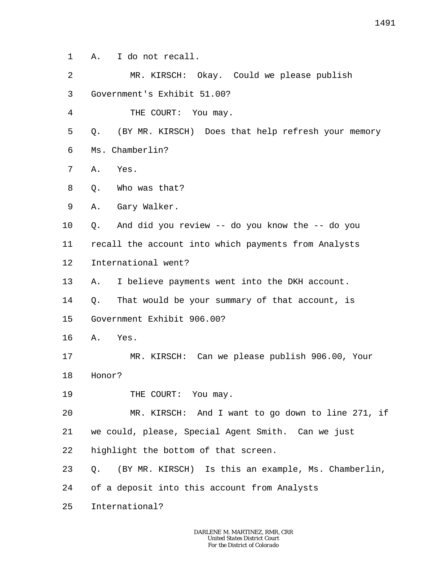1 A. I do not recall.

2 3 MR. KIRSCH: Okay. Could we please publish Government's Exhibit 51.00?

THE COURT: You may.

- 5 6 Q. (BY MR. KIRSCH) Does that help refresh your memory Ms. Chamberlin?
- 7 A. Yes.

4

- 8 Q. Who was that?
- 9 A. Gary Walker.

10 11 12 Q. And did you review -- do you know the -- do you recall the account into which payments from Analysts International went?

13 A. I believe payments went into the DKH account.

14 Q. That would be your summary of that account, is

- 15 Government Exhibit 906.00?
- 16 A. Yes.

17 MR. KIRSCH: Can we please publish 906.00, Your

- 18 Honor?
- 19 THE COURT: You may.

20 MR. KIRSCH: And I want to go down to line 271, if

21 we could, please, Special Agent Smith. Can we just

22 highlight the bottom of that screen.

23 Q. (BY MR. KIRSCH) Is this an example, Ms. Chamberlin,

24 of a deposit into this account from Analysts

25 International?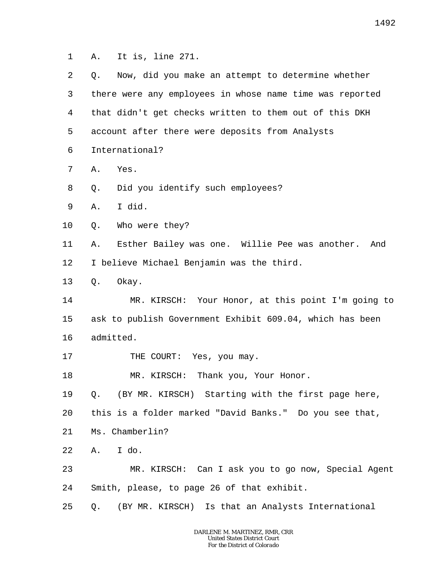1 A. It is, line 271.

| Now, did you make an attempt to determine whether<br>Q.     |
|-------------------------------------------------------------|
| there were any employees in whose name time was reported    |
| that didn't get checks written to them out of this DKH      |
| account after there were deposits from Analysts             |
| International?                                              |
| Yes.<br>Α.                                                  |
| Did you identify such employees?<br>Q.                      |
| I did.<br>Α.                                                |
| Who were they?<br>Q.                                        |
| Esther Bailey was one. Willie Pee was another.<br>And<br>Α. |
| I believe Michael Benjamin was the third.                   |
| Okay.<br>Q.                                                 |
| MR. KIRSCH: Your Honor, at this point I'm going to          |
| ask to publish Government Exhibit 609.04, which has been    |
| admitted.                                                   |
| THE COURT:<br>Yes, you may.                                 |
| MR. KIRSCH: Thank you, Your Honor.                          |
| (BY MR. KIRSCH) Starting with the first page here,<br>Q.    |
| this is a folder marked "David Banks." Do you see that,     |
| Ms. Chamberlin?                                             |
| A. I do.                                                    |
| MR. KIRSCH: Can I ask you to go now, Special Agent          |
|                                                             |
| Smith, please, to page 26 of that exhibit.                  |
|                                                             |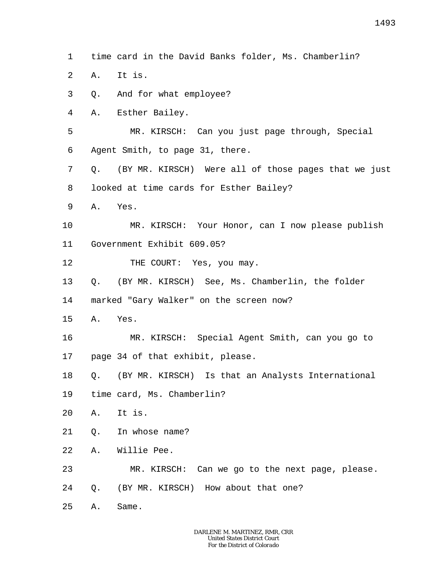- 1 time card in the David Banks folder, Ms. Chamberlin?
- 2 A. It is.
- 3 Q. And for what employee?
- 4 A. Esther Bailey.

5 6 MR. KIRSCH: Can you just page through, Special Agent Smith, to page 31, there.

- 7 8 Q. (BY MR. KIRSCH) Were all of those pages that we just looked at time cards for Esther Bailey?
- 9 A. Yes.
- 10 11 MR. KIRSCH: Your Honor, can I now please publish Government Exhibit 609.05?
- 12 THE COURT: Yes, you may.
- 13 Q. (BY MR. KIRSCH) See, Ms. Chamberlin, the folder

14 marked "Gary Walker" on the screen now?

15 A. Yes.

16 17 MR. KIRSCH: Special Agent Smith, can you go to page 34 of that exhibit, please.

- 18 Q. (BY MR. KIRSCH) Is that an Analysts International
- 19 time card, Ms. Chamberlin?
- 20 A. It is.

21 Q. In whose name?

22 A. Willie Pee.

23 MR. KIRSCH: Can we go to the next page, please.

24 Q. (BY MR. KIRSCH) How about that one?

25 A. Same.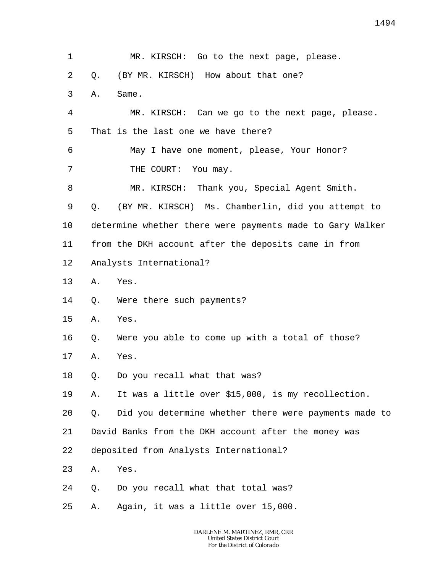1 2 3 4 5 6 7 8 9 10 11 12 13 14 15 16 17 18 19 20 21 22 23 24 25 MR. KIRSCH: Go to the next page, please. Q. (BY MR. KIRSCH) How about that one? A. Same. MR. KIRSCH: Can we go to the next page, please. That is the last one we have there? May I have one moment, please, Your Honor? THE COURT: You may. MR. KIRSCH: Thank you, Special Agent Smith. Q. (BY MR. KIRSCH) Ms. Chamberlin, did you attempt to determine whether there were payments made to Gary Walker from the DKH account after the deposits came in from Analysts International? A. Yes. Q. Were there such payments? A. Yes. Q. Were you able to come up with a total of those? A. Yes. Q. Do you recall what that was? A. It was a little over \$15,000, is my recollection. Q. Did you determine whether there were payments made to David Banks from the DKH account after the money was deposited from Analysts International? A. Yes. Q. Do you recall what that total was? A. Again, it was a little over 15,000.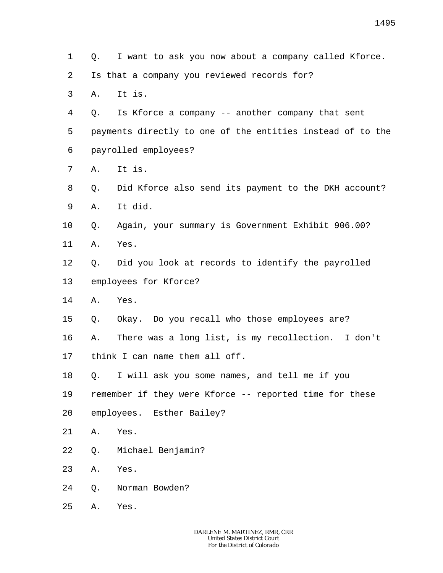- 1 Q. I want to ask you now about a company called Kforce.
- 2 Is that a company you reviewed records for?
- 3 A. It is.
- 4 5 6 Q. Is Kforce a company -- another company that sent payments directly to one of the entities instead of to the payrolled employees?
- 7 A. It is.
- 8 9 Q. Did Kforce also send its payment to the DKH account? A. It did.
- 10 11 Q. Again, your summary is Government Exhibit 906.00? A. Yes.
- 12 Q. Did you look at records to identify the payrolled
- 13 employees for Kforce?
- 14 A. Yes.
- 15 Q. Okay. Do you recall who those employees are?
- 16 A. There was a long list, is my recollection. I don't
- 17 think I can name them all off.
- 18 Q. I will ask you some names, and tell me if you
- 19 remember if they were Kforce -- reported time for these
- 20 employees. Esther Bailey?
- 21 A. Yes.
- 22 Q. Michael Benjamin?
- 23 A. Yes.
- 24 Q. Norman Bowden?
- 25 A. Yes.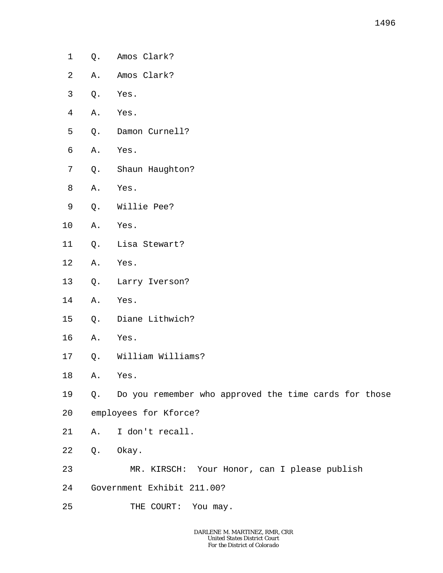| $\mathbf 1$    | Q. | Amos Clark?                                     |
|----------------|----|-------------------------------------------------|
| 2              | Α. | Amos Clark?                                     |
| 3              | Q. | Yes.                                            |
| $\overline{4}$ | Α. | Yes.                                            |
| 5              | Q. | Damon Curnell?                                  |
| 6              | Α. | Yes.                                            |
| 7              | Q. | Shaun Haughton?                                 |
| 8              | Α. | Yes.                                            |
| 9              | Q. | Willie Pee?                                     |
| 10             | Α. | Yes.                                            |
| 11             | Q. | Lisa Stewart?                                   |
| 12             | Α. | Yes.                                            |
| 13             | Q. | Larry Iverson?                                  |
| 14             | Α. | Yes.                                            |
| 15             | Q. | Diane Lithwich?                                 |
| 16             | Α. | Yes.                                            |
| 17             | Q. | William Williams?                               |
| $18\,$         | Α. | Yes.                                            |
| 19             | Q. | Do you remember who approved the time cards for |
| 20             |    | employees for Kforce?                           |
| 21             | Α. | I don't recall.                                 |
| 22             |    | Q. Okay.                                        |
| 23             |    | MR. KIRSCH: Your Honor, can I please publish    |
| 24             |    | Government Exhibit 211.00?                      |

25 THE COURT: You may. the time cards for those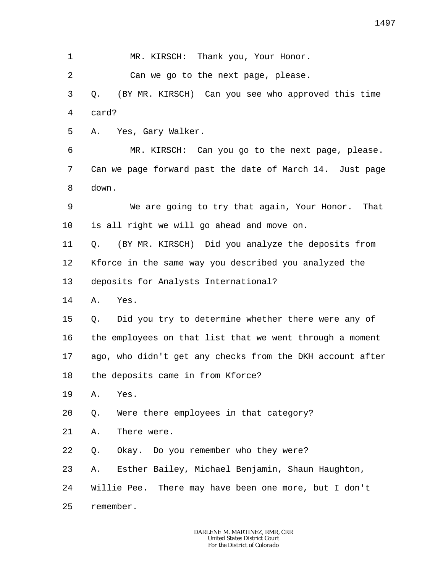1

MR. KIRSCH: Thank you, Your Honor.

2 Can we go to the next page, please.

3 4 Q. (BY MR. KIRSCH) Can you see who approved this time card?

5 A. Yes, Gary Walker.

6 7 8 MR. KIRSCH: Can you go to the next page, please. Can we page forward past the date of March 14. Just page down.

9 10 We are going to try that again, Your Honor. That is all right we will go ahead and move on.

11 12 13 Q. (BY MR. KIRSCH) Did you analyze the deposits from Kforce in the same way you described you analyzed the deposits for Analysts International?

14 A. Yes.

15 16 17 18 Q. Did you try to determine whether there were any of the employees on that list that we went through a moment ago, who didn't get any checks from the DKH account after the deposits came in from Kforce?

19 A. Yes.

20 Q. Were there employees in that category?

21 A. There were.

22 Q. Okay. Do you remember who they were?

23 A. Esther Bailey, Michael Benjamin, Shaun Haughton,

24 Willie Pee. There may have been one more, but I don't

25 remember.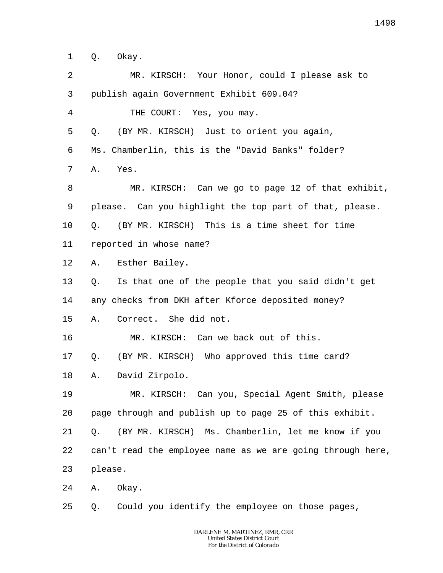1 Q. Okay.

| 2  | MR. KIRSCH: Your Honor, could I please ask to              |  |
|----|------------------------------------------------------------|--|
| 3  | publish again Government Exhibit 609.04?                   |  |
| 4  | THE COURT: Yes, you may.                                   |  |
| 5  | (BY MR. KIRSCH) Just to orient you again,<br>Q.            |  |
| 6  | Ms. Chamberlin, this is the "David Banks" folder?          |  |
| 7  | Yes.<br>Α.                                                 |  |
| 8  | MR. KIRSCH: Can we go to page 12 of that exhibit,          |  |
| 9  | please. Can you highlight the top part of that, please.    |  |
| 10 | (BY MR. KIRSCH) This is a time sheet for time<br>Q.        |  |
| 11 | reported in whose name?                                    |  |
| 12 | Esther Bailey.<br>Α.                                       |  |
| 13 | Is that one of the people that you said didn't get<br>Q.   |  |
| 14 | any checks from DKH after Kforce deposited money?          |  |
| 15 | Correct. She did not.<br>Α.                                |  |
| 16 | MR. KIRSCH: Can we back out of this.                       |  |
| 17 | (BY MR. KIRSCH) Who approved this time card?<br>Q.         |  |
| 18 | David Zirpolo.<br>Α.                                       |  |
| 19 | MR. KIRSCH: Can you, Special Agent Smith, please           |  |
| 20 | page through and publish up to page 25 of this exhibit.    |  |
| 21 | (BY MR. KIRSCH) Ms. Chamberlin, let me know if you<br>Q.   |  |
| 22 | can't read the employee name as we are going through here, |  |
| 23 | please.                                                    |  |
| 24 | Okay.<br>Α.                                                |  |
| 25 | Could you identify the employee on those pages,<br>Q.      |  |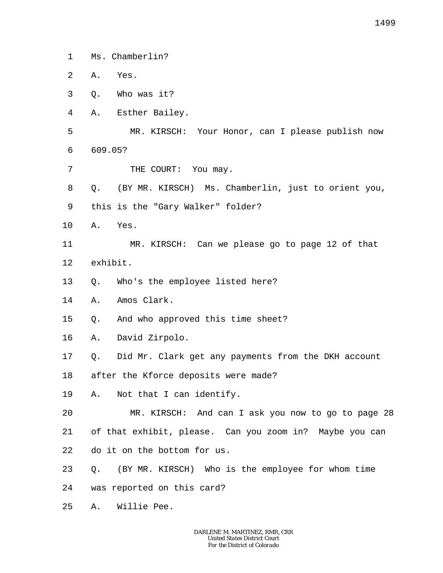1 Ms. Chamberlin?

2 A. Yes.

- 3 Q. Who was it?
- 4 A. Esther Bailey.
- 5 6 MR. KIRSCH: Your Honor, can I please publish now 609.05?
- 7 THE COURT: You may.
- 8 Q. (BY MR. KIRSCH) Ms. Chamberlin, just to orient you,
- 9 this is the "Gary Walker" folder?
- 10 A. Yes.

11 12 MR. KIRSCH: Can we please go to page 12 of that exhibit.

- 13 Q. Who's the employee listed here?
- 14 A. Amos Clark.
- 15 Q. And who approved this time sheet?
- 16 A. David Zirpolo.
- 17 Q. Did Mr. Clark get any payments from the DKH account

18 after the Kforce deposits were made?

19 A. Not that I can identify.

20 MR. KIRSCH: And can I ask you now to go to page 28

- 21 of that exhibit, please. Can you zoom in? Maybe you can
- 22 do it on the bottom for us.
- 23 Q. (BY MR. KIRSCH) Who is the employee for whom time
- 24 was reported on this card?
- 25 A. Willie Pee.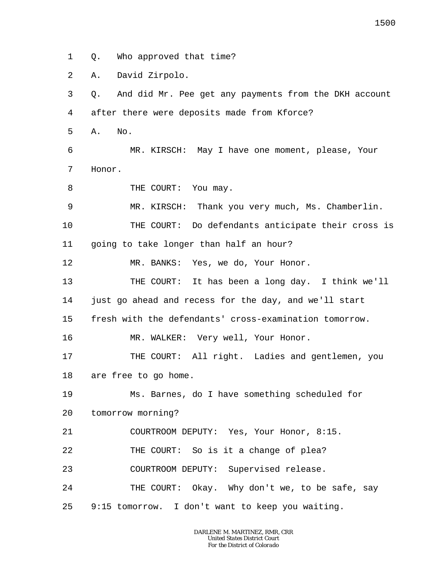1 Q. Who approved that time?

2 A. David Zirpolo.

3 4 5 6 7 8 9 10 11 12 13 14 15 16 17 18 19 20 21 22 23 24 25 Q. And did Mr. Pee get any payments from the DKH account after there were deposits made from Kforce? A. No. MR. KIRSCH: May I have one moment, please, Your Honor. THE COURT: You may. MR. KIRSCH: Thank you very much, Ms. Chamberlin. THE COURT: Do defendants anticipate their cross is going to take longer than half an hour? MR. BANKS: Yes, we do, Your Honor. THE COURT: It has been a long day. I think we'll just go ahead and recess for the day, and we'll start fresh with the defendants' cross-examination tomorrow. MR. WALKER: Very well, Your Honor. THE COURT: All right. Ladies and gentlemen, you are free to go home. Ms. Barnes, do I have something scheduled for tomorrow morning? COURTROOM DEPUTY: Yes, Your Honor, 8:15. THE COURT: So is it a change of plea? COURTROOM DEPUTY: Supervised release. THE COURT: Okay. Why don't we, to be safe, say 9:15 tomorrow. I don't want to keep you waiting.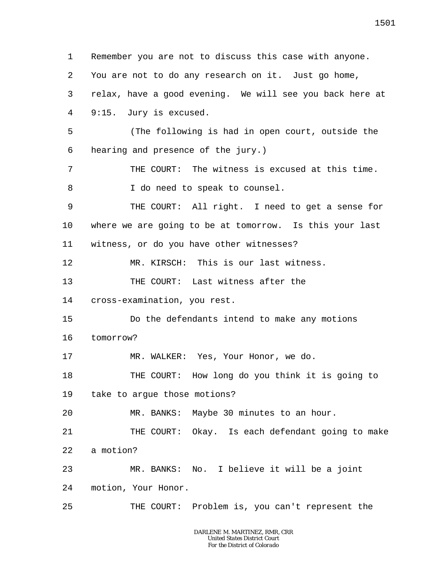1 2 3 4 5 6 7 8 9 10 11 12 13 14 15 16 17 18 19 20 21 22 23 24 25 Remember you are not to discuss this case with anyone. You are not to do any research on it. Just go home, relax, have a good evening. We will see you back here at 9:15. Jury is excused. (The following is had in open court, outside the hearing and presence of the jury.) THE COURT: The witness is excused at this time. I do need to speak to counsel. THE COURT: All right. I need to get a sense for where we are going to be at tomorrow. Is this your last witness, or do you have other witnesses? MR. KIRSCH: This is our last witness. THE COURT: Last witness after the cross-examination, you rest. Do the defendants intend to make any motions tomorrow? MR. WALKER: Yes, Your Honor, we do. THE COURT: How long do you think it is going to take to argue those motions? MR. BANKS: Maybe 30 minutes to an hour. THE COURT: Okay. Is each defendant going to make a motion? MR. BANKS: No. I believe it will be a joint motion, Your Honor. THE COURT: Problem is, you can't represent the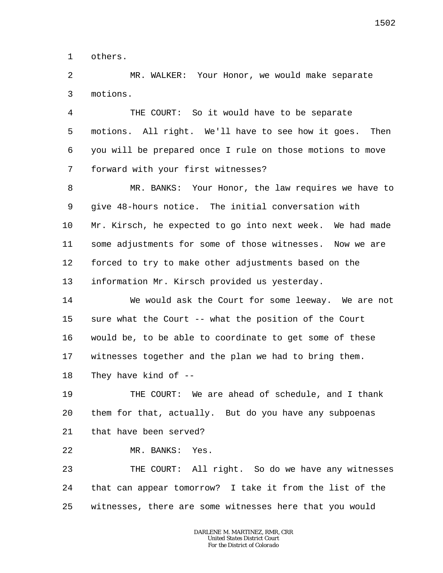1 others.

 $\overline{a}$ 3 MR. WALKER: Your Honor, we would make separate motions.

4 5 6 7 THE COURT: So it would have to be separate motions. All right. We'll have to see how it goes. Then you will be prepared once I rule on those motions to move forward with your first witnesses?

8 9 10 11 12 13 MR. BANKS: Your Honor, the law requires we have to give 48-hours notice. The initial conversation with Mr. Kirsch, he expected to go into next week. We had made some adjustments for some of those witnesses. Now we are forced to try to make other adjustments based on the information Mr. Kirsch provided us yesterday.

14 15 16 17 18 We would ask the Court for some leeway. We are not sure what the Court -- what the position of the Court would be, to be able to coordinate to get some of these witnesses together and the plan we had to bring them. They have kind of  $-$ 

19 20 21 THE COURT: We are ahead of schedule, and I thank them for that, actually. But do you have any subpoenas that have been served?

22 MR. BANKS: Yes.

23 24 25 THE COURT: All right. So do we have any witnesses that can appear tomorrow? I take it from the list of the witnesses, there are some witnesses here that you would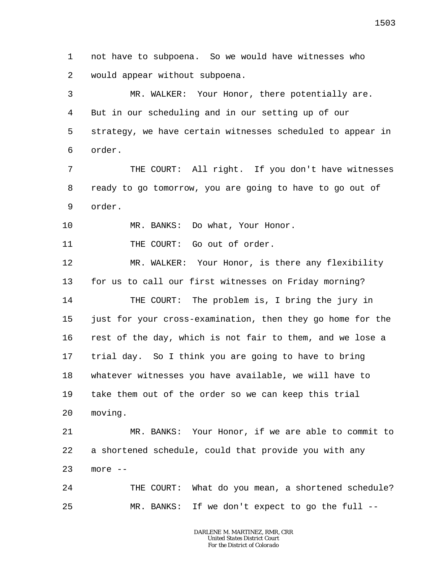1 2 not have to subpoena. So we would have witnesses who would appear without subpoena.

3 4 5 6 MR. WALKER: Your Honor, there potentially are. But in our scheduling and in our setting up of our strategy, we have certain witnesses scheduled to appear in order.

7 8 9 THE COURT: All right. If you don't have witnesses ready to go tomorrow, you are going to have to go out of order.

10 MR. BANKS: Do what, Your Honor.

11 THE COURT: Go out of order.

12 13 14 15 16 17 18 19 20 MR. WALKER: Your Honor, is there any flexibility for us to call our first witnesses on Friday morning? THE COURT: The problem is, I bring the jury in just for your cross-examination, then they go home for the rest of the day, which is not fair to them, and we lose a trial day. So I think you are going to have to bring whatever witnesses you have available, we will have to take them out of the order so we can keep this trial moving.

21 22 23 MR. BANKS: Your Honor, if we are able to commit to a shortened schedule, could that provide you with any more --

24 25 THE COURT: What do you mean, a shortened schedule? MR. BANKS: If we don't expect to go the full --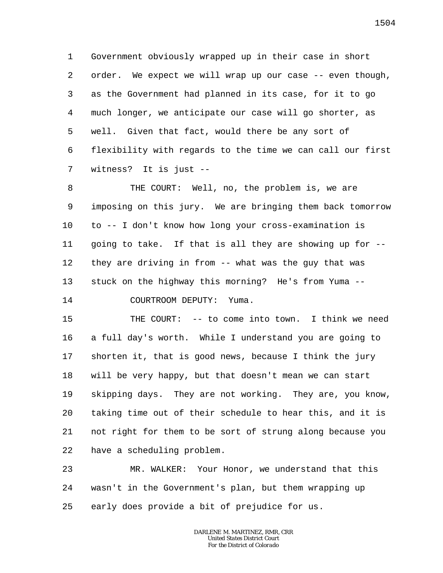1 2 3 4 5 6 7 Government obviously wrapped up in their case in short order. We expect we will wrap up our case -- even though, as the Government had planned in its case, for it to go much longer, we anticipate our case will go shorter, as well. Given that fact, would there be any sort of flexibility with regards to the time we can call our first witness? It is just --

8 9 10 11 12 13 14 THE COURT: Well, no, the problem is, we are imposing on this jury. We are bringing them back tomorrow to -- I don't know how long your cross-examination is going to take. If that is all they are showing up for - they are driving in from -- what was the guy that was stuck on the highway this morning? He's from Yuma -- COURTROOM DEPUTY: Yuma.

15 16 17 18 19 20 21 22 THE COURT: -- to come into town. I think we need a full day's worth. While I understand you are going to shorten it, that is good news, because I think the jury will be very happy, but that doesn't mean we can start skipping days. They are not working. They are, you know, taking time out of their schedule to hear this, and it is not right for them to be sort of strung along because you have a scheduling problem.

23 24 25 MR. WALKER: Your Honor, we understand that this wasn't in the Government's plan, but them wrapping up early does provide a bit of prejudice for us.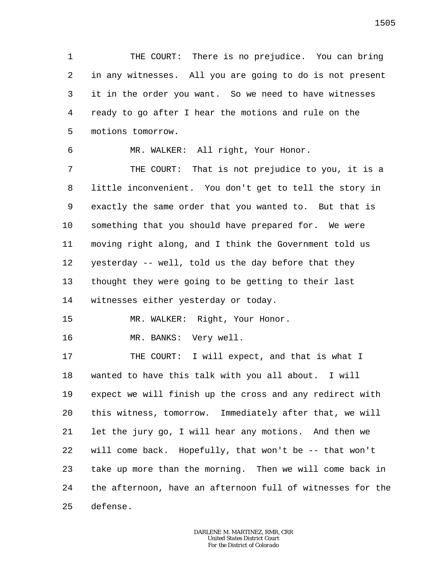1 2 3 4 5 THE COURT: There is no prejudice. You can bring in any witnesses. All you are going to do is not present it in the order you want. So we need to have witnesses ready to go after I hear the motions and rule on the motions tomorrow.

MR. WALKER: All right, Your Honor.

7 8 9 10 11 12 13 14 THE COURT: That is not prejudice to you, it is a little inconvenient. You don't get to tell the story in exactly the same order that you wanted to. But that is something that you should have prepared for. We were moving right along, and I think the Government told us yesterday -- well, told us the day before that they thought they were going to be getting to their last witnesses either yesterday or today.

15 MR. WALKER: Right, Your Honor.

16 MR. BANKS: Very well.

6

17 18 19 20 21 22 23 24 25 THE COURT: I will expect, and that is what I wanted to have this talk with you all about. I will expect we will finish up the cross and any redirect with this witness, tomorrow. Immediately after that, we will let the jury go, I will hear any motions. And then we will come back. Hopefully, that won't be -- that won't take up more than the morning. Then we will come back in the afternoon, have an afternoon full of witnesses for the defense.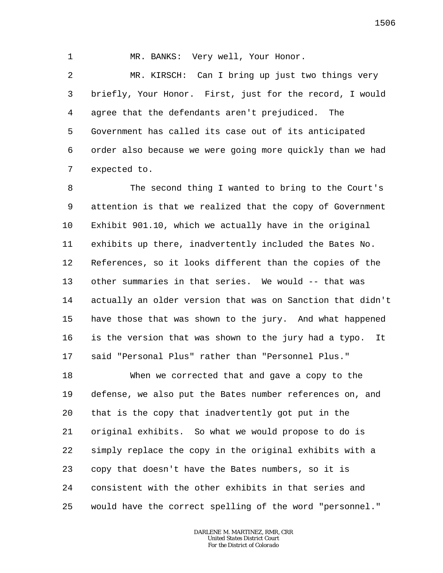1

MR. BANKS: Very well, Your Honor.

2 3 4 5 6 7 MR. KIRSCH: Can I bring up just two things very briefly, Your Honor. First, just for the record, I would agree that the defendants aren't prejudiced. The Government has called its case out of its anticipated order also because we were going more quickly than we had expected to.

8 9 10 11 12 13 14 15 16 17 The second thing I wanted to bring to the Court's attention is that we realized that the copy of Government Exhibit 901.10, which we actually have in the original exhibits up there, inadvertently included the Bates No. References, so it looks different than the copies of the other summaries in that series. We would -- that was actually an older version that was on Sanction that didn't have those that was shown to the jury. And what happened is the version that was shown to the jury had a typo. It said "Personal Plus" rather than "Personnel Plus."

18 19 20 21 22 23 24 25 When we corrected that and gave a copy to the defense, we also put the Bates number references on, and that is the copy that inadvertently got put in the original exhibits. So what we would propose to do is simply replace the copy in the original exhibits with a copy that doesn't have the Bates numbers, so it is consistent with the other exhibits in that series and would have the correct spelling of the word "personnel."